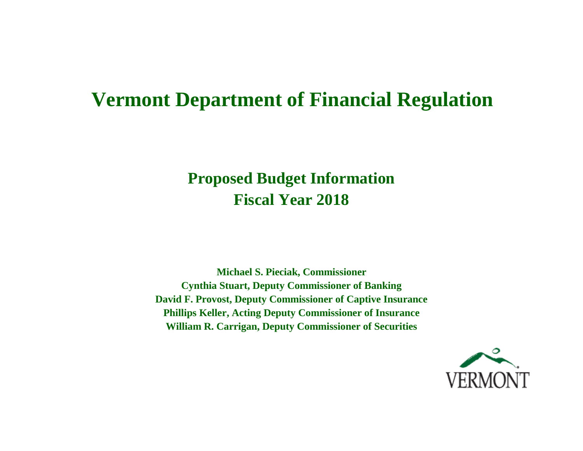# **Vermont Department of Financial Regulation**

# **Proposed Budget Information Fiscal Year 2018**

**Michael S. Pieciak, Commissioner Cynthia Stuart, Deputy Commissioner of Banking David F. Provost, Deputy Commissioner of Captive Insurance Phillips Keller, Acting Deputy Commissioner of Insurance William R. Carrigan, Deputy Commissioner of Securities** 

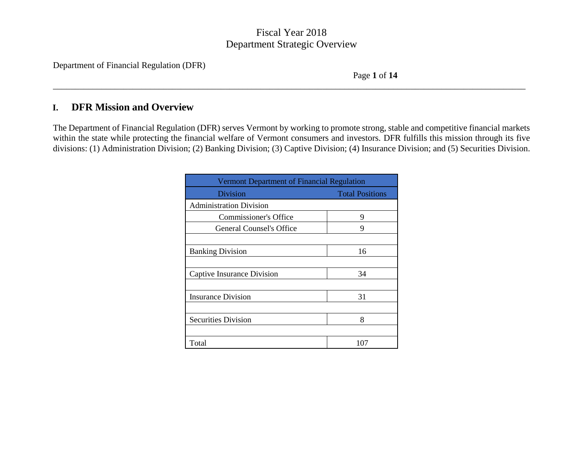\_\_\_\_\_\_\_\_\_\_\_\_\_\_\_\_\_\_\_\_\_\_\_\_\_\_\_\_\_\_\_\_\_\_\_\_\_\_\_\_\_\_\_\_\_\_\_\_\_\_\_\_\_\_\_\_\_\_\_\_\_\_\_\_\_\_\_\_\_\_\_\_\_\_\_\_\_\_\_\_\_\_\_\_\_\_\_\_\_\_\_\_\_\_\_\_\_\_\_\_\_\_\_\_\_\_\_

Department of Financial Regulation (DFR)

Page **1** of **14**

# **I. DFR Mission and Overview**

The Department of Financial Regulation (DFR) serves Vermont by working to promote strong, stable and competitive financial markets within the state while protecting the financial welfare of Vermont consumers and investors. DFR fulfills this mission through its five divisions: (1) Administration Division; (2) Banking Division; (3) Captive Division; (4) Insurance Division; and (5) Securities Division.

| Vermont Department of Financial Regulation |                        |  |  |  |  |  |  |
|--------------------------------------------|------------------------|--|--|--|--|--|--|
| Division                                   | <b>Total Positions</b> |  |  |  |  |  |  |
| <b>Administration Division</b>             |                        |  |  |  |  |  |  |
| Commissioner's Office                      | 9                      |  |  |  |  |  |  |
| General Counsel's Office                   | 9                      |  |  |  |  |  |  |
|                                            |                        |  |  |  |  |  |  |
| <b>Banking Division</b>                    | 16                     |  |  |  |  |  |  |
|                                            |                        |  |  |  |  |  |  |
| Captive Insurance Division                 | 34                     |  |  |  |  |  |  |
|                                            |                        |  |  |  |  |  |  |
| <b>Insurance Division</b>                  | 31                     |  |  |  |  |  |  |
|                                            |                        |  |  |  |  |  |  |
| <b>Securities Division</b>                 | 8                      |  |  |  |  |  |  |
|                                            |                        |  |  |  |  |  |  |
| Total                                      | 107                    |  |  |  |  |  |  |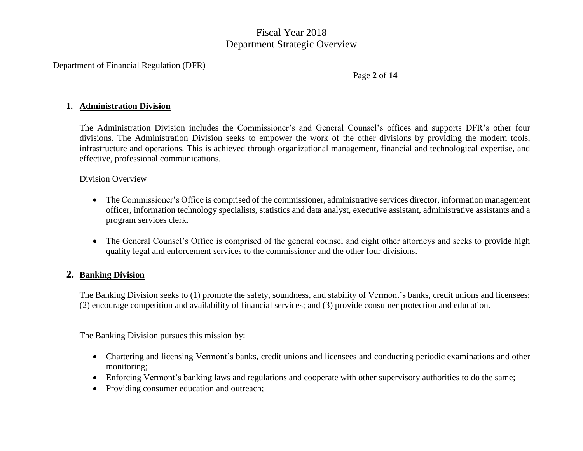\_\_\_\_\_\_\_\_\_\_\_\_\_\_\_\_\_\_\_\_\_\_\_\_\_\_\_\_\_\_\_\_\_\_\_\_\_\_\_\_\_\_\_\_\_\_\_\_\_\_\_\_\_\_\_\_\_\_\_\_\_\_\_\_\_\_\_\_\_\_\_\_\_\_\_\_\_\_\_\_\_\_\_\_\_\_\_\_\_\_\_\_\_\_\_\_\_\_\_\_\_\_\_\_\_\_\_

Department of Financial Regulation (DFR)

Page **2** of **14**

#### **1. Administration Division**

The Administration Division includes the Commissioner's and General Counsel's offices and supports DFR's other four divisions. The Administration Division seeks to empower the work of the other divisions by providing the modern tools, infrastructure and operations. This is achieved through organizational management, financial and technological expertise, and effective, professional communications.

## Division Overview

- The Commissioner's Office is comprised of the commissioner, administrative services director, information management officer, information technology specialists, statistics and data analyst, executive assistant, administrative assistants and a program services clerk.
- The General Counsel's Office is comprised of the general counsel and eight other attorneys and seeks to provide high quality legal and enforcement services to the commissioner and the other four divisions.

## **2. Banking Division**

The Banking Division seeks to (1) promote the safety, soundness, and stability of Vermont's banks, credit unions and licensees; (2) encourage competition and availability of financial services; and (3) provide consumer protection and education.

The Banking Division pursues this mission by:

- Chartering and licensing Vermont's banks, credit unions and licensees and conducting periodic examinations and other monitoring;
- Enforcing Vermont's banking laws and regulations and cooperate with other supervisory authorities to do the same;
- Providing consumer education and outreach;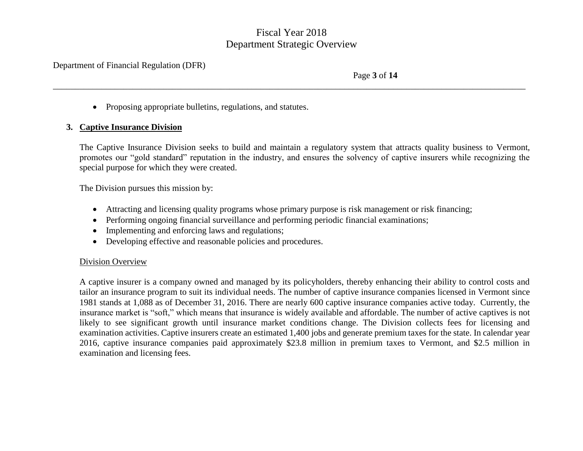\_\_\_\_\_\_\_\_\_\_\_\_\_\_\_\_\_\_\_\_\_\_\_\_\_\_\_\_\_\_\_\_\_\_\_\_\_\_\_\_\_\_\_\_\_\_\_\_\_\_\_\_\_\_\_\_\_\_\_\_\_\_\_\_\_\_\_\_\_\_\_\_\_\_\_\_\_\_\_\_\_\_\_\_\_\_\_\_\_\_\_\_\_\_\_\_\_\_\_\_\_\_\_\_\_\_\_

Department of Financial Regulation (DFR)

Page **3** of **14**

• Proposing appropriate bulletins, regulations, and statutes.

## **3. Captive Insurance Division**

The Captive Insurance Division seeks to build and maintain a regulatory system that attracts quality business to Vermont, promotes our "gold standard" reputation in the industry, and ensures the solvency of captive insurers while recognizing the special purpose for which they were created.

The Division pursues this mission by:

- Attracting and licensing quality programs whose primary purpose is risk management or risk financing;
- Performing ongoing financial surveillance and performing periodic financial examinations;
- Implementing and enforcing laws and regulations;
- Developing effective and reasonable policies and procedures.

## Division Overview

A captive insurer is a company owned and managed by its policyholders, thereby enhancing their ability to control costs and tailor an insurance program to suit its individual needs. The number of captive insurance companies licensed in Vermont since 1981 stands at 1,088 as of December 31, 2016. There are nearly 600 captive insurance companies active today. Currently, the insurance market is "soft," which means that insurance is widely available and affordable. The number of active captives is not likely to see significant growth until insurance market conditions change. The Division collects fees for licensing and examination activities. Captive insurers create an estimated 1,400 jobs and generate premium taxes for the state. In calendar year 2016, captive insurance companies paid approximately \$23.8 million in premium taxes to Vermont, and \$2.5 million in examination and licensing fees.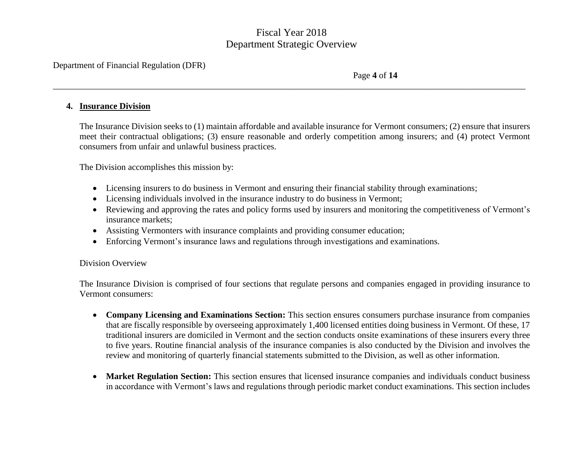\_\_\_\_\_\_\_\_\_\_\_\_\_\_\_\_\_\_\_\_\_\_\_\_\_\_\_\_\_\_\_\_\_\_\_\_\_\_\_\_\_\_\_\_\_\_\_\_\_\_\_\_\_\_\_\_\_\_\_\_\_\_\_\_\_\_\_\_\_\_\_\_\_\_\_\_\_\_\_\_\_\_\_\_\_\_\_\_\_\_\_\_\_\_\_\_\_\_\_\_\_\_\_\_\_\_\_

Department of Financial Regulation (DFR)

Page **4** of **14**

#### **4. Insurance Division**

The Insurance Division seeks to (1) maintain affordable and available insurance for Vermont consumers; (2) ensure that insurers meet their contractual obligations; (3) ensure reasonable and orderly competition among insurers; and (4) protect Vermont consumers from unfair and unlawful business practices.

The Division accomplishes this mission by:

- Licensing insurers to do business in Vermont and ensuring their financial stability through examinations;
- Licensing individuals involved in the insurance industry to do business in Vermont;
- Reviewing and approving the rates and policy forms used by insurers and monitoring the competitiveness of Vermont's insurance markets;
- Assisting Vermonters with insurance complaints and providing consumer education;
- Enforcing Vermont's insurance laws and regulations through investigations and examinations.

## Division Overview

The Insurance Division is comprised of four sections that regulate persons and companies engaged in providing insurance to Vermont consumers:

- **Company Licensing and Examinations Section:** This section ensures consumers purchase insurance from companies that are fiscally responsible by overseeing approximately 1,400 licensed entities doing business in Vermont. Of these, 17 traditional insurers are domiciled in Vermont and the section conducts onsite examinations of these insurers every three to five years. Routine financial analysis of the insurance companies is also conducted by the Division and involves the review and monitoring of quarterly financial statements submitted to the Division, as well as other information.
- **Market Regulation Section:** This section ensures that licensed insurance companies and individuals conduct business in accordance with Vermont's laws and regulations through periodic market conduct examinations. This section includes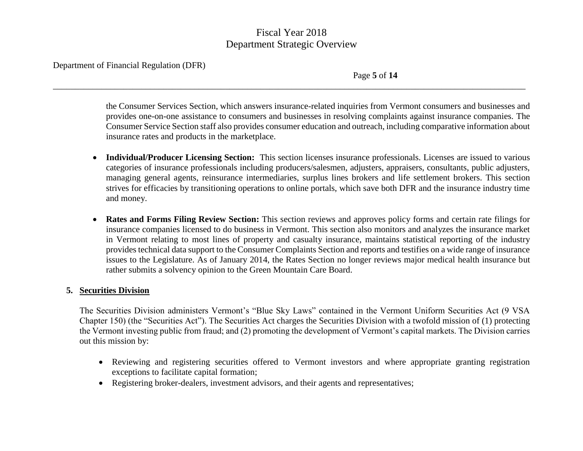\_\_\_\_\_\_\_\_\_\_\_\_\_\_\_\_\_\_\_\_\_\_\_\_\_\_\_\_\_\_\_\_\_\_\_\_\_\_\_\_\_\_\_\_\_\_\_\_\_\_\_\_\_\_\_\_\_\_\_\_\_\_\_\_\_\_\_\_\_\_\_\_\_\_\_\_\_\_\_\_\_\_\_\_\_\_\_\_\_\_\_\_\_\_\_\_\_\_\_\_\_\_\_\_\_\_\_

Department of Financial Regulation (DFR)

Page **5** of **14**

the Consumer Services Section, which answers insurance-related inquiries from Vermont consumers and businesses and provides one-on-one assistance to consumers and businesses in resolving complaints against insurance companies. The Consumer Service Section staff also provides consumer education and outreach, including comparative information about insurance rates and products in the marketplace.

- **Individual/Producer Licensing Section:** This section licenses insurance professionals. Licenses are issued to various categories of insurance professionals including producers/salesmen, adjusters, appraisers, consultants, public adjusters, managing general agents, reinsurance intermediaries, surplus lines brokers and life settlement brokers. This section strives for efficacies by transitioning operations to online portals, which save both DFR and the insurance industry time and money.
- **Rates and Forms Filing Review Section:** This section reviews and approves policy forms and certain rate filings for insurance companies licensed to do business in Vermont. This section also monitors and analyzes the insurance market in Vermont relating to most lines of property and casualty insurance, maintains statistical reporting of the industry provides technical data support to the Consumer Complaints Section and reports and testifies on a wide range of insurance issues to the Legislature. As of January 2014, the Rates Section no longer reviews major medical health insurance but rather submits a solvency opinion to the Green Mountain Care Board.

## **5. Securities Division**

The Securities Division administers Vermont's "Blue Sky Laws" contained in the Vermont Uniform Securities Act (9 VSA Chapter 150) (the "Securities Act"). The Securities Act charges the Securities Division with a twofold mission of (1) protecting the Vermont investing public from fraud; and (2) promoting the development of Vermont's capital markets. The Division carries out this mission by:

- Reviewing and registering securities offered to Vermont investors and where appropriate granting registration exceptions to facilitate capital formation;
- Registering broker-dealers, investment advisors, and their agents and representatives;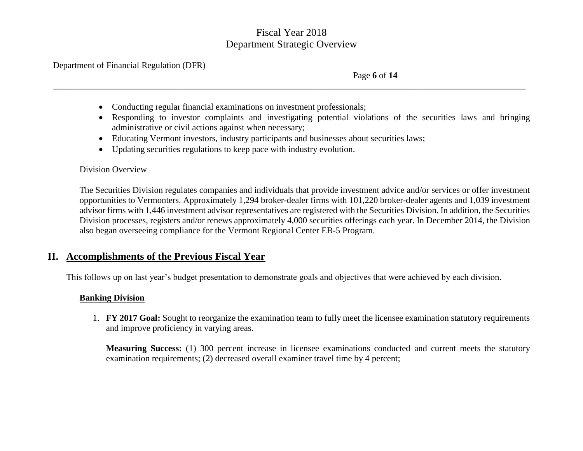\_\_\_\_\_\_\_\_\_\_\_\_\_\_\_\_\_\_\_\_\_\_\_\_\_\_\_\_\_\_\_\_\_\_\_\_\_\_\_\_\_\_\_\_\_\_\_\_\_\_\_\_\_\_\_\_\_\_\_\_\_\_\_\_\_\_\_\_\_\_\_\_\_\_\_\_\_\_\_\_\_\_\_\_\_\_\_\_\_\_\_\_\_\_\_\_\_\_\_\_\_\_\_\_\_\_\_

Department of Financial Regulation (DFR)

Page **6** of **14**

- Conducting regular financial examinations on investment professionals;
- Responding to investor complaints and investigating potential violations of the securities laws and bringing administrative or civil actions against when necessary;
- Educating Vermont investors, industry participants and businesses about securities laws;
- Updating securities regulations to keep pace with industry evolution.

## Division Overview

The Securities Division regulates companies and individuals that provide investment advice and/or services or offer investment opportunities to Vermonters. Approximately 1,294 broker-dealer firms with 101,220 broker-dealer agents and 1,039 investment advisor firms with 1,446 investment advisor representatives are registered with the Securities Division. In addition, the Securities Division processes, registers and/or renews approximately 4,000 securities offerings each year. In December 2014, the Division also began overseeing compliance for the Vermont Regional Center EB-5 Program.

# **II. Accomplishments of the Previous Fiscal Year**

This follows up on last year's budget presentation to demonstrate goals and objectives that were achieved by each division.

# **Banking Division**

1. **FY 2017 Goal:** Sought to reorganize the examination team to fully meet the licensee examination statutory requirements and improve proficiency in varying areas.

**Measuring Success:** (1) 300 percent increase in licensee examinations conducted and current meets the statutory examination requirements; (2) decreased overall examiner travel time by 4 percent;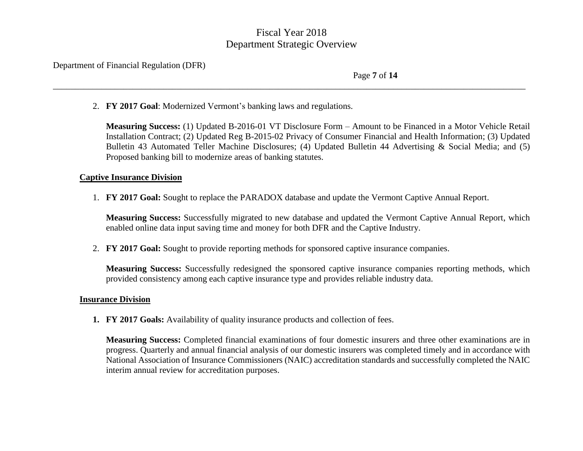\_\_\_\_\_\_\_\_\_\_\_\_\_\_\_\_\_\_\_\_\_\_\_\_\_\_\_\_\_\_\_\_\_\_\_\_\_\_\_\_\_\_\_\_\_\_\_\_\_\_\_\_\_\_\_\_\_\_\_\_\_\_\_\_\_\_\_\_\_\_\_\_\_\_\_\_\_\_\_\_\_\_\_\_\_\_\_\_\_\_\_\_\_\_\_\_\_\_\_\_\_\_\_\_\_\_\_

Department of Financial Regulation (DFR)

Page **7** of **14**

2. **FY 2017 Goal**: Modernized Vermont's banking laws and regulations.

**Measuring Success:** (1) Updated B-2016-01 VT Disclosure Form – Amount to be Financed in a Motor Vehicle Retail Installation Contract; (2) Updated Reg B-2015-02 Privacy of Consumer Financial and Health Information; (3) Updated Bulletin 43 Automated Teller Machine Disclosures; (4) Updated Bulletin 44 Advertising & Social Media; and (5) Proposed banking bill to modernize areas of banking statutes.

## **Captive Insurance Division**

1. **FY 2017 Goal:** Sought to replace the PARADOX database and update the Vermont Captive Annual Report.

**Measuring Success:** Successfully migrated to new database and updated the Vermont Captive Annual Report, which enabled online data input saving time and money for both DFR and the Captive Industry.

2. **FY 2017 Goal:** Sought to provide reporting methods for sponsored captive insurance companies.

**Measuring Success:** Successfully redesigned the sponsored captive insurance companies reporting methods, which provided consistency among each captive insurance type and provides reliable industry data.

## **Insurance Division**

**1. FY 2017 Goals:** Availability of quality insurance products and collection of fees.

**Measuring Success:** Completed financial examinations of four domestic insurers and three other examinations are in progress. Quarterly and annual financial analysis of our domestic insurers was completed timely and in accordance with National Association of Insurance Commissioners (NAIC) accreditation standards and successfully completed the NAIC interim annual review for accreditation purposes.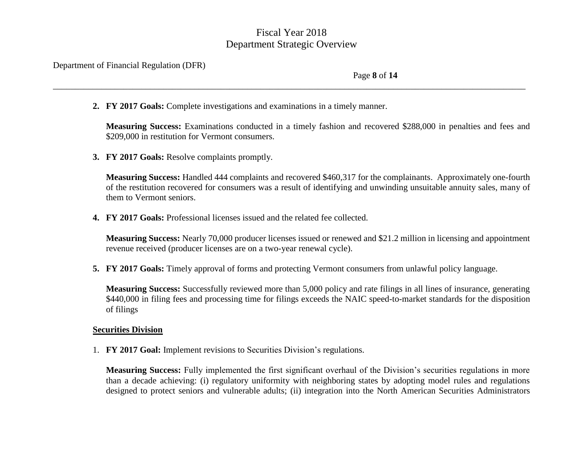\_\_\_\_\_\_\_\_\_\_\_\_\_\_\_\_\_\_\_\_\_\_\_\_\_\_\_\_\_\_\_\_\_\_\_\_\_\_\_\_\_\_\_\_\_\_\_\_\_\_\_\_\_\_\_\_\_\_\_\_\_\_\_\_\_\_\_\_\_\_\_\_\_\_\_\_\_\_\_\_\_\_\_\_\_\_\_\_\_\_\_\_\_\_\_\_\_\_\_\_\_\_\_\_\_\_\_

Department of Financial Regulation (DFR)

Page **8** of **14**

**2. FY 2017 Goals:** Complete investigations and examinations in a timely manner.

**Measuring Success:** Examinations conducted in a timely fashion and recovered \$288,000 in penalties and fees and \$209,000 in restitution for Vermont consumers.

**3. FY 2017 Goals:** Resolve complaints promptly.

**Measuring Success:** Handled 444 complaints and recovered \$460,317 for the complainants. Approximately one-fourth of the restitution recovered for consumers was a result of identifying and unwinding unsuitable annuity sales, many of them to Vermont seniors.

**4. FY 2017 Goals:** Professional licenses issued and the related fee collected.

**Measuring Success:** Nearly 70,000 producer licenses issued or renewed and \$21.2 million in licensing and appointment revenue received (producer licenses are on a two-year renewal cycle).

**5. FY 2017 Goals:** Timely approval of forms and protecting Vermont consumers from unlawful policy language.

**Measuring Success:** Successfully reviewed more than 5,000 policy and rate filings in all lines of insurance, generating \$440,000 in filing fees and processing time for filings exceeds the NAIC speed-to-market standards for the disposition of filings

## **Securities Division**

1. **FY 2017 Goal:** Implement revisions to Securities Division's regulations.

**Measuring Success:** Fully implemented the first significant overhaul of the Division's securities regulations in more than a decade achieving: (i) regulatory uniformity with neighboring states by adopting model rules and regulations designed to protect seniors and vulnerable adults; (ii) integration into the North American Securities Administrators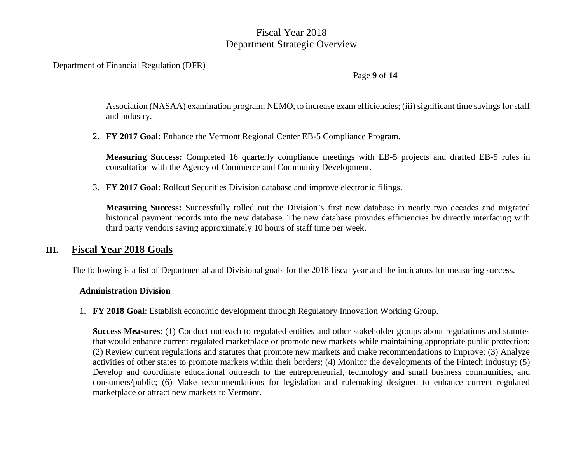\_\_\_\_\_\_\_\_\_\_\_\_\_\_\_\_\_\_\_\_\_\_\_\_\_\_\_\_\_\_\_\_\_\_\_\_\_\_\_\_\_\_\_\_\_\_\_\_\_\_\_\_\_\_\_\_\_\_\_\_\_\_\_\_\_\_\_\_\_\_\_\_\_\_\_\_\_\_\_\_\_\_\_\_\_\_\_\_\_\_\_\_\_\_\_\_\_\_\_\_\_\_\_\_\_\_\_

Department of Financial Regulation (DFR)

Page **9** of **14**

Association (NASAA) examination program, NEMO, to increase exam efficiencies; (iii) significant time savings for staff and industry.

2. **FY 2017 Goal:** Enhance the Vermont Regional Center EB-5 Compliance Program.

**Measuring Success:** Completed 16 quarterly compliance meetings with EB-5 projects and drafted EB-5 rules in consultation with the Agency of Commerce and Community Development.

3. **FY 2017 Goal:** Rollout Securities Division database and improve electronic filings.

**Measuring Success:** Successfully rolled out the Division's first new database in nearly two decades and migrated historical payment records into the new database. The new database provides efficiencies by directly interfacing with third party vendors saving approximately 10 hours of staff time per week.

# **III. Fiscal Year 2018 Goals**

The following is a list of Departmental and Divisional goals for the 2018 fiscal year and the indicators for measuring success.

## **Administration Division**

1. **FY 2018 Goal**: Establish economic development through Regulatory Innovation Working Group.

**Success Measures**: (1) Conduct outreach to regulated entities and other stakeholder groups about regulations and statutes that would enhance current regulated marketplace or promote new markets while maintaining appropriate public protection; (2) Review current regulations and statutes that promote new markets and make recommendations to improve; (3) Analyze activities of other states to promote markets within their borders; (4) Monitor the developments of the Fintech Industry; (5) Develop and coordinate educational outreach to the entrepreneurial, technology and small business communities, and consumers/public; (6) Make recommendations for legislation and rulemaking designed to enhance current regulated marketplace or attract new markets to Vermont.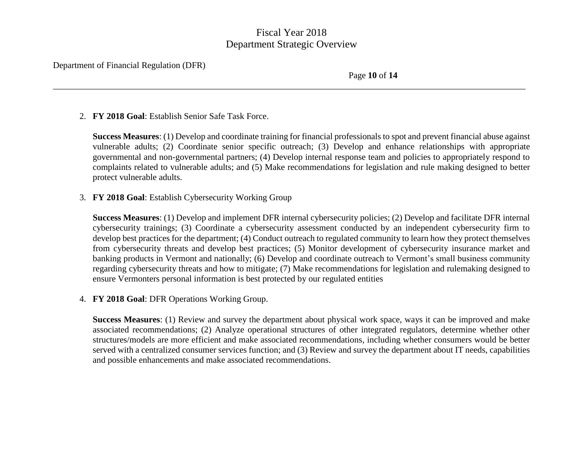\_\_\_\_\_\_\_\_\_\_\_\_\_\_\_\_\_\_\_\_\_\_\_\_\_\_\_\_\_\_\_\_\_\_\_\_\_\_\_\_\_\_\_\_\_\_\_\_\_\_\_\_\_\_\_\_\_\_\_\_\_\_\_\_\_\_\_\_\_\_\_\_\_\_\_\_\_\_\_\_\_\_\_\_\_\_\_\_\_\_\_\_\_\_\_\_\_\_\_\_\_\_\_\_\_\_\_

Department of Financial Regulation (DFR)

Page **10** of **14**

## 2. **FY 2018 Goal**: Establish Senior Safe Task Force.

**Success Measures**: (1) Develop and coordinate training for financial professionals to spot and prevent financial abuse against vulnerable adults; (2) Coordinate senior specific outreach; (3) Develop and enhance relationships with appropriate governmental and non-governmental partners; (4) Develop internal response team and policies to appropriately respond to complaints related to vulnerable adults; and (5) Make recommendations for legislation and rule making designed to better protect vulnerable adults.

## 3. **FY 2018 Goal**: Establish Cybersecurity Working Group

**Success Measures**: (1) Develop and implement DFR internal cybersecurity policies; (2) Develop and facilitate DFR internal cybersecurity trainings; (3) Coordinate a cybersecurity assessment conducted by an independent cybersecurity firm to develop best practices for the department; (4) Conduct outreach to regulated community to learn how they protect themselves from cybersecurity threats and develop best practices; (5) Monitor development of cybersecurity insurance market and banking products in Vermont and nationally; (6) Develop and coordinate outreach to Vermont's small business community regarding cybersecurity threats and how to mitigate; (7) Make recommendations for legislation and rulemaking designed to ensure Vermonters personal information is best protected by our regulated entities

4. **FY 2018 Goal**: DFR Operations Working Group.

**Success Measures**: (1) Review and survey the department about physical work space, ways it can be improved and make associated recommendations; (2) Analyze operational structures of other integrated regulators, determine whether other structures/models are more efficient and make associated recommendations, including whether consumers would be better served with a centralized consumer services function; and (3) Review and survey the department about IT needs, capabilities and possible enhancements and make associated recommendations.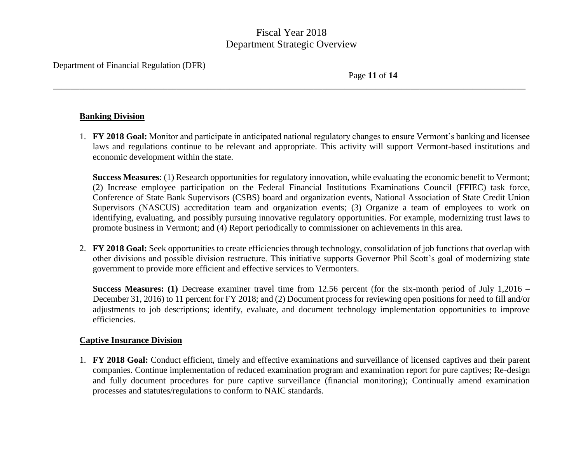\_\_\_\_\_\_\_\_\_\_\_\_\_\_\_\_\_\_\_\_\_\_\_\_\_\_\_\_\_\_\_\_\_\_\_\_\_\_\_\_\_\_\_\_\_\_\_\_\_\_\_\_\_\_\_\_\_\_\_\_\_\_\_\_\_\_\_\_\_\_\_\_\_\_\_\_\_\_\_\_\_\_\_\_\_\_\_\_\_\_\_\_\_\_\_\_\_\_\_\_\_\_\_\_\_\_\_

Department of Financial Regulation (DFR)

Page **11** of **14**

## **Banking Division**

1. **FY 2018 Goal:** Monitor and participate in anticipated national regulatory changes to ensure Vermont's banking and licensee laws and regulations continue to be relevant and appropriate. This activity will support Vermont-based institutions and economic development within the state.

**Success Measures**: (1) Research opportunities for regulatory innovation, while evaluating the economic benefit to Vermont; (2) Increase employee participation on the Federal Financial Institutions Examinations Council (FFIEC) task force, Conference of State Bank Supervisors (CSBS) board and organization events, National Association of State Credit Union Supervisors (NASCUS) accreditation team and organization events; (3) Organize a team of employees to work on identifying, evaluating, and possibly pursuing innovative regulatory opportunities. For example, modernizing trust laws to promote business in Vermont; and (4) Report periodically to commissioner on achievements in this area.

2. **FY 2018 Goal:** Seek opportunities to create efficiencies through technology, consolidation of job functions that overlap with other divisions and possible division restructure. This initiative supports Governor Phil Scott's goal of modernizing state government to provide more efficient and effective services to Vermonters.

**Success Measures: (1)** Decrease examiner travel time from 12.56 percent (for the six-month period of July 1,2016 – December 31, 2016) to 11 percent for FY 2018; and (2) Document process for reviewing open positions for need to fill and/or adjustments to job descriptions; identify, evaluate, and document technology implementation opportunities to improve efficiencies.

## **Captive Insurance Division**

1. **FY 2018 Goal:** Conduct efficient, timely and effective examinations and surveillance of licensed captives and their parent companies. Continue implementation of reduced examination program and examination report for pure captives; Re-design and fully document procedures for pure captive surveillance (financial monitoring); Continually amend examination processes and statutes/regulations to conform to NAIC standards.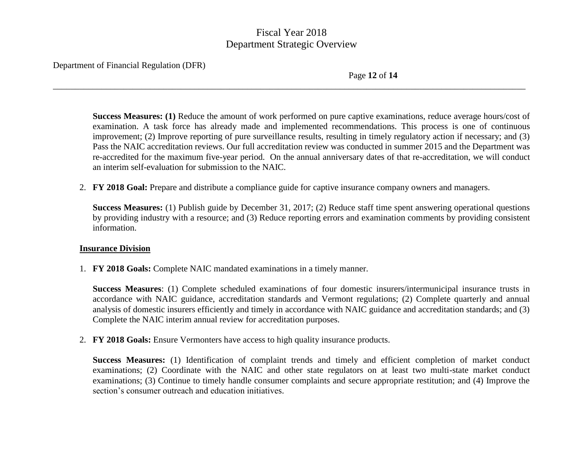\_\_\_\_\_\_\_\_\_\_\_\_\_\_\_\_\_\_\_\_\_\_\_\_\_\_\_\_\_\_\_\_\_\_\_\_\_\_\_\_\_\_\_\_\_\_\_\_\_\_\_\_\_\_\_\_\_\_\_\_\_\_\_\_\_\_\_\_\_\_\_\_\_\_\_\_\_\_\_\_\_\_\_\_\_\_\_\_\_\_\_\_\_\_\_\_\_\_\_\_\_\_\_\_\_\_\_

Department of Financial Regulation (DFR)

Page **12** of **14**

**Success Measures: (1)** Reduce the amount of work performed on pure captive examinations, reduce average hours/cost of examination. A task force has already made and implemented recommendations. This process is one of continuous improvement; (2) Improve reporting of pure surveillance results, resulting in timely regulatory action if necessary; and (3) Pass the NAIC accreditation reviews. Our full accreditation review was conducted in summer 2015 and the Department was re-accredited for the maximum five-year period. On the annual anniversary dates of that re-accreditation, we will conduct an interim self-evaluation for submission to the NAIC.

2. **FY 2018 Goal:** Prepare and distribute a compliance guide for captive insurance company owners and managers.

**Success Measures:** (1) Publish guide by December 31, 2017; (2) Reduce staff time spent answering operational questions by providing industry with a resource; and (3) Reduce reporting errors and examination comments by providing consistent information.

## **Insurance Division**

1. **FY 2018 Goals:** Complete NAIC mandated examinations in a timely manner.

**Success Measures**: (1) Complete scheduled examinations of four domestic insurers/intermunicipal insurance trusts in accordance with NAIC guidance, accreditation standards and Vermont regulations; (2) Complete quarterly and annual analysis of domestic insurers efficiently and timely in accordance with NAIC guidance and accreditation standards; and (3) Complete the NAIC interim annual review for accreditation purposes.

2. **FY 2018 Goals:** Ensure Vermonters have access to high quality insurance products.

**Success Measures:** (1) Identification of complaint trends and timely and efficient completion of market conduct examinations; (2) Coordinate with the NAIC and other state regulators on at least two multi-state market conduct examinations; (3) Continue to timely handle consumer complaints and secure appropriate restitution; and (4) Improve the section's consumer outreach and education initiatives.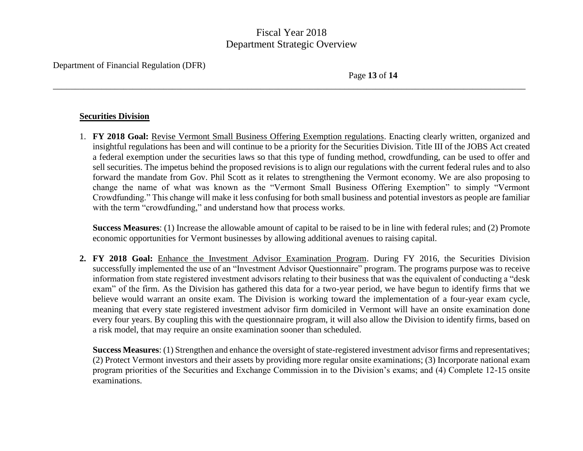\_\_\_\_\_\_\_\_\_\_\_\_\_\_\_\_\_\_\_\_\_\_\_\_\_\_\_\_\_\_\_\_\_\_\_\_\_\_\_\_\_\_\_\_\_\_\_\_\_\_\_\_\_\_\_\_\_\_\_\_\_\_\_\_\_\_\_\_\_\_\_\_\_\_\_\_\_\_\_\_\_\_\_\_\_\_\_\_\_\_\_\_\_\_\_\_\_\_\_\_\_\_\_\_\_\_\_

Department of Financial Regulation (DFR)

Page **13** of **14**

#### **Securities Division**

1. **FY 2018 Goal:** Revise Vermont Small Business Offering Exemption regulations. Enacting clearly written, organized and insightful regulations has been and will continue to be a priority for the Securities Division. Title III of the JOBS Act created a federal exemption under the securities laws so that this type of funding method, crowdfunding, can be used to offer and sell securities. The impetus behind the proposed revisions is to align our regulations with the current federal rules and to also forward the mandate from Gov. Phil Scott as it relates to strengthening the Vermont economy. We are also proposing to change the name of what was known as the "Vermont Small Business Offering Exemption" to simply "Vermont Crowdfunding." This change will make it less confusing for both small business and potential investors as people are familiar with the term "crowdfunding," and understand how that process works.

**Success Measures**: (1) Increase the allowable amount of capital to be raised to be in line with federal rules; and (2) Promote economic opportunities for Vermont businesses by allowing additional avenues to raising capital.

**2. FY 2018 Goal:** Enhance the Investment Advisor Examination Program. During FY 2016, the Securities Division successfully implemented the use of an "Investment Advisor Questionnaire" program. The programs purpose was to receive information from state registered investment advisors relating to their business that was the equivalent of conducting a "desk exam" of the firm. As the Division has gathered this data for a two-year period, we have begun to identify firms that we believe would warrant an onsite exam. The Division is working toward the implementation of a four-year exam cycle, meaning that every state registered investment advisor firm domiciled in Vermont will have an onsite examination done every four years. By coupling this with the questionnaire program, it will also allow the Division to identify firms, based on a risk model, that may require an onsite examination sooner than scheduled.

**Success Measures**: (1) Strengthen and enhance the oversight of state-registered investment advisor firms and representatives; (2) Protect Vermont investors and their assets by providing more regular onsite examinations; (3) Incorporate national exam program priorities of the Securities and Exchange Commission in to the Division's exams; and (4) Complete 12-15 onsite examinations.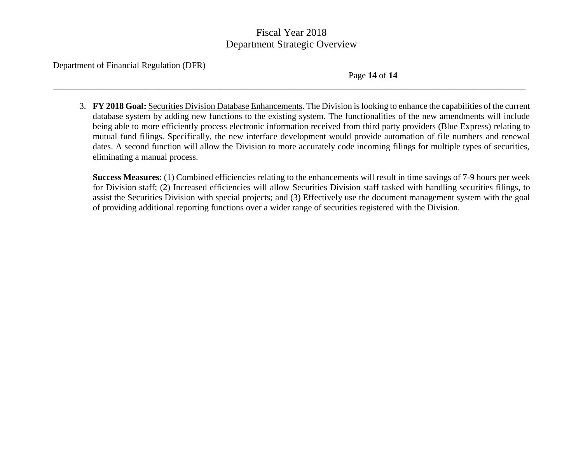\_\_\_\_\_\_\_\_\_\_\_\_\_\_\_\_\_\_\_\_\_\_\_\_\_\_\_\_\_\_\_\_\_\_\_\_\_\_\_\_\_\_\_\_\_\_\_\_\_\_\_\_\_\_\_\_\_\_\_\_\_\_\_\_\_\_\_\_\_\_\_\_\_\_\_\_\_\_\_\_\_\_\_\_\_\_\_\_\_\_\_\_\_\_\_\_\_\_\_\_\_\_\_\_\_\_\_

Department of Financial Regulation (DFR)

Page **14** of **14**

3. **FY 2018 Goal:** Securities Division Database Enhancements. The Division is looking to enhance the capabilities of the current database system by adding new functions to the existing system. The functionalities of the new amendments will include being able to more efficiently process electronic information received from third party providers (Blue Express) relating to mutual fund filings. Specifically, the new interface development would provide automation of file numbers and renewal dates. A second function will allow the Division to more accurately code incoming filings for multiple types of securities, eliminating a manual process.

**Success Measures**: (1) Combined efficiencies relating to the enhancements will result in time savings of 7-9 hours per week for Division staff; (2) Increased efficiencies will allow Securities Division staff tasked with handling securities filings, to assist the Securities Division with special projects; and (3) Effectively use the document management system with the goal of providing additional reporting functions over a wider range of securities registered with the Division.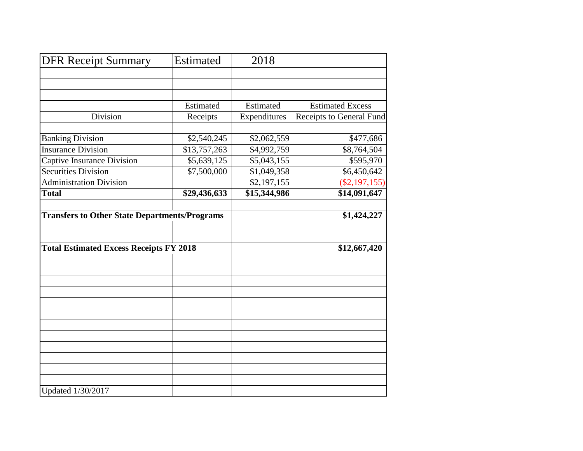| <b>DFR Receipt Summary</b>                           | <b>Estimated</b> | 2018         |                          |
|------------------------------------------------------|------------------|--------------|--------------------------|
|                                                      |                  |              |                          |
|                                                      |                  |              |                          |
|                                                      |                  |              |                          |
|                                                      | Estimated        | Estimated    | <b>Estimated Excess</b>  |
| Division                                             | Receipts         | Expenditures | Receipts to General Fund |
| <b>Banking Division</b>                              | \$2,540,245      | \$2,062,559  | \$477,686                |
| <b>Insurance Division</b>                            | \$13,757,263     | \$4,992,759  | \$8,764,504              |
| Captive Insurance Division                           | \$5,639,125      | \$5,043,155  | \$595,970                |
| <b>Securities Division</b>                           | \$7,500,000      | \$1,049,358  | \$6,450,642              |
| <b>Administration Division</b>                       |                  | \$2,197,155  | $(\$2,197,155)$          |
| <b>Total</b>                                         | \$29,436,633     | \$15,344,986 | \$14,091,647             |
|                                                      |                  |              |                          |
| <b>Transfers to Other State Departments/Programs</b> |                  |              | \$1,424,227              |
|                                                      |                  |              |                          |
|                                                      |                  |              |                          |
| <b>Total Estimated Excess Receipts FY 2018</b>       |                  |              | \$12,667,420             |
|                                                      |                  |              |                          |
|                                                      |                  |              |                          |
|                                                      |                  |              |                          |
|                                                      |                  |              |                          |
|                                                      |                  |              |                          |
|                                                      |                  |              |                          |
|                                                      |                  |              |                          |
|                                                      |                  |              |                          |
|                                                      |                  |              |                          |
|                                                      |                  |              |                          |
|                                                      |                  |              |                          |
| Updated 1/30/2017                                    |                  |              |                          |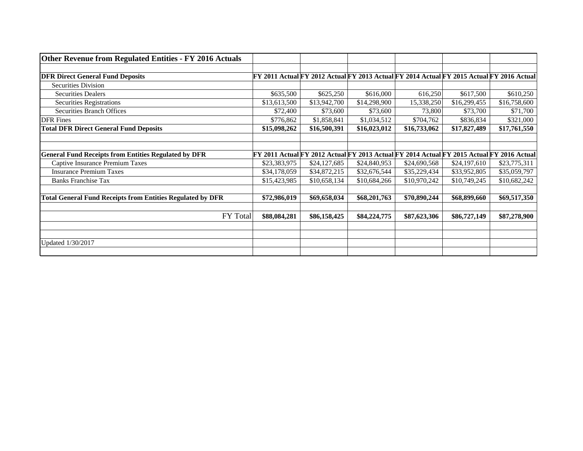| <b>Other Revenue from Regulated Entities - FY 2016 Actuals</b>    |              |                                                                                                  |              |              |              |              |
|-------------------------------------------------------------------|--------------|--------------------------------------------------------------------------------------------------|--------------|--------------|--------------|--------------|
|                                                                   |              |                                                                                                  |              |              |              |              |
| <b>DFR Direct General Fund Deposits</b>                           |              | <b>FY 2011 Actual FY 2012 Actual FY 2013 Actual FY 2014 Actual FY 2015 Actual FY 2016 Actual</b> |              |              |              |              |
| <b>Securities Division</b>                                        |              |                                                                                                  |              |              |              |              |
| <b>Securities Dealers</b>                                         | \$635,500    | \$625,250                                                                                        | \$616,000    | 616,250      | \$617,500    | \$610,250    |
| <b>Securities Registrations</b>                                   | \$13,613,500 | \$13,942,700                                                                                     | \$14,298,900 | 15,338,250   | \$16,299,455 | \$16,758,600 |
| <b>Securities Branch Offices</b>                                  | \$72,400     | \$73,600                                                                                         | \$73,600     | 73,800       | \$73,700     | \$71,700     |
| <b>DFR</b> Fines                                                  | \$776,862    | \$1,858,841                                                                                      | \$1,034,512  | \$704,762    | \$836,834    | \$321,000    |
| <b>Total DFR Direct General Fund Deposits</b>                     | \$15,098,262 | \$16,500,391                                                                                     | \$16,023,012 | \$16,733,062 | \$17,827,489 | \$17,761,550 |
|                                                                   |              |                                                                                                  |              |              |              |              |
|                                                                   |              |                                                                                                  |              |              |              |              |
| <b>General Fund Receipts from Entities Regulated by DFR</b>       |              | FY 2011 Actual FY 2012 Actual FY 2013 Actual FY 2014 Actual FY 2015 Actual FY 2016 Actual        |              |              |              |              |
| <b>Captive Insurance Premium Taxes</b>                            | \$23,383,975 | \$24,127,685                                                                                     | \$24,840,953 | \$24,690,568 | \$24,197,610 | \$23,775,311 |
| <b>Insurance Premium Taxes</b>                                    | \$34,178,059 | \$34,872,215                                                                                     | \$32,676,544 | \$35,229,434 | \$33,952,805 | \$35,059,797 |
| <b>Banks Franchise Tax</b>                                        | \$15,423,985 | \$10,658,134                                                                                     | \$10,684,266 | \$10,970,242 | \$10,749,245 | \$10,682,242 |
|                                                                   |              |                                                                                                  |              |              |              |              |
| <b>Total General Fund Receipts from Entities Regulated by DFR</b> | \$72,986,019 | \$69,658,034                                                                                     | \$68,201,763 | \$70,890,244 | \$68,899,660 | \$69,517,350 |
|                                                                   |              |                                                                                                  |              |              |              |              |
| FY Total                                                          | \$88,084,281 | \$86,158,425                                                                                     | \$84,224,775 | \$87,623,306 | \$86,727,149 | \$87,278,900 |
|                                                                   |              |                                                                                                  |              |              |              |              |
|                                                                   |              |                                                                                                  |              |              |              |              |
| Updated 1/30/2017                                                 |              |                                                                                                  |              |              |              |              |
|                                                                   |              |                                                                                                  |              |              |              |              |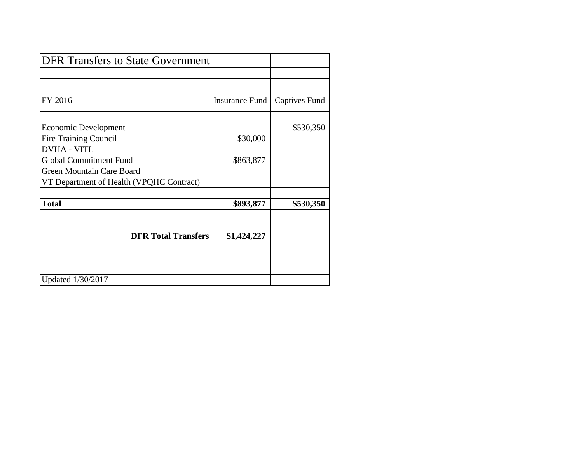| <b>DFR Transfers to State Government</b> |                |                      |
|------------------------------------------|----------------|----------------------|
|                                          |                |                      |
|                                          |                |                      |
| FY 2016                                  | Insurance Fund | <b>Captives Fund</b> |
| <b>Economic Development</b>              |                | \$530,350            |
| <b>Fire Training Council</b>             | \$30,000       |                      |
| <b>DVHA - VITL</b>                       |                |                      |
| <b>Global Commitment Fund</b>            | \$863,877      |                      |
| Green Mountain Care Board                |                |                      |
| VT Department of Health (VPQHC Contract) |                |                      |
| <b>Total</b>                             | \$893,877      | \$530,350            |
| <b>DFR Total Transfers</b>               | \$1,424,227    |                      |
|                                          |                |                      |
|                                          |                |                      |
| Updated 1/30/2017                        |                |                      |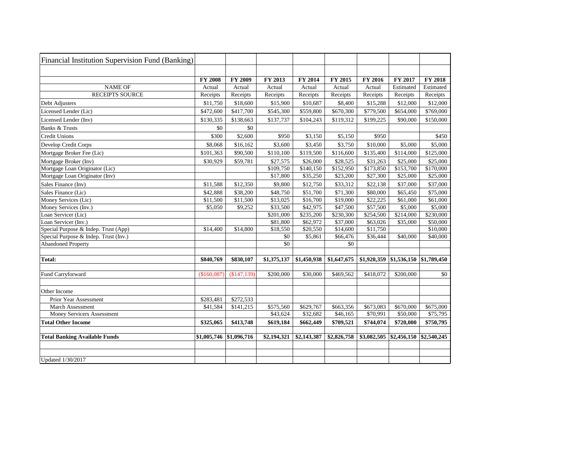| <b>Financial Institution Supervision Fund (Banking)</b> |                |                |             |             |             |                |                                        |                |
|---------------------------------------------------------|----------------|----------------|-------------|-------------|-------------|----------------|----------------------------------------|----------------|
|                                                         |                |                |             |             |             |                |                                        |                |
|                                                         | <b>FY 2008</b> | <b>FY 2009</b> | FY 2013     | FY 2014     | FY 2015     | <b>FY 2016</b> | <b>FY 2017</b>                         | <b>FY 2018</b> |
| <b>NAME OF</b>                                          | Actual         | Actual         | Actual      | Actual      | Actual      | Actual         | Estimated                              | Estimated      |
| <b>RECEIPTS SOURCE</b>                                  | Receipts       | Receipts       | Receipts    | Receipts    | Receipts    | Receipts       | Receipts                               | Receipts       |
| Debt Adjusters                                          | \$11,750       | \$18,600       | \$15,900    | \$10,687    | \$8,400     | \$15,288       | \$12,000                               | \$12,000       |
| Licensed Lender (Lic)                                   | \$472,600      | \$417,700      | \$545,300   | \$559,800   | \$670,300   | \$779,500      | \$654,000                              | \$769,000      |
| Licensed Lender (Inv)                                   | \$130,335      | \$138,663      | \$137,737   | \$104,243   | \$119,312   | \$199,225      | \$90,000                               | \$150,000      |
| <b>Banks &amp; Trusts</b>                               | \$0            | \$0            |             |             |             |                |                                        |                |
| <b>Credit Unions</b>                                    | \$300          | \$2,600        | \$950       | \$3,150     | \$5,150     | \$950          |                                        | \$450          |
| Develop Credit Corps                                    | \$8,068        | \$16,162       | \$3,600     | \$3,450     | \$3,750     | \$10,000       | \$5,000                                | \$5,000        |
| Mortgage Broker Fee (Lic)                               | \$101,363      | \$90,500       | \$110,100   | \$119,500   | \$116,600   | \$135,400      | \$114,000                              | \$125,000      |
| Mortgage Broker (Inv)                                   | \$30,929       | \$59,781       | \$27,575    | \$26,000    | \$28,525    | \$31,263       | \$25,000                               | \$25,000       |
| Mortgage Loan Originator (Lic)                          |                |                | \$109,750   | \$140,150   | \$152,950   | \$173,850      | \$153,700                              | \$170,000      |
| Mortgage Loan Originator (Inv)                          |                |                | \$17,800    | \$35,250    | \$23,200    | \$27,300       | \$25,000                               | \$25,000       |
| Sales Finance (Inv)                                     | \$11,588       | \$12,350       | \$9,800     | \$12,750    | \$33,312    | \$22,138       | \$37,000                               | \$37,000       |
| Sales Finance (Lic)                                     | \$42,888       | \$38,200       | \$48,750    | \$51,700    | \$71,300    | \$80,000       | \$65,450                               | \$75,000       |
| Money Services (Lic)                                    | \$11,500       | \$11,500       | \$13,025    | \$16,700    | \$19,000    | \$22,225       | \$61,000                               | \$61,000       |
| Money Services (Inv.)                                   | \$5,050        | \$9,252        | \$33,500    | \$42,975    | \$47,500    | \$57,500       | \$5,000                                | \$5,000        |
| Loan Servicer (Lic)                                     |                |                | \$201,000   | \$235,200   | \$230,300   | \$254,500      | \$214,000                              | \$230,000      |
| Loan Servicer (Inv.)                                    |                |                | \$81,800    | \$62,972    | \$37,000    | \$63,026       | \$35,000                               | \$50,000       |
| Special Purpose & Indep. Trust (App)                    | \$14,400       | \$14,800       | \$18,550    | \$20,550    | \$14,600    | \$11,750       |                                        | \$10,000       |
| Special Purpose & Indep. Trust (Inv.)                   |                |                | \$0         | \$5,861     | \$66,476    | \$36,444       | \$40,000                               | \$40,000       |
| <b>Abandoned Property</b>                               |                |                | \$0         |             | \$0         |                |                                        |                |
| <b>Total:</b>                                           | \$840,769      | \$830,107      | \$1,375,137 | \$1,450,938 | \$1,647,675 |                | $$1,920,359$ $$1,536,150$ $$1,789,450$ |                |
|                                                         |                |                |             |             |             |                |                                        |                |
| <b>Fund Carryforward</b>                                | (\$160,087)    | (\$147,139)    | \$200,000   | \$30,000    | \$469,562   | \$418,072      | \$200,000                              | \$0            |
| Other Income                                            |                |                |             |             |             |                |                                        |                |
| Prior Year Assessment                                   | \$283,481      | \$272,533      |             |             |             |                |                                        |                |
| March Assessment                                        | \$41,584       | \$141,215      | \$575,560   | \$629,767   | \$663,356   | \$673,083      | \$670,000                              | \$675,000      |
| <b>Money Servicers Assessment</b>                       |                |                | \$43,624    | \$32,682    | \$46,165    | \$70,991       | \$50,000                               | \$75,795       |
| <b>Total Other Income</b>                               | \$325,065      | \$413,748      | \$619,184   | \$662,449   | \$709,521   | \$744,074      | \$720,000                              | \$750,795      |
| <b>Total Banking Available Funds</b>                    | \$1,005,746    | \$1,096,716    | \$2,194,321 | \$2,143,387 | \$2,826,758 | \$3,082,505    | \$2,456,150                            | \$2,540,245    |
| Updated 1/30/2017                                       |                |                |             |             |             |                |                                        |                |

| 018                                                         |
|-------------------------------------------------------------|
| ated                                                        |
| <u>ipts</u>                                                 |
| .000                                                        |
| .000<br>)                                                   |
| .000                                                        |
|                                                             |
| \$450                                                       |
| $\frac{0.000}{2}$                                           |
| .000<br>)                                                   |
| .000<br>Ì                                                   |
| .000                                                        |
| .000<br>)                                                   |
| $\lambda$<br>X<br>)<br>$\cdot$ <sup>(</sup>                 |
| X<br>X<br>)<br>$\cdot$ <sup>(</sup>                         |
| 00<<br>)<br>$\cdot$ <sup>(</sup>                            |
| .000                                                        |
| $\frac{0}{00}$<br>℩                                         |
| .000                                                        |
| .000<br>$\lambda$<br>$\lambda$<br>)<br>$\cdot$ <sup>(</sup> |
|                                                             |
|                                                             |
| 450<br><u>,</u>                                             |
|                                                             |
| $\hat{\mathbf{S}}$<br>١                                     |
|                                                             |
|                                                             |
|                                                             |
| )00<br>(                                                    |
|                                                             |
| ŋ                                                           |
|                                                             |
| l                                                           |
|                                                             |
|                                                             |
|                                                             |

 $\overline{\phantom{0}}$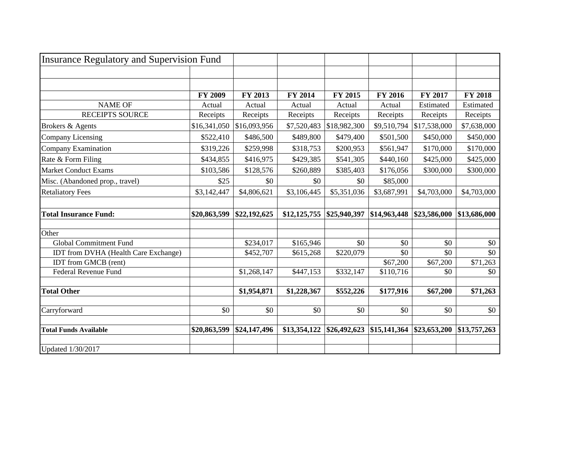| <b>Insurance Regulatory and Supervision Fund</b>                    |                |              |              |              |                |                 |                 |
|---------------------------------------------------------------------|----------------|--------------|--------------|--------------|----------------|-----------------|-----------------|
|                                                                     |                |              |              |              |                |                 |                 |
|                                                                     |                |              |              |              |                |                 |                 |
|                                                                     | <b>FY 2009</b> | FY 2013      | FY 2014      | FY 2015      | <b>FY 2016</b> | FY 2017         | <b>FY 2018</b>  |
| <b>NAME OF</b>                                                      | Actual         | Actual       | Actual       | Actual       | Actual         | Estimated       | Estimated       |
| <b>RECEIPTS SOURCE</b>                                              | Receipts       | Receipts     | Receipts     | Receipts     | Receipts       | Receipts        | Receipts        |
| Brokers & Agents                                                    | \$16,341,050   | \$16,093,956 | \$7,520,483  | \$18,982,300 | \$9,510,794    | \$17,538,000    | \$7,638,000     |
| Company Licensing                                                   | \$522,410      | \$486,500    | \$489,800    | \$479,400    | \$501,500      | \$450,000       | \$450,000       |
| <b>Company Examination</b>                                          | \$319,226      | \$259,998    | \$318,753    | \$200,953    | \$561,947      | \$170,000       | \$170,000       |
| Rate & Form Filing                                                  | \$434,855      | \$416,975    | \$429,385    | \$541,305    | \$440,160      | \$425,000       | \$425,000       |
| <b>Market Conduct Exams</b>                                         | \$103,586      | \$128,576    | \$260,889    | \$385,403    | \$176,056      | \$300,000       | \$300,000       |
| Misc. (Abandoned prop., travel)                                     | \$25           | \$0          | \$0          | \$0          | \$85,000       |                 |                 |
| <b>Retaliatory Fees</b>                                             | \$3,142,447    | \$4,806,621  | \$3,106,445  | \$5,351,036  | \$3,687,991    | \$4,703,000     | \$4,703,000     |
|                                                                     |                |              |              |              |                |                 |                 |
| <b>Total Insurance Fund:</b>                                        | \$20,863,599   | \$22,192,625 | \$12,125,755 | \$25,940,397 | \$14,963,448   | \$23,586,000    | \$13,686,000    |
|                                                                     |                |              |              |              |                |                 |                 |
| Other                                                               |                |              |              |              |                |                 |                 |
| <b>Global Commitment Fund</b>                                       |                | \$234,017    | \$165,946    | \$0          | \$0            | \$0             | \$0             |
| IDT from DVHA (Health Care Exchange)<br><b>IDT</b> from GMCB (rent) |                | \$452,707    | \$615,268    | \$220,079    | \$0            | \$0             | \$0<br>\$71,263 |
| Federal Revenue Fund                                                |                |              |              |              | \$67,200       | \$67,200<br>\$0 | \$0             |
|                                                                     |                | \$1,268,147  | \$447,153    | \$332,147    | \$110,716      |                 |                 |
| <b>Total Other</b>                                                  |                | \$1,954,871  | \$1,228,367  | \$552,226    | \$177,916      | \$67,200        | \$71,263        |
| Carryforward                                                        | \$0            | \$0          | \$0          | \$0          | \$0            | \$0             | \$0             |
| <b>Total Funds Available</b>                                        | \$20,863,599   | \$24,147,496 | \$13,354,122 | \$26,492,623 | \$15,141,364   | \$23,653,200    | \$13,757,263    |
| Updated 1/30/2017                                                   |                |              |              |              |                |                 |                 |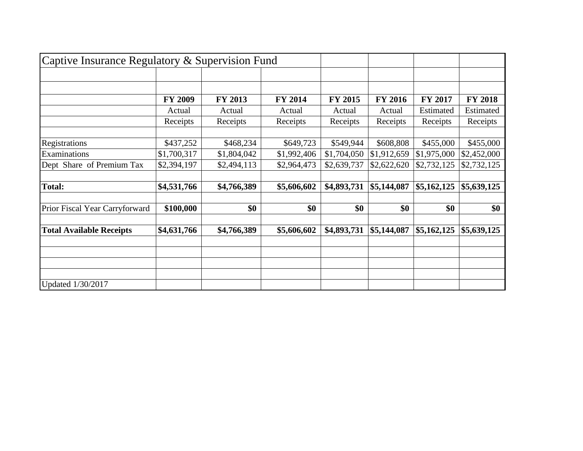| Captive Insurance Regulatory & Supervision Fund |                |             |                |                |                |                       |                |
|-------------------------------------------------|----------------|-------------|----------------|----------------|----------------|-----------------------|----------------|
|                                                 |                |             |                |                |                |                       |                |
|                                                 | <b>FY 2009</b> | FY 2013     | <b>FY 2014</b> | <b>FY 2015</b> | <b>FY 2016</b> | <b>FY 2017</b>        | <b>FY 2018</b> |
|                                                 | Actual         | Actual      | Actual         | Actual         | Actual         | Estimated             | Estimated      |
|                                                 | Receipts       | Receipts    | Receipts       | Receipts       | Receipts       | Receipts              | Receipts       |
|                                                 |                |             |                |                |                |                       |                |
| Registrations                                   | \$437,252      | \$468,234   | \$649,723      | \$549,944      | \$608,808      | \$455,000             | \$455,000      |
| Examinations                                    | \$1,700,317    | \$1,804,042 | \$1,992,406    | \$1,704,050    | \$1,912,659    | \$1,975,000           | \$2,452,000    |
| Dept Share of Premium Tax                       | \$2,394,197    | \$2,494,113 | \$2,964,473    | \$2,639,737    | \$2,622,620    | \$2,732,125           | \$2,732,125    |
| <b>Total:</b>                                   | \$4,531,766    | \$4,766,389 | \$5,606,602    | \$4,893,731    | \$5,144,087    | $\frac{$5,162,125}{}$ | \$5,639,125    |
| Prior Fiscal Year Carryforward                  | \$100,000      | \$0         | \$0            | \$0            | \$0            | \$0                   | \$0            |
| <b>Total Available Receipts</b>                 | \$4,631,766    | \$4,766,389 | \$5,606,602    | \$4,893,731    | \$5,144,087    | \$5,162,125           | \$5,639,125    |
|                                                 |                |             |                |                |                |                       |                |
|                                                 |                |             |                |                |                |                       |                |
| Updated 1/30/2017                               |                |             |                |                |                |                       |                |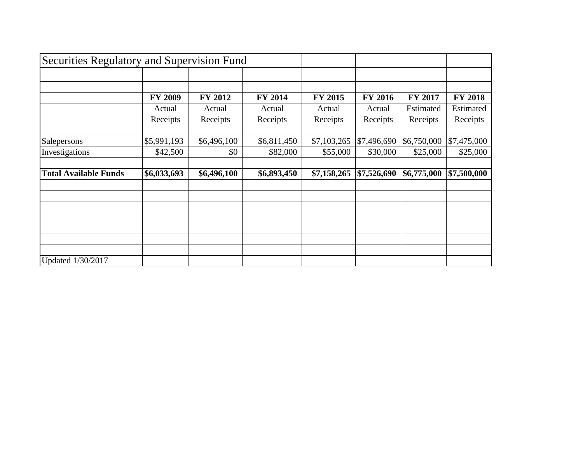| Securities Regulatory and Supervision Fund |                |                |                |                |                |             |                |
|--------------------------------------------|----------------|----------------|----------------|----------------|----------------|-------------|----------------|
|                                            |                |                |                |                |                |             |                |
|                                            |                |                |                |                |                |             |                |
|                                            | <b>FY 2009</b> | <b>FY 2012</b> | <b>FY 2014</b> | <b>FY 2015</b> | <b>FY 2016</b> | FY 2017     | <b>FY 2018</b> |
|                                            | Actual         | Actual         | Actual         | Actual         | Actual         | Estimated   | Estimated      |
|                                            | Receipts       | Receipts       | Receipts       | Receipts       | Receipts       | Receipts    | Receipts       |
|                                            |                |                |                |                |                |             |                |
| Salepersons                                | \$5,991,193    | \$6,496,100    | \$6,811,450    | \$7,103,265    | \$7,496,690    | \$6,750,000 | \$7,475,000    |
| Investigations                             | \$42,500       | \$0            | \$82,000       | \$55,000       | \$30,000       | \$25,000    | \$25,000       |
|                                            |                |                |                |                |                |             |                |
| <b>Total Available Funds</b>               | \$6,033,693    | \$6,496,100    | \$6,893,450    | \$7,158,265    | \$7,526,690    | \$6,775,000 | \$7,500,000    |
|                                            |                |                |                |                |                |             |                |
|                                            |                |                |                |                |                |             |                |
|                                            |                |                |                |                |                |             |                |
|                                            |                |                |                |                |                |             |                |
|                                            |                |                |                |                |                |             |                |
|                                            |                |                |                |                |                |             |                |
|                                            |                |                |                |                |                |             |                |
| Updated 1/30/2017                          |                |                |                |                |                |             |                |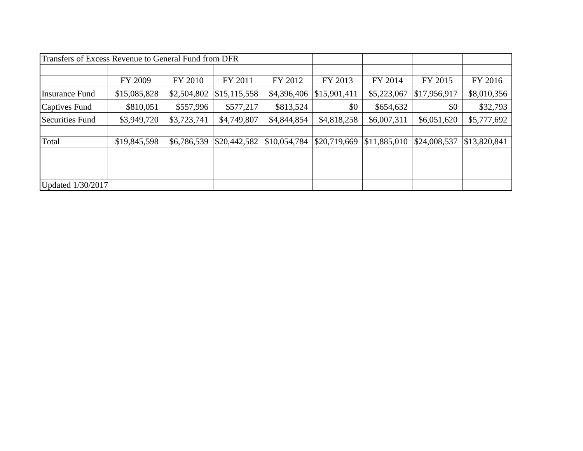| Transfers of Excess Revenue to General Fund from DFR |              |             |                |              |              |              |              |              |
|------------------------------------------------------|--------------|-------------|----------------|--------------|--------------|--------------|--------------|--------------|
|                                                      | FY 2009      | FY 2010     | FY 2011        | FY 2012      | FY 2013      | FY 2014      | FY 2015      | FY 2016      |
| Insurance Fund                                       | \$15,085,828 | \$2,504,802 | \$15, 115, 558 | \$4,396,406  | \$15,901,411 | \$5,223,067  | \$17,956,917 | \$8,010,356  |
| Captives Fund                                        | \$810,051    | \$557,996   | \$577,217      | \$813,524    | \$0          | \$654,632    | \$0          | \$32,793     |
| Securities Fund                                      | \$3,949,720  | \$3,723,741 | \$4,749,807    | \$4,844,854  | \$4,818,258  | \$6,007,311  | \$6,051,620  | \$5,777,692  |
| Total                                                | \$19,845,598 | \$6,786,539 | \$20,442,582   | \$10,054,784 | \$20,719,669 | \$11,885,010 | \$24,008,537 | \$13,820,841 |
|                                                      |              |             |                |              |              |              |              |              |
| Updated 1/30/2017                                    |              |             |                |              |              |              |              |              |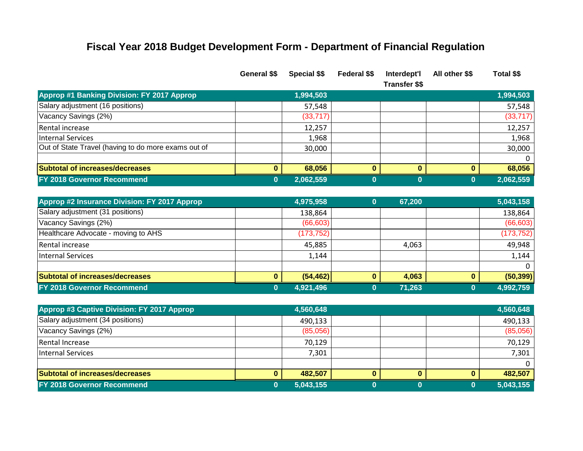# **Fiscal Year 2018 Budget Development Form - Department of Financial Regulation**

|                                                     | <b>General SS</b> | <b>Special \$\$</b> | Federal \$\$ | Interdept'l<br><b>Transfer \$\$</b> | All other \$\$ | Total \$\$ |
|-----------------------------------------------------|-------------------|---------------------|--------------|-------------------------------------|----------------|------------|
| <b>Approp #1 Banking Division: FY 2017 Approp</b>   |                   | 1,994,503           |              |                                     |                | 1,994,503  |
| Salary adjustment (16 positions)                    |                   | 57,548              |              |                                     |                | 57,548     |
| Vacancy Savings (2%)                                |                   | (33, 717)           |              |                                     |                | (33, 717)  |
| Rental increase                                     |                   | 12,257              |              |                                     |                | 12,257     |
| Internal Services                                   |                   | 1,968               |              |                                     |                | 1,968      |
| Out of State Travel (having to do more exams out of |                   | 30,000              |              |                                     |                | 30,000     |
|                                                     |                   |                     |              |                                     |                |            |
| <b>Subtotal of increases/decreases</b>              |                   | 68,056              |              |                                     | o              | 68,056     |
| FY 2018 Governor Recommend                          |                   | 2,062,559           |              |                                     |                | 2,062,559  |

| Approp #2 Insurance Division: FY 2017 Approp | 4,975,958  | 67.200 | 5,043,158  |
|----------------------------------------------|------------|--------|------------|
| Salary adjustment (31 positions)             | 138,864    |        | 138,864    |
| Vacancy Savings (2%)                         | (66, 603)  |        | (66, 603)  |
| Healthcare Advocate - moving to AHS          | (173, 752) |        | (173, 752) |
| Rental increase                              | 45,885     | 4,063  | 49,948     |
| Internal Services                            | 1,144      |        | 1,144      |
|                                              |            |        |            |
| <b>Subtotal of increases/decreases</b>       | (54, 462)  | 4,063  | (50, 399)  |
| FY 2018 Governor Recommend                   | 4,921,496  | 71,263 | 4,992,759  |

| Approp #3 Captive Division: FY 2017 Approp | 4,560,648 |  | 4,560,648 |
|--------------------------------------------|-----------|--|-----------|
| Salary adjustment (34 positions)           | 490,133   |  | 490,133   |
| Vacancy Savings (2%)                       | (85,056)  |  | (85,056)  |
| Rental Increase                            | 70,129    |  | 70,129    |
| Internal Services                          | 7,301     |  | 7,301     |
|                                            |           |  |           |
| <b>Subtotal of increases/decreases</b>     | 482,507   |  | 482,507   |
| <b>FY 2018 Governor Recommend</b>          | 5,043,155 |  | 5,043,155 |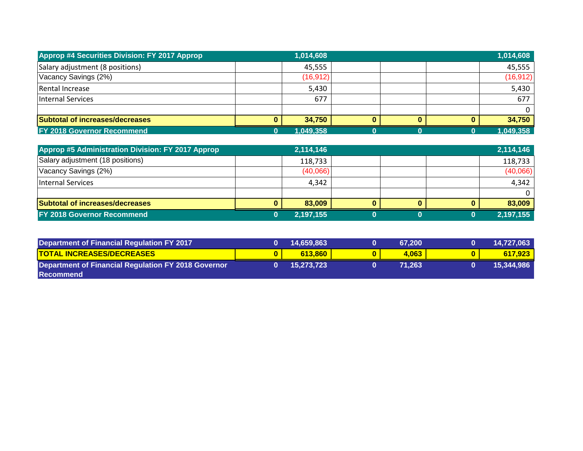| <b>Approp #4 Securities Division: FY 2017 Approp</b> | 1,014,608 |  |   | 1,014,608 |
|------------------------------------------------------|-----------|--|---|-----------|
| Salary adjustment (8 positions)                      | 45,555    |  |   | 45,555    |
| Vacancy Savings (2%)                                 | (16,912)  |  |   | (16, 912) |
| Rental Increase                                      | 5,430     |  |   | 5,430     |
| Internal Services                                    | 677       |  |   | 677       |
|                                                      |           |  |   | $\Omega$  |
| <b>Subtotal of increases/decreases</b>               | 34,750    |  | 0 | 34,750    |
| <b>FY 2018 Governor Recommend</b>                    | 1,049,358 |  |   | 1,049,358 |

| Approp #5 Administration Division: FY 2017 Approp |   | 2,114,146 |  | 2,114,146 |
|---------------------------------------------------|---|-----------|--|-----------|
| Salary adjustment (18 positions)                  |   | 118,733   |  | 118,733   |
| Vacancy Savings (2%)                              |   | (40,066)  |  | (40,066)  |
| Internal Services                                 |   | 4,342     |  | 4,342     |
|                                                   |   |           |  | $\Omega$  |
| <b>Subtotal of increases/decreases</b>            | 0 | 83,009    |  | 83,009    |
| <b>FY 2018 Governor Recommend</b>                 |   | 2,197,155 |  | 2,197,155 |

| Department of Financial Regulation FY 2017                 | 14,659,863 | 67.200 | 14,727,063 |
|------------------------------------------------------------|------------|--------|------------|
| <b>TOTAL INCREASES/DECREASES</b>                           | 613,860    | 4,063  | 617.923    |
| <b>Department of Financial Regulation FY 2018 Governor</b> | 15,273,723 | 71.263 | 15,344,986 |
| l Recommend                                                |            |        |            |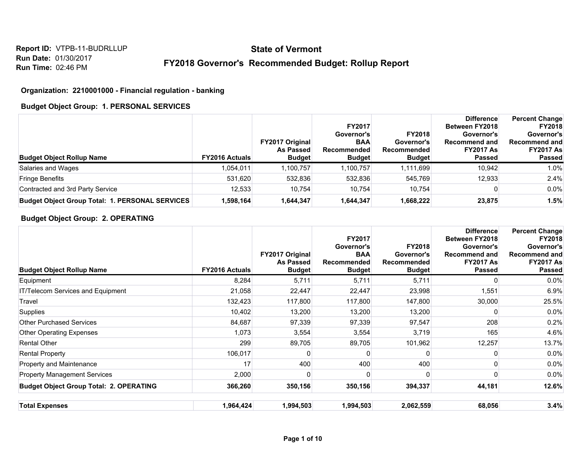# **State of Vermont**

## **FY2018 Governor's Recommended Budget: Rollup Report**

#### **Organization: 2210001000 - Financial regulation - banking**

#### **Budget Object Group: 1. PERSONAL SERVICES**

| <b>Budget Object Rollup Name</b>                       | <b>FY2016 Actuals</b> | <b>FY2017 Original</b><br><b>As Passed</b><br><b>Budget</b> | <b>FY2017</b><br>Governor's<br><b>BAA</b><br><b>Recommended</b><br><b>Budget</b> | <b>FY2018</b><br>Governor's<br>Recommended<br><b>Budget</b> | <b>Difference</b><br>Between FY2018<br>Governor's<br>Recommend and<br><b>FY2017 As</b><br><b>Passed</b> | <b>Percent Change</b><br><b>FY2018</b><br>Governor's<br><b>Recommend and</b><br><b>FY2017 As</b><br><b>Passed</b> |
|--------------------------------------------------------|-----------------------|-------------------------------------------------------------|----------------------------------------------------------------------------------|-------------------------------------------------------------|---------------------------------------------------------------------------------------------------------|-------------------------------------------------------------------------------------------------------------------|
| Salaries and Wages                                     | 1.054.011             | 1,100,757                                                   | 1,100,757                                                                        | 1.111.699                                                   | 10.942                                                                                                  | 1.0%                                                                                                              |
| <b>Fringe Benefits</b>                                 | 531,620               | 532,836                                                     | 532.836                                                                          | 545.769                                                     | 12.933                                                                                                  | 2.4%                                                                                                              |
| Contracted and 3rd Party Service                       | 12,533                | 10.754                                                      | 10.754                                                                           | 10.754                                                      |                                                                                                         | $0.0\%$                                                                                                           |
| <b>Budget Object Group Total: 1. PERSONAL SERVICES</b> | 1,598,164             | 644,347.ا                                                   | 1,644,347                                                                        | 1,668,222                                                   | 23,875                                                                                                  | 1.5%                                                                                                              |

#### **Budget Object Group: 2. OPERATING**

| <b>Budget Object Rollup Name</b>               | <b>FY2016 Actuals</b> | FY2017 Original<br><b>As Passed</b><br><b>Budget</b> | <b>FY2017</b><br>Governor's<br><b>BAA</b><br><b>Recommended</b><br><b>Budget</b> | FY2018<br>Governor's<br><b>Recommended</b><br><b>Budget</b> | <b>Difference</b><br>Between FY2018<br>Governor's<br>Recommend and<br><b>FY2017 As</b><br><b>Passed</b> | <b>Percent Change</b><br><b>FY2018</b><br>Governor's<br><b>Recommend and</b><br><b>FY2017 As</b><br><b>Passed</b> |
|------------------------------------------------|-----------------------|------------------------------------------------------|----------------------------------------------------------------------------------|-------------------------------------------------------------|---------------------------------------------------------------------------------------------------------|-------------------------------------------------------------------------------------------------------------------|
| Equipment                                      | 8,284                 | 5,711                                                | 5,711                                                                            | 5,711                                                       | O                                                                                                       | $0.0\%$                                                                                                           |
| IT/Telecom Services and Equipment              | 21,058                | 22,447                                               | 22,447                                                                           | 23,998                                                      | 1,551                                                                                                   | 6.9%                                                                                                              |
| Travel                                         | 132,423               | 117,800                                              | 117,800                                                                          | 147,800                                                     | 30,000                                                                                                  | 25.5%                                                                                                             |
| Supplies                                       | 10,402                | 13,200                                               | 13,200                                                                           | 13,200                                                      | ŋ                                                                                                       | $0.0\%$                                                                                                           |
| <b>Other Purchased Services</b>                | 84,687                | 97,339                                               | 97,339                                                                           | 97,547                                                      | 208                                                                                                     | 0.2%                                                                                                              |
| <b>Other Operating Expenses</b>                | 1,073                 | 3,554                                                | 3,554                                                                            | 3,719                                                       | 165                                                                                                     | 4.6%                                                                                                              |
| <b>Rental Other</b>                            | 299                   | 89,705                                               | 89,705                                                                           | 101,962                                                     | 12,257                                                                                                  | 13.7%                                                                                                             |
| Rental Property                                | 106,017               |                                                      |                                                                                  |                                                             |                                                                                                         | 0.0%                                                                                                              |
| Property and Maintenance                       | 17                    | 400                                                  | 400                                                                              | 400                                                         |                                                                                                         | $0.0\%$                                                                                                           |
| <b>Property Management Services</b>            | 2,000                 |                                                      | 0                                                                                | 0                                                           |                                                                                                         | $0.0\%$                                                                                                           |
| <b>Budget Object Group Total: 2. OPERATING</b> | 366,260               | 350,156                                              | 350,156                                                                          | 394,337                                                     | 44,181                                                                                                  | 12.6%                                                                                                             |
| <b>Total Expenses</b>                          | 1,964,424             | 1,994,503                                            | 1,994,503                                                                        | 2,062,559                                                   | 68,056                                                                                                  | 3.4%                                                                                                              |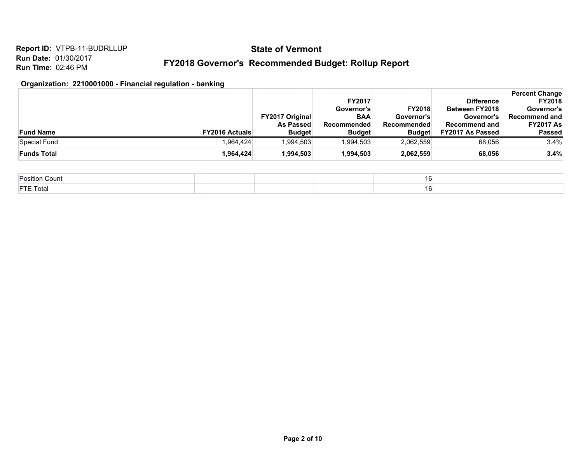## **State of Vermont**

#### **FY2018 Governor's Recommended Budget: Rollup Report**

#### **Organization: 2210001000 - Financial regulation - banking**

|                    |                                        | <b>FY2017</b> |               | <b>Difference</b>       | <b>Percent Change</b><br><b>FY2018</b> |
|--------------------|----------------------------------------|---------------|---------------|-------------------------|----------------------------------------|
|                    |                                        | Governor's    | <b>FY2018</b> | <b>Between FY2018</b>   | Governor's                             |
|                    | <b>FY2017 Original</b>                 | <b>BAA</b>    | Governor's    | Governor's              | Recommend and                          |
|                    | <b>As Passed</b>                       | Recommended   | Recommended   | <b>Recommend and</b>    | <b>FY2017 As</b>                       |
| <b>Fund Name</b>   | <b>FY2016 Actuals</b><br><b>Budget</b> | <b>Budget</b> | <b>Budget</b> | <b>FY2017 As Passed</b> | Passed                                 |
| Special Fund       | .994,503<br>964.424                    | 1.994.503     | 2,062,559     | 68.056                  | 3.4%                                   |
| <b>Funds Total</b> | 1,994,503<br>1,964,424                 | 1.994.503     | 2,062,559     | 68,056                  | 3.4%                                   |

| <b>Position Count</b> | 16 |  |
|-----------------------|----|--|
| <b>FTE Total</b>      | 16 |  |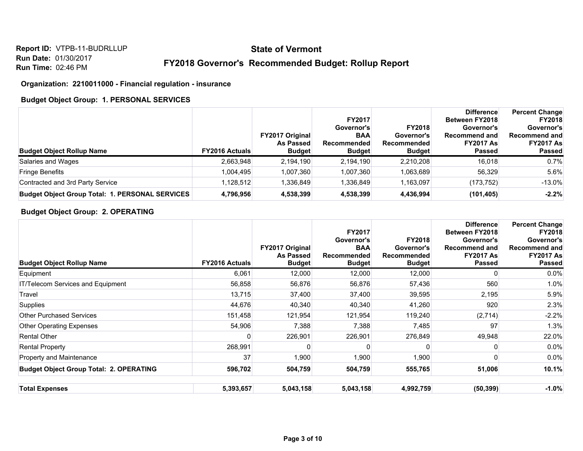## **State of Vermont**

#### **FY2018 Governor's Recommended Budget: Rollup Report**

#### **Organization: 2210011000 - Financial regulation - insurance**

#### **Budget Object Group: 1. PERSONAL SERVICES**

| <b>Budget Object Rollup Name</b>                       | <b>FY2016 Actuals</b> | <b>FY2017 Original</b><br><b>As Passed</b><br><b>Budget</b> | <b>FY2017</b><br>Governor's<br><b>BAA</b><br><b>Recommended</b><br><b>Budget</b> | <b>FY2018</b><br>Governor's<br>Recommended<br><b>Budget</b> | <b>Difference</b><br>Between FY2018<br>Governor's<br>Recommend and<br><b>FY2017 As</b><br>Passed | <b>Percent Change</b><br><b>FY2018</b><br>Governor's<br><b>Recommend and</b><br><b>FY2017 As</b><br><b>Passed</b> |
|--------------------------------------------------------|-----------------------|-------------------------------------------------------------|----------------------------------------------------------------------------------|-------------------------------------------------------------|--------------------------------------------------------------------------------------------------|-------------------------------------------------------------------------------------------------------------------|
| Salaries and Wages                                     | 2,663,948             | 2,194,190                                                   | 2,194,190                                                                        | 2,210,208                                                   | 16.018                                                                                           | 0.7%                                                                                                              |
| <b>Fringe Benefits</b>                                 | 1,004,495             | 1,007,360                                                   | 1,007,360                                                                        | 1,063,689                                                   | 56.329                                                                                           | 5.6%                                                                                                              |
| Contracted and 3rd Party Service                       | 1,128,512             | 1,336,849                                                   | 1,336,849                                                                        | 1,163,097                                                   | (173, 752)                                                                                       | $-13.0\%$                                                                                                         |
| <b>Budget Object Group Total: 1. PERSONAL SERVICES</b> | 4,796,956             | 4,538,399                                                   | 4,538,399                                                                        | 4,436,994                                                   | (101, 405)                                                                                       | $-2.2%$                                                                                                           |

#### **Budget Object Group: 2. OPERATING**

| <b>Budget Object Rollup Name</b>               | <b>FY2016 Actuals</b> | FY2017 Original<br><b>As Passed</b><br><b>Budget</b> | FY2017<br>Governor's<br><b>BAA</b><br><b>Recommended</b><br><b>Budget</b> | <b>FY2018</b><br>Governor's<br>Recommended<br><b>Budget</b> | <b>Difference</b><br>Between FY2018<br>Governor's<br><b>Recommend and</b><br><b>FY2017 As</b><br><b>Passed</b> | <b>Percent Change</b><br><b>FY2018</b><br>Governor's<br><b>Recommend and</b><br><b>FY2017 As</b><br><b>Passed</b> |
|------------------------------------------------|-----------------------|------------------------------------------------------|---------------------------------------------------------------------------|-------------------------------------------------------------|----------------------------------------------------------------------------------------------------------------|-------------------------------------------------------------------------------------------------------------------|
| Equipment                                      | 6,061                 | 12,000                                               | 12,000                                                                    | 12,000                                                      | U                                                                                                              | $0.0\%$                                                                                                           |
| IT/Telecom Services and Equipment              | 56,858                | 56,876                                               | 56,876                                                                    | 57,436                                                      | 560                                                                                                            | 1.0%                                                                                                              |
| Travel                                         | 13,715                | 37,400                                               | 37,400                                                                    | 39,595                                                      | 2,195                                                                                                          | 5.9%                                                                                                              |
| Supplies                                       | 44,676                | 40,340                                               | 40,340                                                                    | 41,260                                                      | 920                                                                                                            | 2.3%                                                                                                              |
| <b>Other Purchased Services</b>                | 151,458               | 121,954                                              | 121,954                                                                   | 119,240                                                     | (2,714)                                                                                                        | $-2.2%$                                                                                                           |
| <b>Other Operating Expenses</b>                | 54,906                | 7,388                                                | 7,388                                                                     | 7,485                                                       | 97                                                                                                             | 1.3%                                                                                                              |
| <b>Rental Other</b>                            | O                     | 226,901                                              | 226,901                                                                   | 276,849                                                     | 49,948                                                                                                         | 22.0%                                                                                                             |
| <b>Rental Property</b>                         | 268,991               |                                                      |                                                                           | 0                                                           |                                                                                                                | 0.0%                                                                                                              |
| <b>Property and Maintenance</b>                | 37                    | 1,900                                                | 1,900                                                                     | 1,900                                                       |                                                                                                                | 0.0%                                                                                                              |
| <b>Budget Object Group Total: 2. OPERATING</b> | 596,702               | 504,759                                              | 504,759                                                                   | 555,765                                                     | 51,006                                                                                                         | 10.1%                                                                                                             |
| <b>Total Expenses</b>                          | 5,393,657             | 5,043,158                                            | 5,043,158                                                                 | 4,992,759                                                   | (50, 399)                                                                                                      | $-1.0%$                                                                                                           |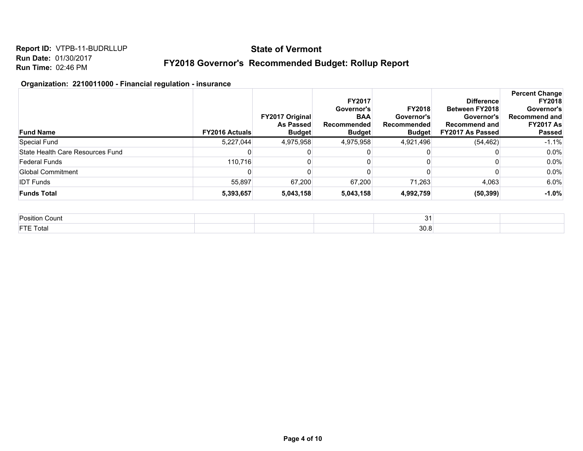## **State of Vermont**

#### **FY2018 Governor's Recommended Budget: Rollup Report**

#### **Organization: 2210011000 - Financial regulation - insurance**

| <b>Fund Name</b>                 | <b>FY2016 Actuals</b> | <b>FY2017 Original</b><br>As Passed<br><b>Budget</b> | <b>FY2017</b><br><b>Governor's</b><br><b>BAA</b><br>Recommended<br><b>Budget</b> | <b>FY2018</b><br>Governor's<br>Recommended<br><b>Budget</b> | <b>Difference</b><br>Between FY2018<br>Governor's<br><b>Recommend and</b><br><b>FY2017 As Passed</b> | <b>Percent Change</b><br><b>FY2018</b><br>Governor's<br><b>Recommend and</b><br><b>FY2017 As</b><br><b>Passed</b> |
|----------------------------------|-----------------------|------------------------------------------------------|----------------------------------------------------------------------------------|-------------------------------------------------------------|------------------------------------------------------------------------------------------------------|-------------------------------------------------------------------------------------------------------------------|
| Special Fund                     | 5,227,044             | 4,975,958                                            | 4,975,958                                                                        | 4,921,496                                                   | (54, 462)                                                                                            | $-1.1%$                                                                                                           |
| State Health Care Resources Fund |                       |                                                      |                                                                                  |                                                             |                                                                                                      | 0.0%                                                                                                              |
| <b>Federal Funds</b>             | 110.716               |                                                      |                                                                                  |                                                             |                                                                                                      | 0.0%                                                                                                              |
| Global Commitment                |                       |                                                      |                                                                                  |                                                             |                                                                                                      | 0.0%                                                                                                              |
| <b>IDT Funds</b>                 | 55.897                | 67,200                                               | 67.200                                                                           | 71.263                                                      | 4,063                                                                                                | 6.0%                                                                                                              |
| <b>Funds Total</b>               | 5,393,657             | 5,043,158                                            | 5,043,158                                                                        | 4,992,759                                                   | (50, 399)                                                                                            | $-1.0%$                                                                                                           |

| Position Count   |  | $\sim$<br>$\cdot$ |  |
|------------------|--|-------------------|--|
| <b>FTE Total</b> |  | 30.8              |  |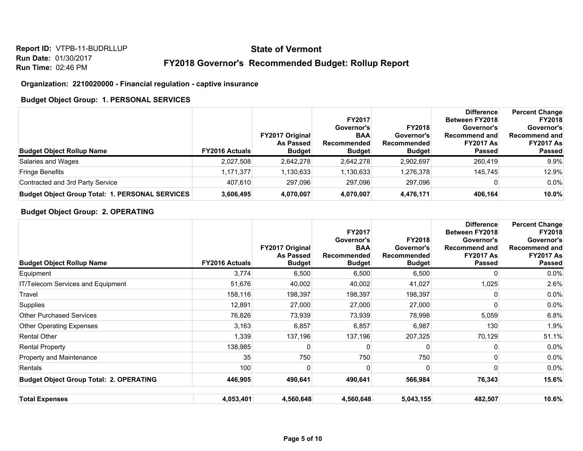## **State of Vermont**

#### **FY2018 Governor's Recommended Budget: Rollup Report**

#### **Organization: 2210020000 - Financial regulation - captive insurance**

#### **Budget Object Group: 1. PERSONAL SERVICES**

| <b>Budget Object Rollup Name</b>                       | <b>FY2016 Actuals</b> | <b>FY2017 Original</b><br><b>As Passed</b><br><b>Budget</b> | <b>FY2017</b><br>Governor's<br><b>BAA</b><br><b>Recommended</b><br><b>Budget</b> | <b>FY2018</b><br>Governor's<br>Recommended<br><b>Budget</b> | <b>Difference</b><br>Between FY2018<br>Governor's<br>Recommend and<br><b>FY2017 As</b><br><b>Passed</b> | <b>Percent Change</b><br><b>FY2018</b><br>Governor's<br><b>Recommend and</b><br><b>FY2017 As</b><br><b>Passed</b> |
|--------------------------------------------------------|-----------------------|-------------------------------------------------------------|----------------------------------------------------------------------------------|-------------------------------------------------------------|---------------------------------------------------------------------------------------------------------|-------------------------------------------------------------------------------------------------------------------|
| Salaries and Wages                                     | 2,027,508             | 2,642,278                                                   | 2,642,278                                                                        | 2,902,697                                                   | 260,419                                                                                                 | 9.9%                                                                                                              |
| <b>Fringe Benefits</b>                                 | 1,171,377             | 1,130,633                                                   | 1,130,633                                                                        | 1,276,378                                                   | 145.745                                                                                                 | 12.9%                                                                                                             |
| Contracted and 3rd Party Service                       | 407,610               | 297.096                                                     | 297,096                                                                          | 297,096                                                     |                                                                                                         | 0.0%                                                                                                              |
| <b>Budget Object Group Total: 1. PERSONAL SERVICES</b> | 3,606,495             | 4,070,007                                                   | 4,070,007                                                                        | 4,476,171                                                   | 406.164                                                                                                 | 10.0%                                                                                                             |

#### **Budget Object Group: 2. OPERATING**

| <b>Budget Object Rollup Name</b>               | <b>FY2016 Actuals</b> | <b>FY2017 Original</b><br><b>As Passed</b><br><b>Budget</b> | <b>FY2017</b><br>Governor's<br><b>BAA</b><br>Recommended<br><b>Budget</b> | <b>FY2018</b><br>Governor's<br><b>Recommended</b><br><b>Budget</b> | <b>Difference</b><br>Between FY2018<br>Governor's<br><b>Recommend and</b><br><b>FY2017 As</b><br><b>Passed</b> | <b>Percent Change</b><br><b>FY2018</b><br>Governor's<br><b>Recommend and</b><br><b>FY2017 As</b><br><b>Passed</b> |
|------------------------------------------------|-----------------------|-------------------------------------------------------------|---------------------------------------------------------------------------|--------------------------------------------------------------------|----------------------------------------------------------------------------------------------------------------|-------------------------------------------------------------------------------------------------------------------|
| Equipment                                      | 3,774                 | 6,500                                                       | 6,500                                                                     | 6,500                                                              | ŋ                                                                                                              | $0.0\%$                                                                                                           |
| IT/Telecom Services and Equipment              | 51,676                | 40,002                                                      | 40,002                                                                    | 41,027                                                             | 1,025                                                                                                          | 2.6%                                                                                                              |
| Travel                                         | 158,116               | 198,397                                                     | 198,397                                                                   | 198,397                                                            | ŋ                                                                                                              | 0.0%                                                                                                              |
| Supplies                                       | 12,891                | 27,000                                                      | 27,000                                                                    | 27,000                                                             |                                                                                                                | $0.0\%$                                                                                                           |
| <b>Other Purchased Services</b>                | 76,826                | 73,939                                                      | 73,939                                                                    | 78,998                                                             | 5,059                                                                                                          | 6.8%                                                                                                              |
| <b>Other Operating Expenses</b>                | 3,163                 | 6,857                                                       | 6,857                                                                     | 6,987                                                              | 130                                                                                                            | 1.9%                                                                                                              |
| <b>Rental Other</b>                            | 1,339                 | 137,196                                                     | 137,196                                                                   | 207,325                                                            | 70,129                                                                                                         | 51.1%                                                                                                             |
| <b>Rental Property</b>                         | 138,985               |                                                             | 0                                                                         | 0                                                                  |                                                                                                                | 0.0%                                                                                                              |
| Property and Maintenance                       | 35                    | 750                                                         | 750                                                                       | 750                                                                |                                                                                                                | $0.0\%$                                                                                                           |
| Rentals                                        | 100                   |                                                             | 0                                                                         | 0                                                                  | ŋ                                                                                                              | $0.0\%$                                                                                                           |
| <b>Budget Object Group Total: 2. OPERATING</b> | 446,905               | 490,641                                                     | 490,641                                                                   | 566,984                                                            | 76,343                                                                                                         | 15.6%                                                                                                             |
| <b>Total Expenses</b>                          | 4,053,401             | 4,560,648                                                   | 4,560,648                                                                 | 5,043,155                                                          | 482,507                                                                                                        | 10.6%                                                                                                             |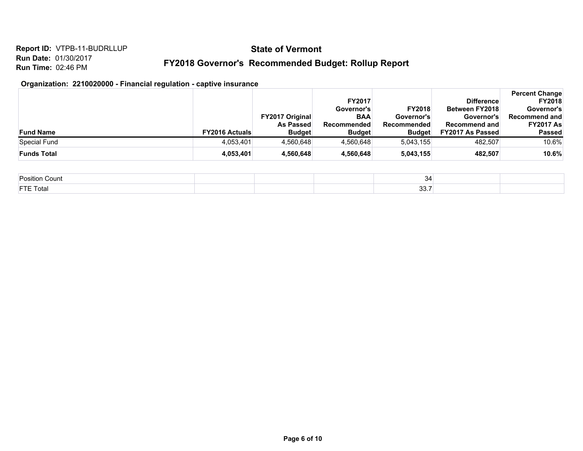## **State of Vermont**

## **FY2018 Governor's Recommended Budget: Rollup Report**

## **Organization: 2210020000 - Financial regulation - captive insurance**

|                    |                       |                        | <b>FY2017</b> |               | <b>Difference</b>       | <b>Percent Change</b><br><b>FY2018</b> |
|--------------------|-----------------------|------------------------|---------------|---------------|-------------------------|----------------------------------------|
|                    |                       |                        | Governor's    | <b>FY2018</b> | <b>Between FY2018</b>   | Governor's                             |
|                    |                       | <b>FY2017 Original</b> | <b>BAA</b>    | Governor's    | Governor's              | <b>Recommend and</b>                   |
|                    |                       | <b>As Passed</b>       | Recommended   | Recommended   | Recommend and           | <b>FY2017 As</b>                       |
| <b>Fund Name</b>   | <b>FY2016 Actuals</b> | <b>Budget</b>          | <b>Budget</b> | <b>Budget</b> | <b>FY2017 As Passed</b> | <b>Passed</b>                          |
| Special Fund       | 4,053,401             | 4.560.648              | 4,560,648     | 5.043.155     | 482.507                 | 10.6%                                  |
| <b>Funds Total</b> | 4,053,401             | 4,560,648              | 4,560,648     | 5,043,155     | 482.507                 | 10.6%                                  |

| Position<br>Count | $\sim$<br>$\sim$<br>ື |  |
|-------------------|-----------------------|--|
| <b>FTE Total</b>  | $\sim$ -<br>JJ.1      |  |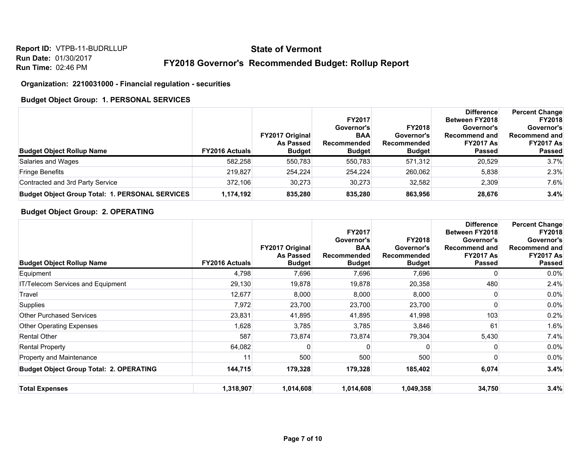## **State of Vermont**

#### **FY2018 Governor's Recommended Budget: Rollup Report**

#### **Organization: 2210031000 - Financial regulation - securities**

#### **Budget Object Group: 1. PERSONAL SERVICES**

| <b>Budget Object Rollup Name</b>                       | <b>FY2016 Actuals</b> | <b>FY2017 Original</b><br><b>As Passed</b><br><b>Budget</b> | <b>FY2017</b><br>Governor's<br><b>BAA</b><br><b>Recommended</b><br><b>Budget</b> | <b>FY2018</b><br>Governor's<br>Recommended<br><b>Budget</b> | <b>Difference</b><br>Between FY2018<br>Governor's<br>Recommend and<br><b>FY2017 As</b><br><b>Passed</b> | <b>Percent Change</b><br><b>FY2018</b><br>Governor's<br><b>Recommend and</b><br><b>FY2017 As</b><br><b>Passed</b> |
|--------------------------------------------------------|-----------------------|-------------------------------------------------------------|----------------------------------------------------------------------------------|-------------------------------------------------------------|---------------------------------------------------------------------------------------------------------|-------------------------------------------------------------------------------------------------------------------|
| Salaries and Wages                                     | 582.258               | 550,783                                                     | 550,783                                                                          | 571,312                                                     | 20,529                                                                                                  | 3.7%                                                                                                              |
| <b>Fringe Benefits</b>                                 | 219.827               | 254.224                                                     | 254.224                                                                          | 260,062                                                     | 5,838                                                                                                   | 2.3%                                                                                                              |
| Contracted and 3rd Party Service                       | 372.106               | 30.273                                                      | 30.273                                                                           | 32,582                                                      | 2,309                                                                                                   | 7.6%                                                                                                              |
| <b>Budget Object Group Total: 1. PERSONAL SERVICES</b> | 1,174,192             | 835,280                                                     | 835,280                                                                          | 863,956                                                     | 28,676                                                                                                  | 3.4%                                                                                                              |

#### **Budget Object Group: 2. OPERATING**

| <b>Budget Object Rollup Name</b>               | <b>FY2016 Actuals</b> | FY2017 Original<br><b>As Passed</b><br><b>Budget</b> | FY2017<br>Governor's<br><b>BAA</b><br><b>Recommended</b><br><b>Budget</b> | <b>FY2018</b><br>Governor's<br>Recommended<br><b>Budget</b> | <b>Difference</b><br>Between FY2018<br>Governor's<br><b>Recommend and</b><br><b>FY2017 As</b><br><b>Passed</b> | <b>Percent Change</b><br><b>FY2018</b><br>Governor's<br><b>Recommend and</b><br><b>FY2017 As</b><br><b>Passed</b> |
|------------------------------------------------|-----------------------|------------------------------------------------------|---------------------------------------------------------------------------|-------------------------------------------------------------|----------------------------------------------------------------------------------------------------------------|-------------------------------------------------------------------------------------------------------------------|
| Equipment                                      | 4,798                 | 7,696                                                | 7,696                                                                     | 7,696                                                       |                                                                                                                | $0.0\%$                                                                                                           |
| <b>IT/Telecom Services and Equipment</b>       | 29,130                | 19,878                                               | 19,878                                                                    | 20,358                                                      | 480                                                                                                            | 2.4%                                                                                                              |
| Travel                                         | 12,677                | 8,000                                                | 8,000                                                                     | 8,000                                                       |                                                                                                                | $0.0\%$                                                                                                           |
| Supplies                                       | 7,972                 | 23,700                                               | 23,700                                                                    | 23,700                                                      |                                                                                                                | $0.0\%$                                                                                                           |
| <b>Other Purchased Services</b>                | 23,831                | 41,895                                               | 41,895                                                                    | 41,998                                                      | 103                                                                                                            | 0.2%                                                                                                              |
| <b>Other Operating Expenses</b>                | 1,628                 | 3,785                                                | 3,785                                                                     | 3,846                                                       | 61                                                                                                             | 1.6%                                                                                                              |
| <b>Rental Other</b>                            | 587                   | 73,874                                               | 73,874                                                                    | 79,304                                                      | 5,430                                                                                                          | 7.4%                                                                                                              |
| <b>Rental Property</b>                         | 64,082                |                                                      |                                                                           | 0                                                           |                                                                                                                | $0.0\%$                                                                                                           |
| Property and Maintenance                       | 11                    | 500                                                  | 500                                                                       | 500                                                         |                                                                                                                | 0.0%                                                                                                              |
| <b>Budget Object Group Total: 2. OPERATING</b> | 144,715               | 179,328                                              | 179,328                                                                   | 185,402                                                     | 6,074                                                                                                          | 3.4%                                                                                                              |
| <b>Total Expenses</b>                          | 1,318,907             | 1,014,608                                            | 1,014,608                                                                 | 1,049,358                                                   | 34,750                                                                                                         | 3.4%                                                                                                              |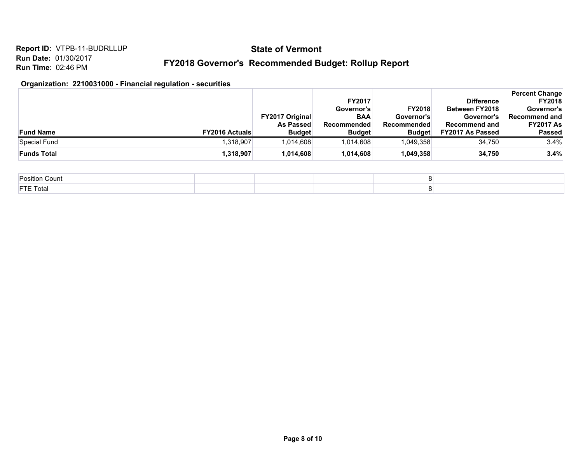## **State of Vermont**

## **FY2018 Governor's Recommended Budget: Rollup Report**

#### **Organization: 2210031000 - Financial regulation - securities**

|                    |                       |                                   | <b>FY2017</b>                |                              | <b>Difference</b>                               | <b>Percent Change</b><br><b>FY2018</b> |
|--------------------|-----------------------|-----------------------------------|------------------------------|------------------------------|-------------------------------------------------|----------------------------------------|
|                    |                       |                                   | Governor's                   | <b>FY2018</b>                | <b>Between FY2018</b>                           | Governor's                             |
|                    |                       | <b>FY2017 Original</b>            | <b>BAA</b>                   | Governor's                   | Governor's                                      | Recommend and                          |
| <b>Fund Name</b>   | <b>FY2016 Actuals</b> | <b>As Passed</b><br><b>Budget</b> | Recommended<br><b>Budget</b> | Recommended<br><b>Budget</b> | <b>Recommend and</b><br><b>FY2017 As Passed</b> | <b>FY2017 As</b><br><b>Passed</b>      |
| Special Fund       | 1,318,907             | 1,014,608                         | 1,014,608                    | 1,049,358                    | 34.750                                          | 3.4%                                   |
| <b>Funds Total</b> | 1,318,907             | 1,014,608                         | 1,014,608                    | 1,049,358                    | 34.750                                          | 3.4%                                   |

| Position<br>ı Count |  |  |
|---------------------|--|--|
| <b>FTE Total</b>    |  |  |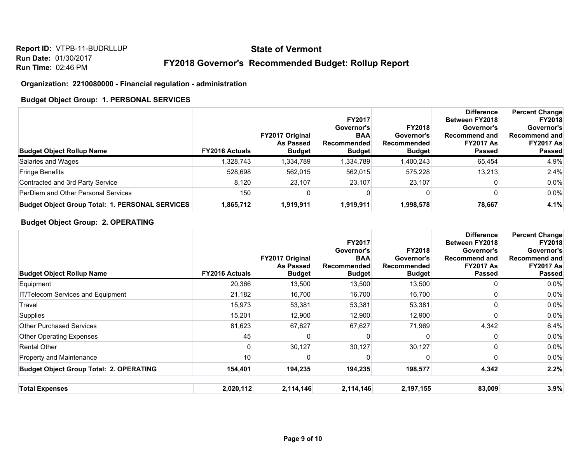## **State of Vermont**

#### **FY2018 Governor's Recommended Budget: Rollup Report**

#### **Organization: 2210080000 - Financial regulation - administration**

#### **Budget Object Group: 1. PERSONAL SERVICES**

| <b>Budget Object Rollup Name</b>                       | <b>FY2016 Actuals</b> | <b>FY2017 Original</b><br>As Passed<br><b>Budget</b> | <b>FY2017</b><br>Governor's<br><b>BAA</b><br>Recommended<br><b>Budget</b> | <b>FY2018</b><br>Governor's<br>Recommended<br><b>Budget</b> | <b>Difference</b><br><b>Between FY2018</b><br>Governor's<br>Recommend and<br><b>FY2017 As</b><br><b>Passed</b> | <b>Percent Change</b><br><b>FY2018</b><br>Governor's<br><b>Recommend and</b><br><b>FY2017 As</b><br><b>Passed</b> |
|--------------------------------------------------------|-----------------------|------------------------------------------------------|---------------------------------------------------------------------------|-------------------------------------------------------------|----------------------------------------------------------------------------------------------------------------|-------------------------------------------------------------------------------------------------------------------|
| Salaries and Wages                                     | 1,328,743             | .334,789                                             | 1,334,789                                                                 | 1,400,243                                                   | 65,454                                                                                                         | 4.9%                                                                                                              |
| <b>Fringe Benefits</b>                                 | 528,698               | 562.015                                              | 562.015                                                                   | 575.228                                                     | 13.213                                                                                                         | 2.4%                                                                                                              |
| Contracted and 3rd Party Service                       | 8.120                 | 23.107                                               | 23.107                                                                    | 23.107                                                      |                                                                                                                | $0.0\%$                                                                                                           |
| PerDiem and Other Personal Services                    | 150                   |                                                      |                                                                           |                                                             |                                                                                                                | $0.0\%$                                                                                                           |
| <b>Budget Object Group Total: 1. PERSONAL SERVICES</b> | 1,865,712             | 1,919,911                                            | 1,919,911                                                                 | 1,998,578                                                   | 78.667                                                                                                         | 4.1%                                                                                                              |

#### **Budget Object Group: 2. OPERATING**

| <b>Budget Object Rollup Name</b>               | <b>FY2016 Actuals</b> | <b>FY2017 Original</b><br><b>As Passed</b><br><b>Budget</b> | <b>FY2017</b><br>Governor's<br><b>BAA</b><br><b>Recommended</b><br><b>Budget</b> | <b>FY2018</b><br>Governor's<br>Recommended<br><b>Budget</b> | <b>Difference</b><br><b>Between FY2018</b><br>Governor's<br><b>Recommend and</b><br><b>FY2017 As</b><br>Passed | <b>Percent Change</b><br><b>FY2018</b><br>Governor's<br><b>Recommend and</b><br><b>FY2017 As</b><br>Passed |
|------------------------------------------------|-----------------------|-------------------------------------------------------------|----------------------------------------------------------------------------------|-------------------------------------------------------------|----------------------------------------------------------------------------------------------------------------|------------------------------------------------------------------------------------------------------------|
| Equipment                                      | 20,366                | 13,500                                                      | 13,500                                                                           | 13,500                                                      |                                                                                                                | $0.0\%$                                                                                                    |
| IT/Telecom Services and Equipment              | 21,182                | 16,700                                                      | 16,700                                                                           | 16,700                                                      |                                                                                                                | $0.0\%$                                                                                                    |
| Travel                                         | 15,973                | 53,381                                                      | 53,381                                                                           | 53,381                                                      |                                                                                                                | 0.0%                                                                                                       |
| <b>Supplies</b>                                | 15,201                | 12,900                                                      | 12,900                                                                           | 12,900                                                      |                                                                                                                | 0.0%                                                                                                       |
| <b>Other Purchased Services</b>                | 81,623                | 67,627                                                      | 67,627                                                                           | 71,969                                                      | 4,342                                                                                                          | 6.4%                                                                                                       |
| <b>Other Operating Expenses</b>                | 45                    |                                                             |                                                                                  |                                                             |                                                                                                                | 0.0%                                                                                                       |
| <b>Rental Other</b>                            |                       | 30,127                                                      | 30,127                                                                           | 30,127                                                      |                                                                                                                | $0.0\%$                                                                                                    |
| Property and Maintenance                       | 10                    |                                                             | n                                                                                |                                                             |                                                                                                                | $0.0\%$                                                                                                    |
| <b>Budget Object Group Total: 2. OPERATING</b> | 154,401               | 194,235                                                     | 194,235                                                                          | 198,577                                                     | 4,342                                                                                                          | 2.2%                                                                                                       |
| <b>Total Expenses</b>                          | 2,020,112             | 2,114,146                                                   | 2,114,146                                                                        | 2,197,155                                                   | 83,009                                                                                                         | 3.9%                                                                                                       |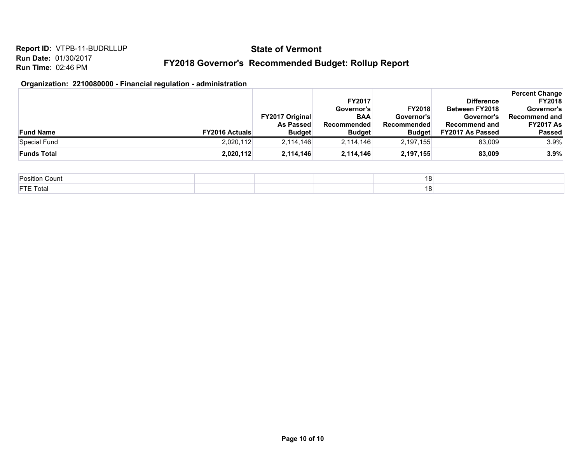## **State of Vermont**

## **FY2018 Governor's Recommended Budget: Rollup Report**

#### **Organization: 2210080000 - Financial regulation - administration**

|                    |                       |                                   | <b>FY2017</b>                |                              | <b>Difference</b>                               | <b>Percent Change</b><br><b>FY2018</b> |
|--------------------|-----------------------|-----------------------------------|------------------------------|------------------------------|-------------------------------------------------|----------------------------------------|
|                    |                       |                                   | Governor's                   | <b>FY2018</b>                | <b>Between FY2018</b>                           | Governor's                             |
|                    |                       | <b>FY2017 Original</b>            | <b>BAA</b>                   | Governor's                   | Governor's                                      | Recommend and                          |
| <b>Fund Name</b>   | <b>FY2016 Actuals</b> | <b>As Passed</b><br><b>Budget</b> | Recommended<br><b>Budget</b> | Recommended<br><b>Budget</b> | <b>Recommend and</b><br><b>FY2017 As Passed</b> | <b>FY2017 As</b><br><b>Passed</b>      |
| Special Fund       | 2,020,112             | 2,114,146                         | 2,114,146                    | 2,197,155                    | 83.009                                          | 3.9%                                   |
| <b>Funds Total</b> | 2,020,112             | 2,114,146                         | 2,114,146                    | 2,197,155                    | 83,009                                          | 3.9%                                   |

| Position Count   | 10   |  |
|------------------|------|--|
| <b>FTE Total</b> | 10 I |  |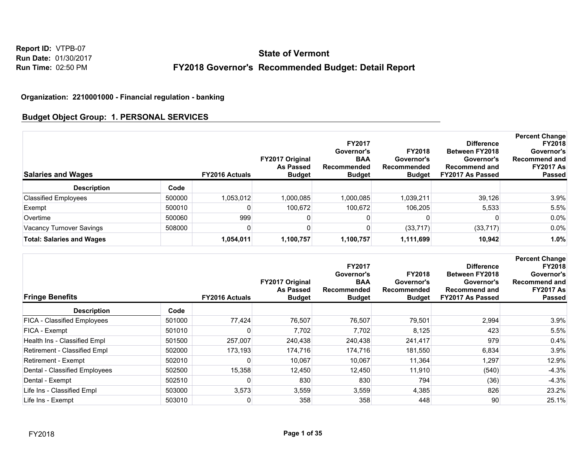**Report ID:** VTPB-07 **Run Date:** 01/30/2017 **Run Time:** 02:50 PM

# **FY2018 Governor's Recommended Budget: Detail Report State of Vermont**

#### **Organization: 2210001000 - Financial regulation - banking**

#### **Budget Object Group: 1. PERSONAL SERVICES**

| <b>Salaries and Wages</b>        |        | <b>FY2016 Actuals</b> | <b>FY2017 Original</b><br><b>As Passed</b><br><b>Budget</b> | <b>FY2017</b><br>Governor's<br><b>BAA</b><br>Recommended<br><b>Budget</b> | <b>FY2018</b><br>Governor's<br>Recommended<br><b>Budget</b> | <b>Difference</b><br>Between FY2018<br>Governor's<br><b>Recommend and</b><br><b>FY2017 As Passed</b> | <b>Percent Change</b><br><b>FY2018</b><br>Governor's<br><b>Recommend and</b><br><b>FY2017 As</b><br><b>Passed</b> |
|----------------------------------|--------|-----------------------|-------------------------------------------------------------|---------------------------------------------------------------------------|-------------------------------------------------------------|------------------------------------------------------------------------------------------------------|-------------------------------------------------------------------------------------------------------------------|
| <b>Description</b>               | Code   |                       |                                                             |                                                                           |                                                             |                                                                                                      |                                                                                                                   |
| <b>Classified Employees</b>      | 500000 | 1.053.012             | 1,000,085                                                   | 1,000,085                                                                 | 1.039.211                                                   | 39.126                                                                                               | 3.9%                                                                                                              |
| Exempt                           | 500010 |                       | 100.672                                                     | 100.672                                                                   | 106,205                                                     | 5,533                                                                                                | 5.5%                                                                                                              |
| Overtime                         | 500060 | 999                   |                                                             |                                                                           |                                                             |                                                                                                      | $0.0\%$                                                                                                           |
| Vacancy Turnover Savings         | 508000 |                       |                                                             |                                                                           | (33, 717)                                                   | (33, 717)                                                                                            | $0.0\%$                                                                                                           |
| <b>Total: Salaries and Wages</b> |        | 1,054,011             | 1,100,757                                                   | 1,100,757                                                                 | 1,111,699                                                   | 10,942                                                                                               | 1.0%                                                                                                              |

| <b>Fringe Benefits</b>             |        | <b>FY2016 Actuals</b> | FY2017 Original<br><b>As Passed</b><br><b>Budget</b> | <b>FY2017</b><br>Governor's<br><b>BAA</b><br>Recommended<br><b>Budget</b> | <b>FY2018</b><br>Governor's<br>Recommended<br><b>Budget</b> | <b>Difference</b><br><b>Between FY2018</b><br>Governor's<br><b>Recommend and</b><br>FY2017 As Passed | <b>Percent Change</b><br><b>FY2018</b><br>Governor's<br><b>Recommend and</b><br><b>FY2017 As</b><br><b>Passed</b> |
|------------------------------------|--------|-----------------------|------------------------------------------------------|---------------------------------------------------------------------------|-------------------------------------------------------------|------------------------------------------------------------------------------------------------------|-------------------------------------------------------------------------------------------------------------------|
| <b>Description</b>                 | Code   |                       |                                                      |                                                                           |                                                             |                                                                                                      |                                                                                                                   |
| <b>FICA - Classified Employees</b> | 501000 | 77,424                | 76,507                                               | 76,507                                                                    | 79,501                                                      | 2,994                                                                                                | 3.9%                                                                                                              |
| FICA - Exempt                      | 501010 |                       | 7,702                                                | 7,702                                                                     | 8,125                                                       | 423                                                                                                  | 5.5%                                                                                                              |
| Health Ins - Classified Empl       | 501500 | 257,007               | 240,438                                              | 240,438                                                                   | 241,417                                                     | 979                                                                                                  | $0.4\%$                                                                                                           |
| Retirement - Classified Empl       | 502000 | 173,193               | 174,716                                              | 174,716                                                                   | 181,550                                                     | 6,834                                                                                                | 3.9%                                                                                                              |
| Retirement - Exempt                | 502010 |                       | 10,067                                               | 10,067                                                                    | 11,364                                                      | 1,297                                                                                                | 12.9%                                                                                                             |
| Dental - Classified Employees      | 502500 | 15,358                | 12.450                                               | 12,450                                                                    | 11,910                                                      | (540)                                                                                                | $-4.3%$                                                                                                           |
| Dental - Exempt                    | 502510 |                       | 830                                                  | 830                                                                       | 794                                                         | (36)                                                                                                 | $-4.3%$                                                                                                           |
| Life Ins - Classified Empl         | 503000 | 3,573                 | 3,559                                                | 3,559                                                                     | 4,385                                                       | 826                                                                                                  | 23.2%                                                                                                             |
| Life Ins - Exempt                  | 503010 | 0                     | 358                                                  | 358                                                                       | 448                                                         | 90                                                                                                   | 25.1%                                                                                                             |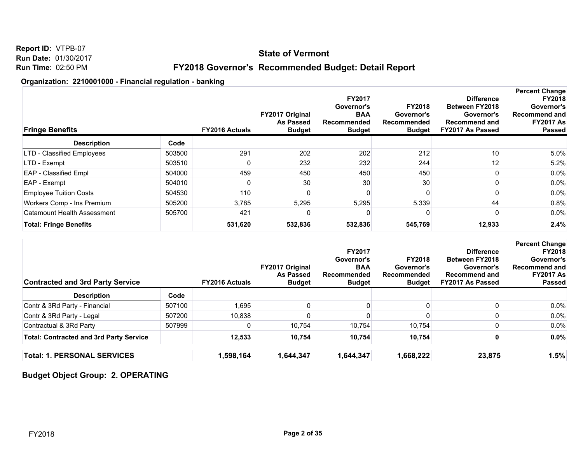## **State of Vermont**

## **FY2018 Governor's Recommended Budget: Detail Report**

#### **Organization: 2210001000 - Financial regulation - banking**

| <b>Fringe Benefits</b>        |        | <b>FY2016 Actuals</b> | FY2017 Original<br><b>As Passed</b><br><b>Budget</b> | <b>FY2017</b><br>Governor's<br><b>BAA</b><br>Recommended<br><b>Budget</b> | <b>FY2018</b><br>Governor's<br>Recommended<br><b>Budget</b> | <b>Difference</b><br><b>Between FY2018</b><br>Governor's<br><b>Recommend and</b><br>FY2017 As Passed | <b>Percent Change</b><br><b>FY2018</b><br>Governor's<br><b>Recommend and</b><br><b>FY2017 As</b><br><b>Passed</b> |
|-------------------------------|--------|-----------------------|------------------------------------------------------|---------------------------------------------------------------------------|-------------------------------------------------------------|------------------------------------------------------------------------------------------------------|-------------------------------------------------------------------------------------------------------------------|
| <b>Description</b>            | Code   |                       |                                                      |                                                                           |                                                             |                                                                                                      |                                                                                                                   |
| LTD - Classified Employees    | 503500 | 291                   | 202                                                  | 202                                                                       | 212                                                         | 10                                                                                                   | 5.0%                                                                                                              |
| LTD - Exempt                  | 503510 |                       | 232                                                  | 232                                                                       | 244                                                         | 12 <sub>1</sub>                                                                                      | 5.2%                                                                                                              |
| EAP - Classified Empl         | 504000 | 459                   | 450                                                  | 450                                                                       | 450                                                         |                                                                                                      | $0.0\%$                                                                                                           |
| EAP - Exempt                  | 504010 |                       | 30                                                   | 30                                                                        | 30 <sub>l</sub>                                             |                                                                                                      | $0.0\%$                                                                                                           |
| <b>Employee Tuition Costs</b> | 504530 | 110                   |                                                      | 0                                                                         |                                                             |                                                                                                      | $0.0\%$                                                                                                           |
| Workers Comp - Ins Premium    | 505200 | 3,785                 | 5,295                                                | 5,295                                                                     | 5,339                                                       | 44                                                                                                   | 0.8%                                                                                                              |
| Catamount Health Assessment   | 505700 | 421                   |                                                      |                                                                           |                                                             |                                                                                                      | $0.0\%$                                                                                                           |
| <b>Total: Fringe Benefits</b> |        | 531,620               | 532,836                                              | 532,836                                                                   | 545,769                                                     | 12,933                                                                                               | 2.4%                                                                                                              |

| <b>Contracted and 3rd Party Service</b>        |        | <b>FY2016 Actuals</b> | <b>FY2017 Original</b><br>As Passed<br><b>Budget</b> | <b>FY2017</b><br>Governor's<br><b>BAA</b><br>Recommended<br><b>Budget</b> | <b>FY2018</b><br>Governor's<br>Recommended<br><b>Budget</b> | <b>Difference</b><br><b>Between FY2018</b><br>Governor's<br><b>Recommend and</b><br><b>FY2017 As Passed</b> | <b>Percent Change</b><br><b>FY2018</b><br>Governor's<br>Recommend and<br><b>FY2017 As</b><br><b>Passed</b> |
|------------------------------------------------|--------|-----------------------|------------------------------------------------------|---------------------------------------------------------------------------|-------------------------------------------------------------|-------------------------------------------------------------------------------------------------------------|------------------------------------------------------------------------------------------------------------|
| <b>Description</b>                             | Code   |                       |                                                      |                                                                           |                                                             |                                                                                                             |                                                                                                            |
| Contr & 3Rd Party - Financial                  | 507100 | 1,695                 |                                                      |                                                                           |                                                             |                                                                                                             | $0.0\%$                                                                                                    |
| Contr & 3Rd Party - Legal                      | 507200 | 10,838                |                                                      |                                                                           |                                                             |                                                                                                             | $0.0\%$                                                                                                    |
| Contractual & 3Rd Party                        | 507999 |                       | 10,754                                               | 10,754                                                                    | 10,754                                                      |                                                                                                             | $0.0\%$                                                                                                    |
| <b>Total: Contracted and 3rd Party Service</b> |        | 12,533                | 10.754                                               | 10,754                                                                    | 10,754                                                      |                                                                                                             | $0.0\%$                                                                                                    |
| <b>Total: 1. PERSONAL SERVICES</b>             |        | 1,598,164             | 1,644,347                                            | 1,644,347                                                                 | 1,668,222                                                   | 23,875                                                                                                      | 1.5%                                                                                                       |

## **Budget Object Group: 2. OPERATING**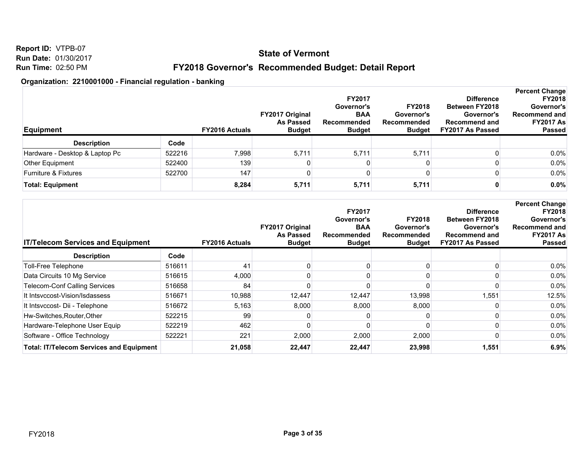**Report ID:** VTPB-07 **Run Date:** 01/30/2017 **Run Time:** 02:50 PM

## **FY2018 Governor's Recommended Budget: Detail Report**

| <b>Equipment</b>               |        | <b>FY2016 Actuals</b> | <b>FY2017 Original</b><br><b>As Passed</b><br><b>Budget</b> | <b>FY2017</b><br>Governor's<br><b>BAA</b><br>Recommended<br><b>Budget</b> | <b>FY2018</b><br>Governor's<br>Recommended<br><b>Budget</b> | <b>Difference</b><br><b>Between FY2018</b><br>Governor's<br><b>Recommend and</b><br>FY2017 As Passed | <b>Percent Change</b><br><b>FY2018</b><br>Governor's<br><b>Recommend and</b><br><b>FY2017 As</b><br><b>Passed</b> |
|--------------------------------|--------|-----------------------|-------------------------------------------------------------|---------------------------------------------------------------------------|-------------------------------------------------------------|------------------------------------------------------------------------------------------------------|-------------------------------------------------------------------------------------------------------------------|
| <b>Description</b>             | Code   |                       |                                                             |                                                                           |                                                             |                                                                                                      |                                                                                                                   |
| Hardware - Desktop & Laptop Pc | 522216 | 7,998                 | 5,711                                                       | 5,711                                                                     | 5,711                                                       |                                                                                                      | $0.0\%$                                                                                                           |
| Other Equipment                | 522400 | 139                   |                                                             |                                                                           |                                                             |                                                                                                      | $0.0\%$                                                                                                           |
| Furniture & Fixtures           | 522700 | 147                   |                                                             |                                                                           |                                                             |                                                                                                      | $0.0\%$                                                                                                           |
| <b>Total: Equipment</b>        |        | 8,284                 | 5,711                                                       | 5,711                                                                     | 5,711                                                       |                                                                                                      | 0.0%                                                                                                              |

| <b>IT/Telecom Services and Equipment</b>        |        | <b>FY2016 Actuals</b> | FY2017 Original<br><b>As Passed</b><br><b>Budget</b> | <b>FY2017</b><br>Governor's<br><b>BAA</b><br>Recommended<br><b>Budget</b> | <b>FY2018</b><br>Governor's<br>Recommended<br><b>Budget</b> | <b>Difference</b><br><b>Between FY2018</b><br>Governor's<br><b>Recommend and</b><br>FY2017 As Passed | <b>Percent Change</b><br><b>FY2018</b><br>Governor's<br><b>Recommend and</b><br><b>FY2017 As</b><br><b>Passed</b> |
|-------------------------------------------------|--------|-----------------------|------------------------------------------------------|---------------------------------------------------------------------------|-------------------------------------------------------------|------------------------------------------------------------------------------------------------------|-------------------------------------------------------------------------------------------------------------------|
| <b>Description</b>                              | Code   |                       |                                                      |                                                                           |                                                             |                                                                                                      |                                                                                                                   |
| Toll-Free Telephone                             | 516611 | 41                    |                                                      |                                                                           |                                                             |                                                                                                      | 0.0%                                                                                                              |
| Data Circuits 10 Mg Service                     | 516615 | 4,000                 |                                                      |                                                                           |                                                             |                                                                                                      | 0.0%                                                                                                              |
| <b>Telecom-Conf Calling Services</b>            | 516658 | 84                    |                                                      |                                                                           |                                                             |                                                                                                      | 0.0%                                                                                                              |
| It Intsyccost-Vision/Isdassess                  | 516671 | 10,988                | 12,447                                               | 12,447                                                                    | 13,998                                                      | 551. ا                                                                                               | 12.5%                                                                                                             |
| It Intsvccost- Dii - Telephone                  | 516672 | 5,163                 | 8,000                                                | 8,000                                                                     | 8,000                                                       |                                                                                                      | 0.0%                                                                                                              |
| Hw-Switches, Router, Other                      | 522215 | 99                    |                                                      |                                                                           |                                                             |                                                                                                      | 0.0%                                                                                                              |
| Hardware-Telephone User Equip                   | 522219 | 462                   |                                                      |                                                                           |                                                             |                                                                                                      | 0.0%                                                                                                              |
| Software - Office Technology                    | 522221 | 221                   | 2,000                                                | 2,000                                                                     | 2,000                                                       |                                                                                                      | 0.0%                                                                                                              |
| <b>Total: IT/Telecom Services and Equipment</b> |        | 21,058                | 22,447                                               | 22,447                                                                    | 23,998                                                      | 1,551                                                                                                | 6.9%                                                                                                              |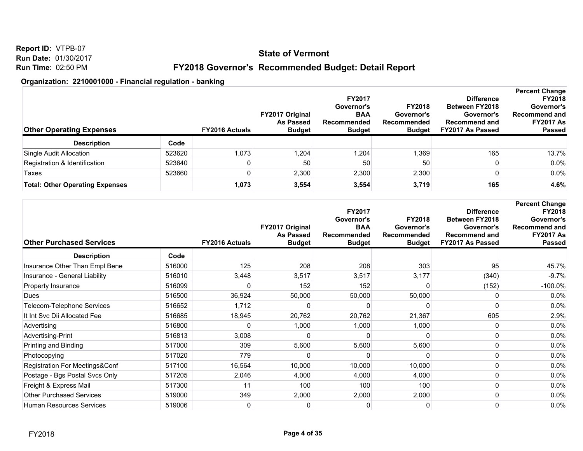**Report ID:** VTPB-07 **Run Date:** 01/30/2017 **Run Time:** 02:50 PM

## **FY2018 Governor's Recommended Budget: Detail Report**

| <b>Other Operating Expenses</b>        |        | <b>FY2016 Actuals</b> | <b>FY2017 Original</b><br><b>As Passed</b><br><b>Budget</b> | <b>FY2017</b><br>Governor's<br><b>BAA</b><br>Recommended<br><b>Budget</b> | <b>FY2018</b><br>Governor's<br><b>Recommended</b><br><b>Budget</b> | <b>Difference</b><br><b>Between FY2018</b><br>Governor's<br><b>Recommend and</b><br>FY2017 As Passed | <b>Percent Change</b><br><b>FY2018</b><br>Governor's<br>Recommend and<br><b>FY2017 As</b><br><b>Passed</b> |
|----------------------------------------|--------|-----------------------|-------------------------------------------------------------|---------------------------------------------------------------------------|--------------------------------------------------------------------|------------------------------------------------------------------------------------------------------|------------------------------------------------------------------------------------------------------------|
| <b>Description</b>                     | Code   |                       |                                                             |                                                                           |                                                                    |                                                                                                      |                                                                                                            |
| Single Audit Allocation                | 523620 | 1,073                 | 1,204                                                       | 1,204                                                                     | 1,369                                                              | 165                                                                                                  | 13.7%                                                                                                      |
| Registration & Identification          | 523640 |                       | 50                                                          | 50                                                                        | 50                                                                 |                                                                                                      | $0.0\%$                                                                                                    |
| Taxes                                  | 523660 |                       | 2,300                                                       | 2,300                                                                     | 2,300                                                              |                                                                                                      | $0.0\%$                                                                                                    |
| <b>Total: Other Operating Expenses</b> |        | 1,073                 | 3,554                                                       | 3,554                                                                     | 3,719                                                              | 165                                                                                                  | 4.6%                                                                                                       |

| <b>Other Purchased Services</b> |        | <b>FY2016 Actuals</b> | FY2017 Original<br><b>As Passed</b><br><b>Budget</b> | FY2017<br>Governor's<br><b>BAA</b><br>Recommended<br><b>Budget</b> | <b>FY2018</b><br>Governor's<br>Recommended<br><b>Budget</b> | <b>Difference</b><br><b>Between FY2018</b><br>Governor's<br><b>Recommend and</b><br>FY2017 As Passed | <b>Percent Change</b><br><b>FY2018</b><br>Governor's<br>Recommend and<br><b>FY2017 As</b><br><b>Passed</b> |
|---------------------------------|--------|-----------------------|------------------------------------------------------|--------------------------------------------------------------------|-------------------------------------------------------------|------------------------------------------------------------------------------------------------------|------------------------------------------------------------------------------------------------------------|
| <b>Description</b>              | Code   |                       |                                                      |                                                                    |                                                             |                                                                                                      |                                                                                                            |
| Insurance Other Than Empl Bene  | 516000 | 125                   | 208                                                  | 208                                                                | 303                                                         | 95                                                                                                   | 45.7%                                                                                                      |
| Insurance - General Liability   | 516010 | 3,448                 | 3,517                                                | 3,517                                                              | 3,177                                                       | (340)                                                                                                | $-9.7%$                                                                                                    |
| Property Insurance              | 516099 |                       | 152                                                  | 152                                                                |                                                             | (152)                                                                                                | $-100.0\%$                                                                                                 |
| Dues                            | 516500 | 36,924                | 50,000                                               | 50,000                                                             | 50,000                                                      |                                                                                                      | 0.0%                                                                                                       |
| Telecom-Telephone Services      | 516652 | 1,712                 |                                                      |                                                                    |                                                             |                                                                                                      | 0.0%                                                                                                       |
| It Int Svc Dii Allocated Fee    | 516685 | 18,945                | 20,762                                               | 20,762                                                             | 21,367                                                      | 605                                                                                                  | 2.9%                                                                                                       |
| Advertising                     | 516800 |                       | 1,000                                                | 1,000                                                              | 1,000                                                       |                                                                                                      | 0.0%                                                                                                       |
| Advertising-Print               | 516813 | 3,008                 |                                                      |                                                                    |                                                             |                                                                                                      | 0.0%                                                                                                       |
| Printing and Binding            | 517000 | 309                   | 5,600                                                | 5,600                                                              | 5,600                                                       |                                                                                                      | 0.0%                                                                                                       |
| Photocopying                    | 517020 | 779                   |                                                      |                                                                    |                                                             |                                                                                                      | 0.0%                                                                                                       |
| Registration For Meetings&Conf  | 517100 | 16,564                | 10,000                                               | 10,000                                                             | 10,000                                                      |                                                                                                      | 0.0%                                                                                                       |
| Postage - Bgs Postal Svcs Only  | 517205 | 2,046                 | 4,000                                                | 4,000                                                              | 4,000                                                       |                                                                                                      | 0.0%                                                                                                       |
| Freight & Express Mail          | 517300 | 11                    | 100                                                  | 100                                                                | 100                                                         |                                                                                                      | 0.0%                                                                                                       |
| <b>Other Purchased Services</b> | 519000 | 349                   | 2,000                                                | 2,000                                                              | 2,000                                                       |                                                                                                      | 0.0%                                                                                                       |
| Human Resources Services        | 519006 | 0                     | 0                                                    | 0                                                                  | 0                                                           |                                                                                                      | 0.0%                                                                                                       |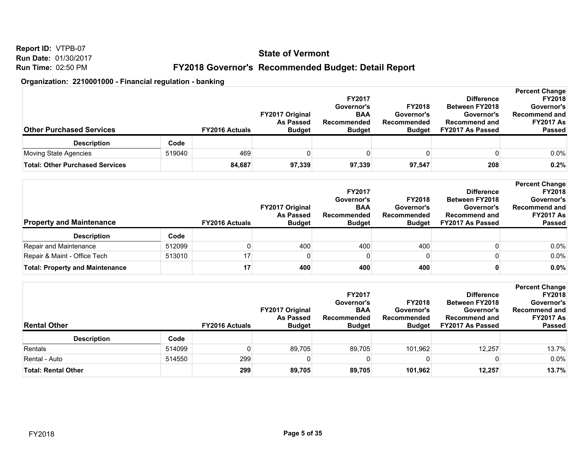**Report ID:** VTPB-07 **Run Date:** 01/30/2017 **Run Time:** 02:50 PM

## **FY2018 Governor's Recommended Budget: Detail Report**

| <b>Other Purchased Services</b>        |        | <b>FY2016 Actuals</b> | <b>FY2017 Original</b><br><b>As Passed</b><br><b>Budget</b> | <b>FY2017</b><br>Governor's<br><b>BAA</b><br>Recommended<br><b>Budget</b> | <b>FY2018</b><br>Governor's<br>Recommended<br><b>Budget</b> | <b>Difference</b><br><b>Between FY2018</b><br>Governor's<br><b>Recommend and</b><br>FY2017 As Passed | <b>Percent Change</b><br><b>FY2018</b><br>Governor's<br><b>Recommend and</b><br><b>FY2017 As</b><br><b>Passed</b> |
|----------------------------------------|--------|-----------------------|-------------------------------------------------------------|---------------------------------------------------------------------------|-------------------------------------------------------------|------------------------------------------------------------------------------------------------------|-------------------------------------------------------------------------------------------------------------------|
| <b>Description</b>                     | Code   |                       |                                                             |                                                                           |                                                             |                                                                                                      |                                                                                                                   |
| Moving State Agencies                  | 519040 | 469                   |                                                             |                                                                           |                                                             |                                                                                                      | $0.0\%$                                                                                                           |
| <b>Total: Other Purchased Services</b> |        | 84,687                | 97,339                                                      | 97,339                                                                    | 97,547                                                      | 208                                                                                                  | 0.2%                                                                                                              |

| <b>Property and Maintenance</b>        |        | <b>FY2016 Actuals</b> | <b>FY2017 Original</b><br><b>As Passed</b><br><b>Budget</b> | <b>FY2017</b><br>Governor's<br><b>BAA</b><br>Recommended<br><b>Budget</b> | <b>FY2018</b><br>Governor's<br><b>Recommended</b><br><b>Budget</b> | <b>Difference</b><br><b>Between FY2018</b><br>Governor's<br><b>Recommend and</b><br>FY2017 As Passed | <b>Percent Change</b><br><b>FY2018</b><br>Governor's<br>Recommend and<br><b>FY2017 As</b><br><b>Passed</b> |
|----------------------------------------|--------|-----------------------|-------------------------------------------------------------|---------------------------------------------------------------------------|--------------------------------------------------------------------|------------------------------------------------------------------------------------------------------|------------------------------------------------------------------------------------------------------------|
| <b>Description</b>                     | Code   |                       |                                                             |                                                                           |                                                                    |                                                                                                      |                                                                                                            |
| Repair and Maintenance                 | 512099 |                       | 400                                                         | 400                                                                       | 400                                                                |                                                                                                      | 0.0%                                                                                                       |
| Repair & Maint - Office Tech           | 513010 | 17                    |                                                             |                                                                           |                                                                    |                                                                                                      | 0.0%                                                                                                       |
| <b>Total: Property and Maintenance</b> |        | 17                    | 400                                                         | 400                                                                       | 400                                                                |                                                                                                      | 0.0%                                                                                                       |

| <b>Rental Other</b>  |        | <b>FY2016 Actuals</b> | <b>FY2017 Original</b><br><b>As Passed</b><br><b>Budget</b> | <b>FY2017</b><br>Governor's<br><b>BAA</b><br>Recommended<br><b>Budget</b> | <b>FY2018</b><br>Governor's<br>Recommended<br>Budget | <b>Difference</b><br><b>Between FY2018</b><br>Governor's<br><b>Recommend and</b><br>FY2017 As Passed | <b>Percent Change</b><br><b>FY2018</b><br>Governor's<br>Recommend and<br><b>FY2017 As</b><br><b>Passed</b> |
|----------------------|--------|-----------------------|-------------------------------------------------------------|---------------------------------------------------------------------------|------------------------------------------------------|------------------------------------------------------------------------------------------------------|------------------------------------------------------------------------------------------------------------|
| <b>Description</b>   | Code   |                       |                                                             |                                                                           |                                                      |                                                                                                      |                                                                                                            |
| Rentals              | 514099 |                       | 89,705                                                      | 89,705                                                                    | 101,962                                              | 12,257                                                                                               | 13.7%                                                                                                      |
| Rental - Auto        | 514550 | 299                   |                                                             | 0                                                                         |                                                      |                                                                                                      | 0.0%                                                                                                       |
| ∣Total: Rental Other |        | 299                   | 89,705                                                      | 89,705                                                                    | 101,962                                              | 12,257                                                                                               | 13.7%                                                                                                      |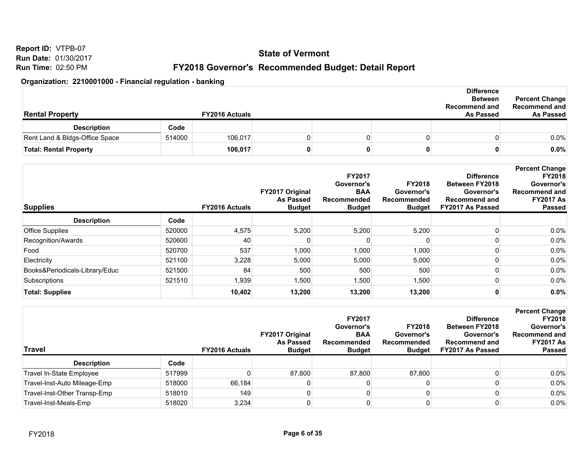**Report ID:** VTPB-07 **Run Date:** 01/30/2017 **Run Time:** 02:50 PM

## **FY2018 Governor's Recommended Budget: Detail Report**

| <b>Rental Property</b>         |        | <b>FY2016 Actuals</b> |  | <b>Difference</b><br><b>Between</b><br><b>Recommend and</b><br><b>As Passed</b> | <b>Percent Change</b><br>Recommend and<br><b>As Passed</b> |
|--------------------------------|--------|-----------------------|--|---------------------------------------------------------------------------------|------------------------------------------------------------|
| <b>Description</b>             | Code   |                       |  |                                                                                 |                                                            |
| Rent Land & Bldgs-Office Space | 514000 | 106,017               |  |                                                                                 | $0.0\%$                                                    |
| <b>Total: Rental Property</b>  |        | 106,017               |  |                                                                                 | $0.0\%$                                                    |

| <b>Supplies</b>                |        | <b>FY2016 Actuals</b> | FY2017 Original<br><b>As Passed</b><br><b>Budget</b> | <b>FY2017</b><br>Governor's<br><b>BAA</b><br>Recommended<br><b>Budget</b> | <b>FY2018</b><br>Governor's<br>Recommended<br><b>Budget</b> | <b>Difference</b><br><b>Between FY2018</b><br>Governor's<br><b>Recommend and</b><br><b>FY2017 As Passed</b> | <b>Percent Change</b><br><b>FY2018</b><br>Governor's<br><b>Recommend and</b><br><b>FY2017 As</b><br><b>Passed</b> |
|--------------------------------|--------|-----------------------|------------------------------------------------------|---------------------------------------------------------------------------|-------------------------------------------------------------|-------------------------------------------------------------------------------------------------------------|-------------------------------------------------------------------------------------------------------------------|
| <b>Description</b>             | Code   |                       |                                                      |                                                                           |                                                             |                                                                                                             |                                                                                                                   |
| <b>Office Supplies</b>         | 520000 | 4,575                 | 5,200                                                | 5,200                                                                     | 5,200                                                       |                                                                                                             | $0.0\%$                                                                                                           |
| Recognition/Awards             | 520600 | 40                    |                                                      |                                                                           |                                                             |                                                                                                             | $0.0\%$                                                                                                           |
| Food                           | 520700 | 537                   | 1,000                                                | 1,000                                                                     | 1,000                                                       |                                                                                                             | $0.0\%$                                                                                                           |
| Electricity                    | 521100 | 3,228                 | 5,000                                                | 5,000                                                                     | 5,000                                                       |                                                                                                             | $0.0\%$                                                                                                           |
| Books&Periodicals-Library/Educ | 521500 | 84                    | 500                                                  | 500                                                                       | 500                                                         |                                                                                                             | $0.0\%$                                                                                                           |
| Subscriptions                  | 521510 | 1,939                 | 1,500                                                | 1,500                                                                     | 1,500                                                       |                                                                                                             | $0.0\%$                                                                                                           |
| <b>Total: Supplies</b>         |        | 10,402                | 13,200                                               | 13,200                                                                    | 13,200                                                      |                                                                                                             | 0.0%                                                                                                              |

| Travel                       |        | <b>FY2016 Actuals</b> | <b>FY2017 Original</b><br>As Passed<br><b>Budget</b> | <b>FY2017</b><br>Governor's<br><b>BAA</b><br>Recommended<br><b>Budget</b> | <b>FY2018</b><br>Governor's<br>Recommended<br><b>Budget</b> | <b>Difference</b><br><b>Between FY2018</b><br>Governor's<br><b>Recommend and</b><br>FY2017 As Passed | <b>Percent Change</b><br><b>FY2018</b><br>Governor's<br>Recommend and<br><b>FY2017 As</b><br><b>Passed</b> |
|------------------------------|--------|-----------------------|------------------------------------------------------|---------------------------------------------------------------------------|-------------------------------------------------------------|------------------------------------------------------------------------------------------------------|------------------------------------------------------------------------------------------------------------|
| <b>Description</b>           | Code   |                       |                                                      |                                                                           |                                                             |                                                                                                      |                                                                                                            |
| Travel In-State Employee     | 517999 |                       | 87.800                                               | 87,800                                                                    | 87.800                                                      |                                                                                                      | $0.0\%$                                                                                                    |
| Travel-Inst-Auto Mileage-Emp | 518000 | 66.184                |                                                      |                                                                           |                                                             |                                                                                                      | $0.0\%$                                                                                                    |
| Travel-Inst-Other Transp-Emp | 518010 | 149                   |                                                      |                                                                           |                                                             |                                                                                                      | $0.0\%$                                                                                                    |
| Travel-Inst-Meals-Emp        | 518020 | 3,234                 |                                                      |                                                                           |                                                             |                                                                                                      | $0.0\%$                                                                                                    |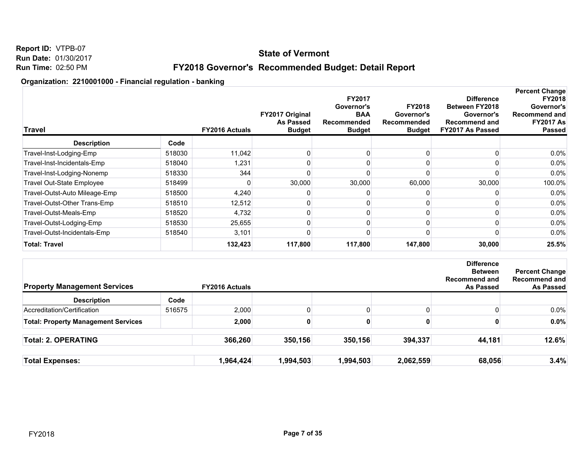## **State of Vermont**

## **FY2018 Governor's Recommended Budget: Detail Report**

| <b>Travel</b>                    |        | FY2016 Actuals | FY2017 Original<br><b>As Passed</b><br><b>Budget</b> | <b>FY2017</b><br>Governor's<br><b>BAA</b><br>Recommended<br><b>Budget</b> | <b>FY2018</b><br>Governor's<br>Recommended<br><b>Budget</b> | <b>Difference</b><br><b>Between FY2018</b><br>Governor's<br><b>Recommend and</b><br>FY2017 As Passed | <b>Percent Change</b><br><b>FY2018</b><br>Governor's<br>Recommend and<br><b>FY2017 As</b><br>Passed |
|----------------------------------|--------|----------------|------------------------------------------------------|---------------------------------------------------------------------------|-------------------------------------------------------------|------------------------------------------------------------------------------------------------------|-----------------------------------------------------------------------------------------------------|
| <b>Description</b>               | Code   |                |                                                      |                                                                           |                                                             |                                                                                                      |                                                                                                     |
| Travel-Inst-Lodging-Emp          | 518030 | 11,042         |                                                      |                                                                           |                                                             |                                                                                                      | 0.0%                                                                                                |
| Travel-Inst-Incidentals-Emp      | 518040 | 1,231          |                                                      |                                                                           |                                                             |                                                                                                      | $0.0\%$                                                                                             |
| Travel-Inst-Lodging-Nonemp       | 518330 | 344            |                                                      |                                                                           |                                                             |                                                                                                      | $0.0\%$                                                                                             |
| <b>Travel Out-State Employee</b> | 518499 |                | 30,000                                               | 30,000                                                                    | 60,000                                                      | 30,000                                                                                               | 100.0%                                                                                              |
| Travel-Outst-Auto Mileage-Emp    | 518500 | 4,240          |                                                      |                                                                           |                                                             |                                                                                                      | $0.0\%$                                                                                             |
| Travel-Outst-Other Trans-Emp     | 518510 | 12,512         |                                                      |                                                                           |                                                             |                                                                                                      | $0.0\%$                                                                                             |
| Travel-Outst-Meals-Emp           | 518520 | 4,732          |                                                      |                                                                           |                                                             |                                                                                                      | $0.0\%$                                                                                             |
| Travel-Outst-Lodging-Emp         | 518530 | 25,655         |                                                      |                                                                           |                                                             |                                                                                                      | $0.0\%$                                                                                             |
| Travel-Outst-Incidentals-Emp     | 518540 | 3,101          |                                                      |                                                                           |                                                             |                                                                                                      | $0.0\%$                                                                                             |
| <b>Total: Travel</b>             |        | 132,423        | 117,800                                              | 117,800                                                                   | 147,800                                                     | 30,000                                                                                               | 25.5%                                                                                               |

| <b>Property Management Services</b>        |        | <b>FY2016 Actuals</b> |           |           |           | <b>Difference</b><br><b>Between</b><br><b>Recommend and</b><br><b>As Passed</b> | <b>Percent Change</b><br>Recommend and<br>As Passed |
|--------------------------------------------|--------|-----------------------|-----------|-----------|-----------|---------------------------------------------------------------------------------|-----------------------------------------------------|
| <b>Description</b>                         | Code   |                       |           |           |           |                                                                                 |                                                     |
| Accreditation/Certification                | 516575 | 2,000                 |           |           |           |                                                                                 | $0.0\%$                                             |
| <b>Total: Property Management Services</b> |        | 2,000                 | 0         |           |           |                                                                                 | $0.0\%$                                             |
| <b>Total: 2. OPERATING</b>                 |        | 366,260               | 350,156   | 350,156   | 394,337   | 44,181                                                                          | 12.6%                                               |
| <b>Total Expenses:</b>                     |        | 1,964,424             | 1,994,503 | 1,994,503 | 2,062,559 | 68,056                                                                          | 3.4%                                                |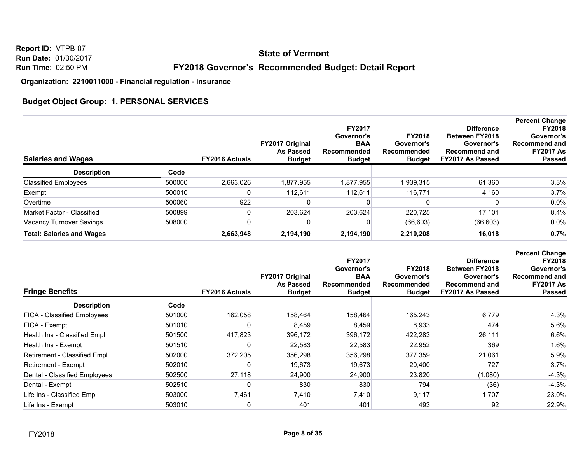## **State of Vermont**

## **FY2018 Governor's Recommended Budget: Detail Report**

**Organization: 2210011000 - Financial regulation - insurance**

## **Budget Object Group: 1. PERSONAL SERVICES**

| <b>Salaries and Wages</b>        |        | <b>FY2016 Actuals</b> | FY2017 Original<br>As Passed<br><b>Budget</b> | <b>FY2017</b><br>Governor's<br><b>BAA</b><br>Recommended<br><b>Budget</b> | <b>FY2018</b><br>Governor's<br>Recommended<br><b>Budget</b> | <b>Difference</b><br><b>Between FY2018</b><br>Governor's<br><b>Recommend and</b><br>FY2017 As Passed | <b>Percent Change</b><br><b>FY2018</b><br>Governor's<br>Recommend and<br><b>FY2017 As</b><br><b>Passed</b> |
|----------------------------------|--------|-----------------------|-----------------------------------------------|---------------------------------------------------------------------------|-------------------------------------------------------------|------------------------------------------------------------------------------------------------------|------------------------------------------------------------------------------------------------------------|
| <b>Description</b>               | Code   |                       |                                               |                                                                           |                                                             |                                                                                                      |                                                                                                            |
| <b>Classified Employees</b>      | 500000 | 2.663.026             | 1.877.955                                     | 1,877,955                                                                 | 1,939,315                                                   | 61.360                                                                                               | 3.3%                                                                                                       |
| Exempt                           | 500010 |                       | 112.611                                       | 112.611                                                                   | 116,771                                                     | 4,160                                                                                                | 3.7%                                                                                                       |
| Overtime                         | 500060 | 922                   |                                               |                                                                           |                                                             |                                                                                                      | $0.0\%$                                                                                                    |
| Market Factor - Classified       | 500899 |                       | 203.624                                       | 203,624                                                                   | 220.725                                                     | 17.101                                                                                               | 8.4%                                                                                                       |
| Vacancy Turnover Savings         | 508000 |                       |                                               |                                                                           | (66, 603)                                                   | (66, 603)                                                                                            | $0.0\%$                                                                                                    |
| <b>Total: Salaries and Wages</b> |        | 2,663,948             | 2,194,190                                     | 2,194,190                                                                 | 2,210,208                                                   | 16,018                                                                                               | 0.7%                                                                                                       |

| <b>Fringe Benefits</b>             |        | <b>FY2016 Actuals</b> | FY2017 Original<br><b>As Passed</b><br><b>Budget</b> | <b>FY2017</b><br>Governor's<br><b>BAA</b><br>Recommended<br><b>Budget</b> | <b>FY2018</b><br>Governor's<br>Recommended<br><b>Budget</b> | <b>Difference</b><br><b>Between FY2018</b><br>Governor's<br><b>Recommend and</b><br>FY2017 As Passed | <b>Percent Change</b><br><b>FY2018</b><br>Governor's<br><b>Recommend and</b><br><b>FY2017 As</b><br><b>Passed</b> |
|------------------------------------|--------|-----------------------|------------------------------------------------------|---------------------------------------------------------------------------|-------------------------------------------------------------|------------------------------------------------------------------------------------------------------|-------------------------------------------------------------------------------------------------------------------|
| <b>Description</b>                 | Code   |                       |                                                      |                                                                           |                                                             |                                                                                                      |                                                                                                                   |
| <b>FICA - Classified Employees</b> | 501000 | 162,058               | 158,464                                              | 158,464                                                                   | 165,243                                                     | 6,779                                                                                                | 4.3%                                                                                                              |
| FICA - Exempt                      | 501010 |                       | 8,459                                                | 8,459                                                                     | 8,933                                                       | 474                                                                                                  | 5.6%                                                                                                              |
| Health Ins - Classified Empl       | 501500 | 417,823               | 396,172                                              | 396,172                                                                   | 422,283                                                     | 26,111                                                                                               | 6.6%                                                                                                              |
| Health Ins - Exempt                | 501510 |                       | 22,583                                               | 22,583                                                                    | 22,952                                                      | 369                                                                                                  | 1.6%                                                                                                              |
| Retirement - Classified Empl       | 502000 | 372,205               | 356,298                                              | 356,298                                                                   | 377,359                                                     | 21,061                                                                                               | 5.9%                                                                                                              |
| Retirement - Exempt                | 502010 | 0                     | 19,673                                               | 19,673                                                                    | 20,400                                                      | 727                                                                                                  | 3.7%                                                                                                              |
| Dental - Classified Employees      | 502500 | 27,118                | 24,900                                               | 24,900                                                                    | 23,820                                                      | (1,080)                                                                                              | $-4.3%$                                                                                                           |
| Dental - Exempt                    | 502510 |                       | 830                                                  | 830                                                                       | 794                                                         | (36)                                                                                                 | $-4.3%$                                                                                                           |
| Life Ins - Classified Empl         | 503000 | 7,461                 | 7,410                                                | 7,410                                                                     | 9,117                                                       | 1,707                                                                                                | 23.0%                                                                                                             |
| Life Ins - Exempt                  | 503010 | 0                     | 401                                                  | 401                                                                       | 493                                                         | 92                                                                                                   | 22.9%                                                                                                             |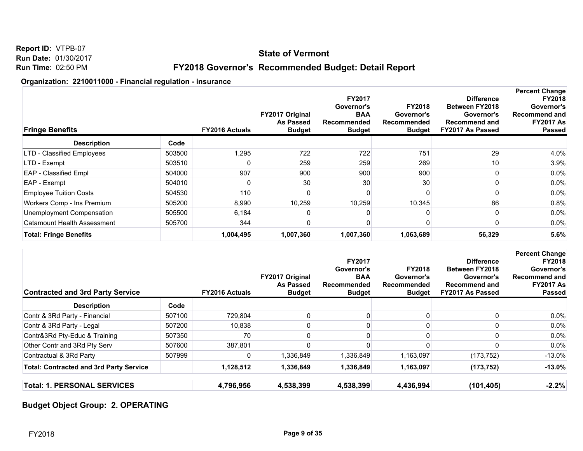## **State of Vermont**

## **FY2018 Governor's Recommended Budget: Detail Report**

#### **Organization: 2210011000 - Financial regulation - insurance**

| <b>Fringe Benefits</b>             |        | <b>FY2016 Actuals</b> | FY2017 Original<br><b>As Passed</b><br><b>Budget</b> | <b>FY2017</b><br>Governor's<br><b>BAA</b><br>Recommended<br><b>Budget</b> | <b>FY2018</b><br>Governor's<br>Recommended<br><b>Budget</b> | <b>Difference</b><br><b>Between FY2018</b><br>Governor's<br><b>Recommend and</b><br>FY2017 As Passed | <b>Percent Change</b><br><b>FY2018</b><br>Governor's<br>Recommend and<br><b>FY2017 As</b><br><b>Passed</b> |
|------------------------------------|--------|-----------------------|------------------------------------------------------|---------------------------------------------------------------------------|-------------------------------------------------------------|------------------------------------------------------------------------------------------------------|------------------------------------------------------------------------------------------------------------|
| <b>Description</b>                 | Code   |                       |                                                      |                                                                           |                                                             |                                                                                                      |                                                                                                            |
| LTD - Classified Employees         | 503500 | 1,295                 | 722                                                  | 722                                                                       | 751                                                         | 29                                                                                                   | 4.0%                                                                                                       |
| LTD - Exempt                       | 503510 |                       | 259                                                  | 259                                                                       | 269                                                         | 10 <sub>1</sub>                                                                                      | 3.9%                                                                                                       |
| <b>EAP</b> - Classified Empl       | 504000 | 907                   | 900                                                  | 900                                                                       | 900                                                         |                                                                                                      | $0.0\%$                                                                                                    |
| EAP - Exempt                       | 504010 |                       | 30                                                   | 30                                                                        | 30                                                          |                                                                                                      | $0.0\%$                                                                                                    |
| <b>Employee Tuition Costs</b>      | 504530 | 110                   |                                                      |                                                                           |                                                             |                                                                                                      | $0.0\%$                                                                                                    |
| Workers Comp - Ins Premium         | 505200 | 8,990                 | 10,259                                               | 10,259                                                                    | 10,345                                                      | 86                                                                                                   | 0.8%                                                                                                       |
| Unemployment Compensation          | 505500 | 6,184                 |                                                      |                                                                           |                                                             |                                                                                                      | $0.0\%$                                                                                                    |
| <b>Catamount Health Assessment</b> | 505700 | 344                   |                                                      |                                                                           |                                                             |                                                                                                      | $0.0\%$                                                                                                    |
| <b>Total: Fringe Benefits</b>      |        | 1,004,495             | 1,007,360                                            | 1,007,360                                                                 | 1,063,689                                                   | 56,329                                                                                               | 5.6%                                                                                                       |

| <b>Contracted and 3rd Party Service</b>        |        | <b>FY2016 Actuals</b> | FY2017 Original<br>As Passed<br><b>Budget</b> | <b>FY2017</b><br>Governor's<br><b>BAA</b><br>Recommended<br><b>Budget</b> | <b>FY2018</b><br>Governor's<br>Recommended<br><b>Budget</b> | <b>Difference</b><br><b>Between FY2018</b><br>Governor's<br><b>Recommend and</b><br><b>FY2017 As Passed</b> | <b>Percent Change</b><br><b>FY2018</b><br>Governor's<br>Recommend and<br><b>FY2017 As</b><br><b>Passed</b> |
|------------------------------------------------|--------|-----------------------|-----------------------------------------------|---------------------------------------------------------------------------|-------------------------------------------------------------|-------------------------------------------------------------------------------------------------------------|------------------------------------------------------------------------------------------------------------|
| <b>Description</b>                             | Code   |                       |                                               |                                                                           |                                                             |                                                                                                             |                                                                                                            |
| Contr & 3Rd Party - Financial                  | 507100 | 729.804               |                                               |                                                                           |                                                             |                                                                                                             | $0.0\%$                                                                                                    |
| Contr & 3Rd Party - Legal                      | 507200 | 10,838                |                                               |                                                                           |                                                             |                                                                                                             | $0.0\%$                                                                                                    |
| Contr&3Rd Pty-Educ & Training                  | 507350 | 70                    |                                               |                                                                           |                                                             |                                                                                                             | $0.0\%$                                                                                                    |
| Other Contr and 3Rd Pty Serv                   | 507600 | 387,801               |                                               |                                                                           |                                                             |                                                                                                             | $0.0\%$                                                                                                    |
| Contractual & 3Rd Party                        | 507999 |                       | 1,336,849                                     | 1,336,849                                                                 | 1,163,097                                                   | (173, 752)                                                                                                  | $-13.0\%$                                                                                                  |
| <b>Total: Contracted and 3rd Party Service</b> |        | 1,128,512             | 1,336,849                                     | 1,336,849                                                                 | 1,163,097                                                   | (173, 752)                                                                                                  | $-13.0\%$                                                                                                  |
| <b>Total: 1. PERSONAL SERVICES</b>             |        | 4,796,956             | 4,538,399                                     | 4,538,399                                                                 | 4,436,994                                                   | (101, 405)                                                                                                  | $-2.2%$                                                                                                    |

## **Budget Object Group: 2. OPERATING**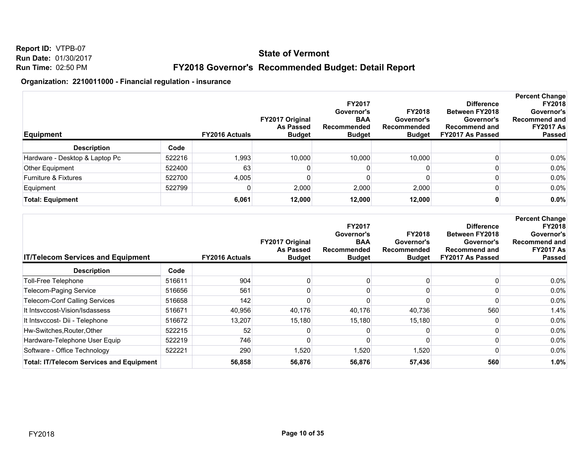**Report ID:** VTPB-07 **Run Date:** 01/30/2017 **Run Time:** 02:50 PM

## **FY2018 Governor's Recommended Budget: Detail Report**

| <b>Equipment</b>                |        | <b>FY2016 Actuals</b> | <b>FY2017 Original</b><br><b>As Passed</b><br><b>Budget</b> | <b>FY2017</b><br>Governor's<br><b>BAA</b><br>Recommended<br><b>Budget</b> | <b>FY2018</b><br>Governor's<br>Recommended<br><b>Budget</b> | <b>Difference</b><br><b>Between FY2018</b><br>Governor's<br><b>Recommend and</b><br>FY2017 As Passed | <b>Percent Change</b><br><b>FY2018</b><br>Governor's<br>Recommend and<br><b>FY2017 As</b><br><b>Passed</b> |
|---------------------------------|--------|-----------------------|-------------------------------------------------------------|---------------------------------------------------------------------------|-------------------------------------------------------------|------------------------------------------------------------------------------------------------------|------------------------------------------------------------------------------------------------------------|
| <b>Description</b>              | Code   |                       |                                                             |                                                                           |                                                             |                                                                                                      |                                                                                                            |
| Hardware - Desktop & Laptop Pc  | 522216 | 1,993                 | 10,000                                                      | 10,000                                                                    | 10,000                                                      |                                                                                                      | $0.0\%$                                                                                                    |
| Other Equipment                 | 522400 | 63                    |                                                             |                                                                           |                                                             |                                                                                                      | $0.0\%$                                                                                                    |
| <b>Furniture &amp; Fixtures</b> | 522700 | 4,005                 |                                                             |                                                                           |                                                             |                                                                                                      | $0.0\%$                                                                                                    |
| Equipment                       | 522799 |                       | 2,000                                                       | 2,000                                                                     | 2,000                                                       |                                                                                                      | 0.0%                                                                                                       |
| <b>Total: Equipment</b>         |        | 6,061                 | 12,000                                                      | 12,000                                                                    | 12,000                                                      |                                                                                                      | 0.0%                                                                                                       |

| <b>IT/Telecom Services and Equipment</b>        |        | <b>FY2016 Actuals</b> | FY2017 Original<br><b>As Passed</b><br><b>Budget</b> | <b>FY2017</b><br>Governor's<br><b>BAA</b><br>Recommended<br><b>Budget</b> | <b>FY2018</b><br>Governor's<br>Recommended<br><b>Budget</b> | <b>Difference</b><br><b>Between FY2018</b><br>Governor's<br><b>Recommend and</b><br>FY2017 As Passed | <b>Percent Change</b><br><b>FY2018</b><br>Governor's<br><b>Recommend and</b><br><b>FY2017 As</b><br><b>Passed</b> |
|-------------------------------------------------|--------|-----------------------|------------------------------------------------------|---------------------------------------------------------------------------|-------------------------------------------------------------|------------------------------------------------------------------------------------------------------|-------------------------------------------------------------------------------------------------------------------|
| <b>Description</b>                              | Code   |                       |                                                      |                                                                           |                                                             |                                                                                                      |                                                                                                                   |
| Toll-Free Telephone                             | 516611 | 904                   |                                                      |                                                                           |                                                             |                                                                                                      | $0.0\%$                                                                                                           |
| Telecom-Paging Service                          | 516656 | 561                   |                                                      |                                                                           |                                                             |                                                                                                      | $0.0\%$                                                                                                           |
| <b>Telecom-Conf Calling Services</b>            | 516658 | 142                   |                                                      |                                                                           |                                                             |                                                                                                      | $0.0\%$                                                                                                           |
| It Intsyccost-Vision/Isdassess                  | 516671 | 40,956                | 40,176                                               | 40,176                                                                    | 40,736                                                      | 560                                                                                                  | 1.4%                                                                                                              |
| It Intsvccost- Dii - Telephone                  | 516672 | 13,207                | 15,180                                               | 15,180                                                                    | 15,180                                                      |                                                                                                      | $0.0\%$                                                                                                           |
| Hw-Switches, Router, Other                      | 522215 | 52                    |                                                      |                                                                           |                                                             |                                                                                                      | $0.0\%$                                                                                                           |
| Hardware-Telephone User Equip                   | 522219 | 746                   |                                                      |                                                                           |                                                             |                                                                                                      | $0.0\%$                                                                                                           |
| Software - Office Technology                    | 522221 | 290                   | 1,520                                                | 1,520                                                                     | 1,520                                                       |                                                                                                      | $0.0\%$                                                                                                           |
| <b>Total: IT/Telecom Services and Equipment</b> |        | 56,858                | 56,876                                               | 56,876                                                                    | 57,436                                                      | 560                                                                                                  | 1.0%                                                                                                              |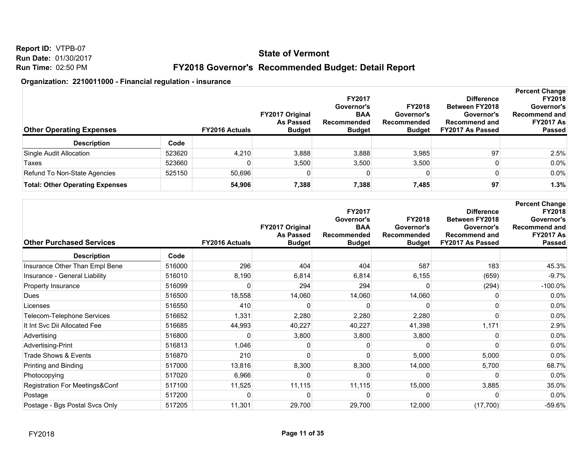**Report ID:** VTPB-07 **Run Date:** 01/30/2017 **Run Time:** 02:50 PM

## **FY2018 Governor's Recommended Budget: Detail Report**

| <b>Other Operating Expenses</b>        |        | <b>FY2016 Actuals</b> | <b>FY2017 Original</b><br><b>As Passed</b><br><b>Budget</b> | <b>FY2017</b><br>Governor's<br><b>BAA</b><br>Recommended<br><b>Budget</b> | <b>FY2018</b><br>Governor's<br><b>Recommended</b><br><b>Budget</b> | <b>Difference</b><br><b>Between FY2018</b><br>Governor's<br><b>Recommend and</b><br>FY2017 As Passed | <b>Percent Change</b><br><b>FY2018</b><br>Governor's<br>Recommend and<br><b>FY2017 As</b><br><b>Passed</b> |
|----------------------------------------|--------|-----------------------|-------------------------------------------------------------|---------------------------------------------------------------------------|--------------------------------------------------------------------|------------------------------------------------------------------------------------------------------|------------------------------------------------------------------------------------------------------------|
| <b>Description</b>                     | Code   |                       |                                                             |                                                                           |                                                                    |                                                                                                      |                                                                                                            |
| Single Audit Allocation                | 523620 | 4,210                 | 3,888                                                       | 3,888                                                                     | 3,985                                                              | 97                                                                                                   | 2.5%                                                                                                       |
| Taxes                                  | 523660 |                       | 3,500                                                       | 3,500                                                                     | 3,500                                                              |                                                                                                      | $0.0\%$                                                                                                    |
| Refund To Non-State Agencies           | 525150 | 50.696                |                                                             | 0                                                                         |                                                                    |                                                                                                      | $0.0\%$                                                                                                    |
| <b>Total: Other Operating Expenses</b> |        | 54.906                | 7,388                                                       | 7,388                                                                     | 7,485                                                              | 97                                                                                                   | 1.3%                                                                                                       |

| <b>Other Purchased Services</b> |        | <b>FY2016 Actuals</b> | FY2017 Original<br><b>As Passed</b><br><b>Budget</b> | FY2017<br>Governor's<br><b>BAA</b><br>Recommended<br><b>Budget</b> | <b>FY2018</b><br>Governor's<br><b>Recommended</b><br><b>Budget</b> | <b>Difference</b><br><b>Between FY2018</b><br>Governor's<br><b>Recommend and</b><br>FY2017 As Passed | <b>Percent Change</b><br><b>FY2018</b><br>Governor's<br>Recommend and<br><b>FY2017 As</b><br><b>Passed</b> |
|---------------------------------|--------|-----------------------|------------------------------------------------------|--------------------------------------------------------------------|--------------------------------------------------------------------|------------------------------------------------------------------------------------------------------|------------------------------------------------------------------------------------------------------------|
| <b>Description</b>              | Code   |                       |                                                      |                                                                    |                                                                    |                                                                                                      |                                                                                                            |
| Insurance Other Than Empl Bene  | 516000 | 296                   | 404                                                  | 404                                                                | 587                                                                | 183                                                                                                  | 45.3%                                                                                                      |
| Insurance - General Liability   | 516010 | 8,190                 | 6,814                                                | 6,814                                                              | 6,155                                                              | (659)                                                                                                | $-9.7%$                                                                                                    |
| Property Insurance              | 516099 |                       | 294                                                  | 294                                                                |                                                                    | (294)                                                                                                | $-100.0\%$                                                                                                 |
| Dues                            | 516500 | 18,558                | 14,060                                               | 14,060                                                             | 14,060                                                             |                                                                                                      | 0.0%                                                                                                       |
| Licenses                        | 516550 | 410                   |                                                      |                                                                    |                                                                    |                                                                                                      | 0.0%                                                                                                       |
| Telecom-Telephone Services      | 516652 | 1,331                 | 2,280                                                | 2,280                                                              | 2,280                                                              |                                                                                                      | 0.0%                                                                                                       |
| It Int Svc Dii Allocated Fee    | 516685 | 44,993                | 40,227                                               | 40,227                                                             | 41,398                                                             | 1,171                                                                                                | 2.9%                                                                                                       |
| Advertising                     | 516800 | 0                     | 3,800                                                | 3,800                                                              | 3,800                                                              |                                                                                                      | 0.0%                                                                                                       |
| Advertising-Print               | 516813 | 1,046                 |                                                      |                                                                    |                                                                    |                                                                                                      | 0.0%                                                                                                       |
| Trade Shows & Events            | 516870 | 210                   |                                                      |                                                                    | 5,000                                                              | 5,000                                                                                                | 0.0%                                                                                                       |
| Printing and Binding            | 517000 | 13,816                | 8,300                                                | 8,300                                                              | 14,000                                                             | 5,700                                                                                                | 68.7%                                                                                                      |
| Photocopying                    | 517020 | 6,966                 |                                                      | O                                                                  |                                                                    | O                                                                                                    | 0.0%                                                                                                       |
| Registration For Meetings&Conf  | 517100 | 11,525                | 11,115                                               | 11,115                                                             | 15,000                                                             | 3,885                                                                                                | 35.0%                                                                                                      |
| Postage                         | 517200 | 0                     |                                                      | n                                                                  |                                                                    |                                                                                                      | 0.0%                                                                                                       |
| Postage - Bgs Postal Svcs Only  | 517205 | 11,301                | 29,700                                               | 29,700                                                             | 12,000                                                             | (17,700)                                                                                             | $-59.6%$                                                                                                   |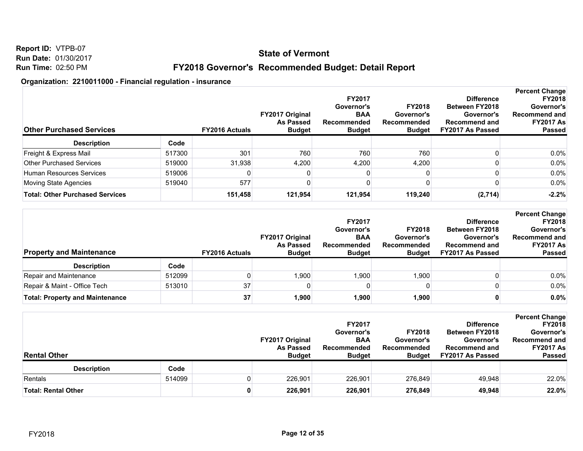**Report ID:** VTPB-07 **Run Date:** 01/30/2017 **Run Time:** 02:50 PM

## **FY2018 Governor's Recommended Budget: Detail Report**

| <b>Other Purchased Services</b>        |        | <b>FY2016 Actuals</b> | <b>FY2017 Original</b><br><b>As Passed</b><br><b>Budget</b> | <b>FY2017</b><br>Governor's<br><b>BAA</b><br>Recommended<br><b>Budget</b> | <b>FY2018</b><br>Governor's<br>Recommended<br><b>Budget</b> | <b>Difference</b><br><b>Between FY2018</b><br>Governor's<br><b>Recommend and</b><br>FY2017 As Passed | <b>Percent Change</b><br><b>FY2018</b><br>Governor's<br><b>Recommend and</b><br><b>FY2017 As</b><br><b>Passed</b> |
|----------------------------------------|--------|-----------------------|-------------------------------------------------------------|---------------------------------------------------------------------------|-------------------------------------------------------------|------------------------------------------------------------------------------------------------------|-------------------------------------------------------------------------------------------------------------------|
| <b>Description</b>                     | Code   |                       |                                                             |                                                                           |                                                             |                                                                                                      |                                                                                                                   |
| Freight & Express Mail                 | 517300 | 301                   | 760                                                         | 760                                                                       | 760                                                         |                                                                                                      | $0.0\%$                                                                                                           |
| <b>Other Purchased Services</b>        | 519000 | 31.938                | 4,200                                                       | 4,200                                                                     | 4,200                                                       |                                                                                                      | $0.0\%$                                                                                                           |
| Human Resources Services               | 519006 |                       |                                                             |                                                                           |                                                             |                                                                                                      | $0.0\%$                                                                                                           |
| Moving State Agencies                  | 519040 | 577                   |                                                             |                                                                           |                                                             |                                                                                                      | $0.0\%$                                                                                                           |
| <b>Total: Other Purchased Services</b> |        | 151.458               | 121.954                                                     | 121,954                                                                   | 119,240                                                     | (2,714)                                                                                              | $-2.2%$                                                                                                           |

| <b>Property and Maintenance</b>        |        | <b>FY2016 Actuals</b> | <b>FY2017 Original</b><br><b>As Passed</b><br><b>Budget</b> | <b>FY2017</b><br>Governor's<br><b>BAA</b><br>Recommended<br><b>Budget</b> | <b>FY2018</b><br>Governor's<br>Recommended<br><b>Budget</b> | <b>Difference</b><br><b>Between FY2018</b><br>Governor's<br><b>Recommend and</b><br>FY2017 As Passed | <b>Percent Change</b><br><b>FY2018</b><br>Governor's<br><b>Recommend and</b><br><b>FY2017 As</b><br><b>Passed</b> |
|----------------------------------------|--------|-----------------------|-------------------------------------------------------------|---------------------------------------------------------------------------|-------------------------------------------------------------|------------------------------------------------------------------------------------------------------|-------------------------------------------------------------------------------------------------------------------|
| <b>Description</b>                     | Code   |                       |                                                             |                                                                           |                                                             |                                                                                                      |                                                                                                                   |
| Repair and Maintenance                 | 512099 |                       | 1.900                                                       | 1,900                                                                     | 1.900                                                       |                                                                                                      | $0.0\%$                                                                                                           |
| Repair & Maint - Office Tech           | 513010 | 37                    |                                                             |                                                                           |                                                             |                                                                                                      | 0.0%                                                                                                              |
| <b>Total: Property and Maintenance</b> |        | 37                    | 1,900                                                       | 1,900                                                                     | 1.900                                                       |                                                                                                      | 0.0%                                                                                                              |

| <b>Rental Other</b>        |        |   | <b>FY2017 Original</b><br><b>As Passed</b><br><b>Budget</b> | <b>FY2017</b><br>Governor's<br><b>BAA</b><br><b>Recommended</b><br><b>Budget</b> | <b>FY2018</b><br>Governor's<br>Recommended<br><b>Budget</b> | <b>Difference</b><br><b>Between FY2018</b><br>Governor's<br><b>Recommend and</b><br>FY2017 As Passed | <b>Percent Change</b><br><b>FY2018</b><br>Governor's<br><b>Recommend and</b><br><b>FY2017 As</b><br>Passed |
|----------------------------|--------|---|-------------------------------------------------------------|----------------------------------------------------------------------------------|-------------------------------------------------------------|------------------------------------------------------------------------------------------------------|------------------------------------------------------------------------------------------------------------|
| <b>Description</b>         | Code   |   |                                                             |                                                                                  |                                                             |                                                                                                      |                                                                                                            |
| Rentals                    | 514099 |   | 226,901                                                     | 226,901                                                                          | 276,849                                                     | 49,948                                                                                               | 22.0%                                                                                                      |
| <b>Total: Rental Other</b> |        | 0 | 226,901                                                     | 226,901                                                                          | 276,849                                                     | 49,948                                                                                               | 22.0%                                                                                                      |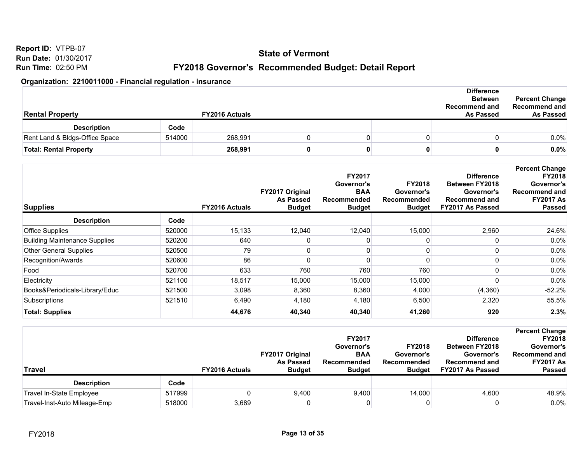**Report ID:** VTPB-07 **Run Date:** 01/30/2017 **Run Time:** 02:50 PM

## **FY2018 Governor's Recommended Budget: Detail Report**

| <b>Rental Property</b>         |        | <b>FY2016 Actuals</b> |  | <b>Difference</b><br><b>Between</b><br><b>Recommend and</b><br><b>As Passed</b> | <b>Percent Change</b><br><b>Recommend and</b><br><b>As Passed</b> |
|--------------------------------|--------|-----------------------|--|---------------------------------------------------------------------------------|-------------------------------------------------------------------|
| <b>Description</b>             | Code   |                       |  |                                                                                 |                                                                   |
| Rent Land & Bldgs-Office Space | 514000 | 268,991               |  |                                                                                 | $0.0\%$                                                           |
| <b>Total: Rental Property</b>  |        | 268,991               |  |                                                                                 | 0.0%                                                              |

| <b>Supplies</b>                      |        | <b>FY2016 Actuals</b> | FY2017 Original<br><b>As Passed</b><br><b>Budget</b> | <b>FY2017</b><br>Governor's<br><b>BAA</b><br>Recommended<br><b>Budget</b> | <b>FY2018</b><br>Governor's<br>Recommended<br><b>Budget</b> | <b>Difference</b><br><b>Between FY2018</b><br>Governor's<br><b>Recommend and</b><br>FY2017 As Passed | <b>Percent Change</b><br><b>FY2018</b><br>Governor's<br><b>Recommend and</b><br><b>FY2017 As</b><br><b>Passed</b> |
|--------------------------------------|--------|-----------------------|------------------------------------------------------|---------------------------------------------------------------------------|-------------------------------------------------------------|------------------------------------------------------------------------------------------------------|-------------------------------------------------------------------------------------------------------------------|
| <b>Description</b>                   | Code   |                       |                                                      |                                                                           |                                                             |                                                                                                      |                                                                                                                   |
| <b>Office Supplies</b>               | 520000 | 15,133                | 12,040                                               | 12,040                                                                    | 15,000                                                      | 2,960                                                                                                | 24.6%                                                                                                             |
| <b>Building Maintenance Supplies</b> | 520200 | 640                   |                                                      |                                                                           |                                                             |                                                                                                      | 0.0%                                                                                                              |
| <b>Other General Supplies</b>        | 520500 | 79                    |                                                      | 0                                                                         |                                                             |                                                                                                      | $0.0\%$                                                                                                           |
| Recognition/Awards                   | 520600 | 86                    |                                                      | 0                                                                         | 0                                                           |                                                                                                      | $0.0\%$                                                                                                           |
| Food                                 | 520700 | 633                   | 760                                                  | 760                                                                       | 760                                                         |                                                                                                      | 0.0%                                                                                                              |
| Electricity                          | 521100 | 18,517                | 15,000                                               | 15,000                                                                    | 15,000                                                      |                                                                                                      | $0.0\%$                                                                                                           |
| Books&Periodicals-Library/Educ       | 521500 | 3,098                 | 8,360                                                | 8,360                                                                     | 4,000                                                       | (4,360)                                                                                              | $-52.2%$                                                                                                          |
| Subscriptions                        | 521510 | 6.490                 | 4,180                                                | 4,180                                                                     | 6,500                                                       | 2,320                                                                                                | 55.5%                                                                                                             |
| <b>Total: Supplies</b>               |        | 44,676                | 40,340                                               | 40,340                                                                    | 41,260                                                      | 920                                                                                                  | 2.3%                                                                                                              |

| <b>Travel</b>                |        | <b>FY2016 Actuals</b> | <b>FY2017 Original</b><br><b>As Passed</b><br><b>Budget</b> | <b>FY2017</b><br>Governor's<br><b>BAA</b><br><b>Recommended</b><br><b>Budget</b> | <b>FY2018</b><br>Governor's<br>Recommended<br><b>Budget</b> | <b>Difference</b><br><b>Between FY2018</b><br>Governor's<br><b>Recommend and</b><br>FY2017 As Passed | <b>Percent Change</b><br><b>FY2018</b><br>Governor's<br><b>Recommend and</b><br><b>FY2017 As</b><br><b>Passed</b> |
|------------------------------|--------|-----------------------|-------------------------------------------------------------|----------------------------------------------------------------------------------|-------------------------------------------------------------|------------------------------------------------------------------------------------------------------|-------------------------------------------------------------------------------------------------------------------|
| <b>Description</b>           | Code   |                       |                                                             |                                                                                  |                                                             |                                                                                                      |                                                                                                                   |
| Travel In-State Employee     | 517999 |                       | 9,400                                                       | 9,400                                                                            | 14,000                                                      | 4,600                                                                                                | 48.9%                                                                                                             |
| Travel-Inst-Auto Mileage-Emp | 518000 | 3,689                 |                                                             |                                                                                  |                                                             |                                                                                                      | 0.0%                                                                                                              |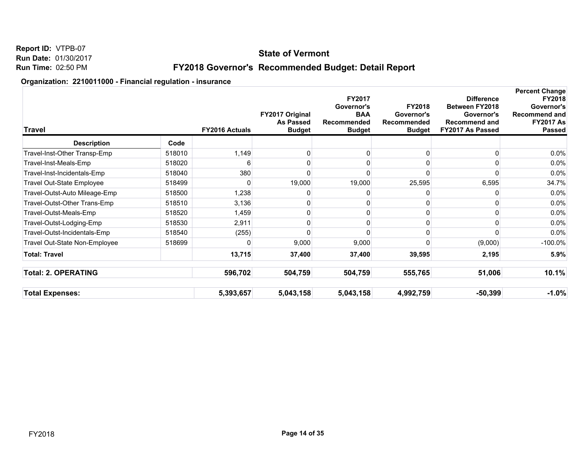## **State of Vermont**

## **FY2018 Governor's Recommended Budget: Detail Report**

| Travel                           |        | <b>FY2016 Actuals</b> | FY2017 Original<br><b>As Passed</b><br><b>Budget</b> | FY2017<br>Governor's<br><b>BAA</b><br>Recommended<br><b>Budget</b> | <b>FY2018</b><br>Governor's<br>Recommended<br><b>Budget</b> | <b>Difference</b><br>Between FY2018<br>Governor's<br><b>Recommend and</b><br>FY2017 As Passed | <b>Percent Change</b><br><b>FY2018</b><br>Governor's<br>Recommend and<br><b>FY2017 As</b><br><b>Passed</b> |
|----------------------------------|--------|-----------------------|------------------------------------------------------|--------------------------------------------------------------------|-------------------------------------------------------------|-----------------------------------------------------------------------------------------------|------------------------------------------------------------------------------------------------------------|
| <b>Description</b>               | Code   |                       |                                                      |                                                                    |                                                             |                                                                                               |                                                                                                            |
| Travel-Inst-Other Transp-Emp     | 518010 | 1,149                 | 0                                                    |                                                                    | 0                                                           |                                                                                               | 0.0%                                                                                                       |
| Travel-Inst-Meals-Emp            | 518020 |                       | 0                                                    |                                                                    |                                                             |                                                                                               | 0.0%                                                                                                       |
| Travel-Inst-Incidentals-Emp      | 518040 | 380                   | 0                                                    |                                                                    |                                                             |                                                                                               | 0.0%                                                                                                       |
| <b>Travel Out-State Employee</b> | 518499 |                       | 19,000                                               | 19,000                                                             | 25,595                                                      | 6,595                                                                                         | 34.7%                                                                                                      |
| Travel-Outst-Auto Mileage-Emp    | 518500 | 1,238                 | N                                                    |                                                                    |                                                             |                                                                                               | 0.0%                                                                                                       |
| Travel-Outst-Other Trans-Emp     | 518510 | 3,136                 | 0                                                    |                                                                    |                                                             |                                                                                               | 0.0%                                                                                                       |
| Travel-Outst-Meals-Emp           | 518520 | 1,459                 | 0                                                    |                                                                    | 0                                                           |                                                                                               | 0.0%                                                                                                       |
| Travel-Outst-Lodging-Emp         | 518530 | 2,911                 | 0                                                    |                                                                    |                                                             |                                                                                               | 0.0%                                                                                                       |
| Travel-Outst-Incidentals-Emp     | 518540 | (255)                 | n                                                    |                                                                    |                                                             |                                                                                               | 0.0%                                                                                                       |
| Travel Out-State Non-Employee    | 518699 |                       | 9,000                                                | 9,000                                                              |                                                             | (9,000)                                                                                       | $-100.0\%$                                                                                                 |
| <b>Total: Travel</b>             |        | 13,715                | 37,400                                               | 37,400                                                             | 39,595                                                      | 2,195                                                                                         | 5.9%                                                                                                       |
| <b>Total: 2. OPERATING</b>       |        | 596,702               | 504,759                                              | 504,759                                                            | 555,765                                                     | 51,006                                                                                        | 10.1%                                                                                                      |
| <b>Total Expenses:</b>           |        | 5,393,657             | 5,043,158                                            | 5,043,158                                                          | 4,992,759                                                   | $-50,399$                                                                                     | $-1.0%$                                                                                                    |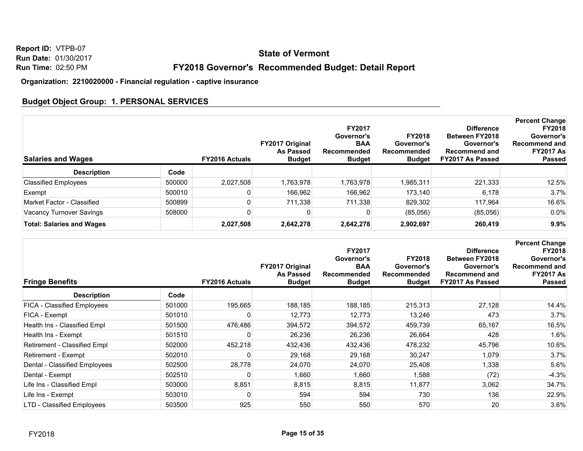## **State of Vermont**

## **FY2018 Governor's Recommended Budget: Detail Report**

#### **Organization: 2210020000 - Financial regulation - captive insurance**

## **Budget Object Group: 1. PERSONAL SERVICES**

| <b>Salaries and Wages</b>        |        | <b>FY2016 Actuals</b> | <b>FY2017 Original</b><br><b>As Passed</b><br><b>Budget</b> | <b>FY2017</b><br>Governor's<br><b>BAA</b><br>Recommended<br><b>Budget</b> | <b>FY2018</b><br>Governor's<br>Recommended<br><b>Budget</b> | <b>Difference</b><br>Between FY2018<br>Governor's<br><b>Recommend and</b><br>FY2017 As Passed | <b>Percent Change</b><br><b>FY2018</b><br>Governor's<br>Recommend and<br><b>FY2017 As</b><br><b>Passed</b> |
|----------------------------------|--------|-----------------------|-------------------------------------------------------------|---------------------------------------------------------------------------|-------------------------------------------------------------|-----------------------------------------------------------------------------------------------|------------------------------------------------------------------------------------------------------------|
| <b>Description</b>               | Code   |                       |                                                             |                                                                           |                                                             |                                                                                               |                                                                                                            |
| <b>Classified Employees</b>      | 500000 | 2,027,508             | 1.763.978                                                   | 1.763.978                                                                 | 1,985,311                                                   | 221.333                                                                                       | 12.5%                                                                                                      |
| Exempt                           | 500010 |                       | 166.962                                                     | 166,962                                                                   | 173.140                                                     | 6,178                                                                                         | 3.7%                                                                                                       |
| Market Factor - Classified       | 500899 |                       | 711.338                                                     | 711.338                                                                   | 829.302                                                     | 117.964                                                                                       | 16.6%                                                                                                      |
| Vacancy Turnover Savings         | 508000 |                       |                                                             |                                                                           | (85,056)                                                    | (85,056)                                                                                      | $0.0\%$                                                                                                    |
| <b>Total: Salaries and Wages</b> |        | 2,027,508             | 2,642,278                                                   | 2,642,278                                                                 | 2,902,697                                                   | 260,419                                                                                       | 9.9%                                                                                                       |

| <b>Fringe Benefits</b>        |        | <b>FY2016 Actuals</b> | FY2017 Original<br><b>As Passed</b><br><b>Budget</b> | FY2017<br>Governor's<br><b>BAA</b><br>Recommended<br><b>Budget</b> | <b>FY2018</b><br>Governor's<br>Recommended<br><b>Budget</b> | <b>Difference</b><br><b>Between FY2018</b><br>Governor's<br><b>Recommend and</b><br>FY2017 As Passed | <b>Percent Change</b><br><b>FY2018</b><br>Governor's<br>Recommend and<br><b>FY2017 As</b><br><b>Passed</b> |
|-------------------------------|--------|-----------------------|------------------------------------------------------|--------------------------------------------------------------------|-------------------------------------------------------------|------------------------------------------------------------------------------------------------------|------------------------------------------------------------------------------------------------------------|
| <b>Description</b>            | Code   |                       |                                                      |                                                                    |                                                             |                                                                                                      |                                                                                                            |
| FICA - Classified Employees   | 501000 | 195,665               | 188,185                                              | 188,185                                                            | 215,313                                                     | 27,128                                                                                               | 14.4%                                                                                                      |
| FICA - Exempt                 | 501010 |                       | 12,773                                               | 12,773                                                             | 13,246                                                      | 473                                                                                                  | 3.7%                                                                                                       |
| Health Ins - Classified Empl  | 501500 | 476,486               | 394,572                                              | 394,572                                                            | 459,739                                                     | 65,167                                                                                               | 16.5%                                                                                                      |
| Health Ins - Exempt           | 501510 | 0                     | 26,236                                               | 26,236                                                             | 26,664                                                      | 428                                                                                                  | $1.6\%$                                                                                                    |
| Retirement - Classified Empl  | 502000 | 452,218               | 432,436                                              | 432,436                                                            | 478,232                                                     | 45,796                                                                                               | 10.6%                                                                                                      |
| Retirement - Exempt           | 502010 | 0                     | 29,168                                               | 29,168                                                             | 30,247                                                      | 1,079                                                                                                | 3.7%                                                                                                       |
| Dental - Classified Employees | 502500 | 28,778                | 24,070                                               | 24,070                                                             | 25,408                                                      | 1,338                                                                                                | 5.6%                                                                                                       |
| Dental - Exempt               | 502510 | 0                     | 1,660                                                | 1,660                                                              | 1,588                                                       | (72)                                                                                                 | $-4.3%$                                                                                                    |
| Life Ins - Classified Empl    | 503000 | 8,851                 | 8,815                                                | 8,815                                                              | 11,877                                                      | 3,062                                                                                                | 34.7%                                                                                                      |
| Life Ins - Exempt             | 503010 | 0                     | 594                                                  | 594                                                                | 730                                                         | 136                                                                                                  | 22.9%                                                                                                      |
| LTD - Classified Employees    | 503500 | 925                   | 550                                                  | 550                                                                | 570                                                         | 20                                                                                                   | 3.6%                                                                                                       |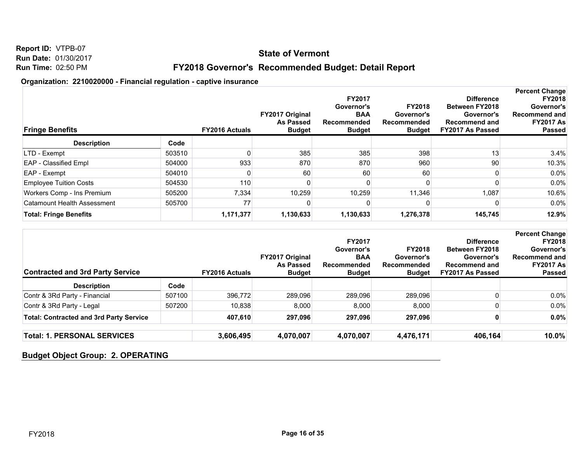## **State of Vermont**

## **FY2018 Governor's Recommended Budget: Detail Report**

#### **Organization: 2210020000 - Financial regulation - captive insurance**

| <b>Fringe Benefits</b>             |        | <b>FY2016 Actuals</b> | FY2017 Original<br><b>As Passed</b><br><b>Budget</b> | <b>FY2017</b><br>Governor's<br><b>BAA</b><br>Recommended<br><b>Budget</b> | <b>FY2018</b><br>Governor's<br>Recommended<br><b>Budget</b> | <b>Difference</b><br><b>Between FY2018</b><br>Governor's<br><b>Recommend and</b><br>FY2017 As Passed | <b>Percent Change</b><br><b>FY2018</b><br>Governor's<br><b>Recommend and</b><br><b>FY2017 As</b><br><b>Passed</b> |
|------------------------------------|--------|-----------------------|------------------------------------------------------|---------------------------------------------------------------------------|-------------------------------------------------------------|------------------------------------------------------------------------------------------------------|-------------------------------------------------------------------------------------------------------------------|
| <b>Description</b>                 | Code   |                       |                                                      |                                                                           |                                                             |                                                                                                      |                                                                                                                   |
| LTD - Exempt                       | 503510 |                       | 385                                                  | 385                                                                       | 398                                                         | 13                                                                                                   | 3.4%                                                                                                              |
| <b>EAP</b> - Classified Empl       | 504000 | 933                   | 870                                                  | 870                                                                       | 960                                                         | 90 <sub>1</sub>                                                                                      | 10.3%                                                                                                             |
| EAP - Exempt                       | 504010 |                       | 60                                                   | 60                                                                        | 60                                                          |                                                                                                      | $0.0\%$                                                                                                           |
| <b>Employee Tuition Costs</b>      | 504530 | 110                   |                                                      |                                                                           |                                                             |                                                                                                      | $0.0\%$                                                                                                           |
| Workers Comp - Ins Premium         | 505200 | 7,334                 | 10,259                                               | 10,259                                                                    | 11,346                                                      | 1,087                                                                                                | 10.6%                                                                                                             |
| <b>Catamount Health Assessment</b> | 505700 | 77                    |                                                      |                                                                           |                                                             |                                                                                                      | $0.0\%$                                                                                                           |
| <b>Total: Fringe Benefits</b>      |        | 1,171,377             | 1,130,633                                            | 1,130,633                                                                 | 1,276,378                                                   | 145,745                                                                                              | 12.9%                                                                                                             |

| <b>Contracted and 3rd Party Service</b>        |        | <b>FY2016 Actuals</b> | <b>FY2017 Original</b><br>As Passed<br><b>Budget</b> | <b>FY2017</b><br>Governor's<br><b>BAA</b><br>Recommended<br><b>Budget</b> | <b>FY2018</b><br>Governor's<br>Recommended<br><b>Budget</b> | <b>Difference</b><br><b>Between FY2018</b><br>Governor's<br><b>Recommend and</b><br>FY2017 As Passed | <b>Percent Change</b><br><b>FY2018</b><br>Governor's<br>Recommend and<br><b>FY2017 As</b><br><b>Passed</b> |
|------------------------------------------------|--------|-----------------------|------------------------------------------------------|---------------------------------------------------------------------------|-------------------------------------------------------------|------------------------------------------------------------------------------------------------------|------------------------------------------------------------------------------------------------------------|
| <b>Description</b>                             | Code   |                       |                                                      |                                                                           |                                                             |                                                                                                      |                                                                                                            |
| Contr & 3Rd Party - Financial                  | 507100 | 396,772               | 289,096                                              | 289,096                                                                   | 289,096                                                     |                                                                                                      | $0.0\%$                                                                                                    |
| Contr & 3Rd Party - Legal                      | 507200 | 10.838                | 8,000                                                | 8,000                                                                     | 8,000                                                       |                                                                                                      | $0.0\%$                                                                                                    |
| <b>Total: Contracted and 3rd Party Service</b> |        | 407,610               | 297,096                                              | 297,096                                                                   | 297,096                                                     |                                                                                                      | $0.0\%$                                                                                                    |
| <b>Total: 1. PERSONAL SERVICES</b>             |        | 3,606,495             | 4,070,007                                            | 4,070,007                                                                 | 4,476,171                                                   | 406,164                                                                                              | $10.0\%$                                                                                                   |

## **Budget Object Group: 2. OPERATING**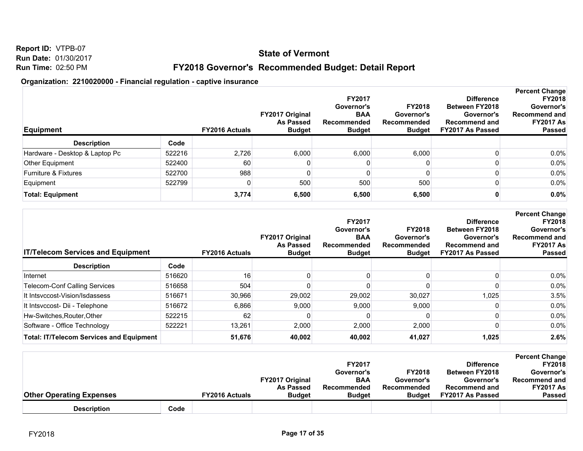**Run Date:** 01/30/2017 **Run Time:** 02:50 PM

**Report ID:** VTPB-07

**FY2018 Governor's Recommended Budget: Detail Report**

| <b>Equipment</b>                |        | <b>FY2016 Actuals</b> | <b>FY2017 Original</b><br><b>As Passed</b><br><b>Budget</b> | <b>FY2017</b><br>Governor's<br><b>BAA</b><br>Recommended<br><b>Budget</b> | <b>FY2018</b><br>Governor's<br>Recommended<br><b>Budget</b> | <b>Difference</b><br><b>Between FY2018</b><br>Governor's<br><b>Recommend and</b><br>FY2017 As Passed | <b>Percent Change</b><br><b>FY2018</b><br>Governor's<br><b>Recommend and</b><br><b>FY2017 As</b><br><b>Passed</b> |
|---------------------------------|--------|-----------------------|-------------------------------------------------------------|---------------------------------------------------------------------------|-------------------------------------------------------------|------------------------------------------------------------------------------------------------------|-------------------------------------------------------------------------------------------------------------------|
| <b>Description</b>              | Code   |                       |                                                             |                                                                           |                                                             |                                                                                                      |                                                                                                                   |
| Hardware - Desktop & Laptop Pc  | 522216 | 2,726                 | 6,000                                                       | 6,000                                                                     | 6,000                                                       |                                                                                                      | $0.0\%$                                                                                                           |
| Other Equipment                 | 522400 | 60                    |                                                             | 0                                                                         |                                                             |                                                                                                      | $0.0\%$                                                                                                           |
| <b>Furniture &amp; Fixtures</b> | 522700 | 988                   |                                                             | 0                                                                         |                                                             |                                                                                                      | $0.0\%$                                                                                                           |
| Equipment                       | 522799 |                       | 500                                                         | 500                                                                       | 500                                                         |                                                                                                      | $0.0\%$                                                                                                           |
| <b>Total: Equipment</b>         |        | 3,774                 | 6,500                                                       | 6,500                                                                     | 6,500                                                       |                                                                                                      | 0.0%                                                                                                              |

| <b>IT/Telecom Services and Equipment</b>        |        | <b>FY2016 Actuals</b> | <b>FY2017 Original</b><br><b>As Passed</b><br><b>Budget</b> | <b>FY2017</b><br>Governor's<br><b>BAA</b><br>Recommended<br><b>Budget</b> | <b>FY2018</b><br>Governor's<br>Recommended<br><b>Budget</b> | <b>Difference</b><br><b>Between FY2018</b><br>Governor's<br><b>Recommend and</b><br>FY2017 As Passed | <b>Percent Change</b><br><b>FY2018</b><br>Governor's<br>Recommend and<br><b>FY2017 As</b><br><b>Passed</b> |
|-------------------------------------------------|--------|-----------------------|-------------------------------------------------------------|---------------------------------------------------------------------------|-------------------------------------------------------------|------------------------------------------------------------------------------------------------------|------------------------------------------------------------------------------------------------------------|
| <b>Description</b>                              | Code   |                       |                                                             |                                                                           |                                                             |                                                                                                      |                                                                                                            |
| Internet                                        | 516620 | 16                    |                                                             |                                                                           |                                                             |                                                                                                      | $0.0\%$                                                                                                    |
| <b>Telecom-Conf Calling Services</b>            | 516658 | 504                   |                                                             |                                                                           |                                                             |                                                                                                      | $0.0\%$                                                                                                    |
| It Intsyccost-Vision/Isdassess                  | 516671 | 30,966                | 29,002                                                      | 29,002                                                                    | 30,027                                                      | 1,025                                                                                                | 3.5%                                                                                                       |
| It Intsvccost- Dii - Telephone                  | 516672 | 6,866                 | 9,000                                                       | 9,000                                                                     | 9,000                                                       |                                                                                                      | $0.0\%$                                                                                                    |
| Hw-Switches, Router, Other                      | 522215 | 62                    |                                                             |                                                                           |                                                             |                                                                                                      | $0.0\%$                                                                                                    |
| Software - Office Technology                    | 522221 | 13,261                | 2,000                                                       | 2,000                                                                     | 2,000                                                       |                                                                                                      | $0.0\%$                                                                                                    |
| <b>Total: IT/Telecom Services and Equipment</b> |        | 51,676                | 40,002                                                      | 40,002                                                                    | 41,027                                                      | 1,025                                                                                                | 2.6%                                                                                                       |

|                                 |      |                       |                        |               |               |                      | <b>Percent Change</b> |
|---------------------------------|------|-----------------------|------------------------|---------------|---------------|----------------------|-----------------------|
|                                 |      |                       |                        | <b>FY2017</b> |               | <b>Difference</b>    | <b>FY2018</b>         |
|                                 |      |                       |                        | Governor's    | <b>FY2018</b> | Between FY2018       | Governor's            |
|                                 |      |                       | <b>FY2017 Original</b> | <b>BAA</b>    | Governor's    | Governor's           | <b>Recommend and</b>  |
|                                 |      |                       | <b>As Passed</b>       | Recommended   | Recommended   | <b>Recommend and</b> | <b>FY2017 As</b>      |
| <b>Other Operating Expenses</b> |      | <b>FY2016 Actuals</b> | <b>Budget</b>          | <b>Budget</b> | <b>Budget</b> | FY2017 As Passed     | <b>Passed</b>         |
| <b>Description</b>              | Code |                       |                        |               |               |                      |                       |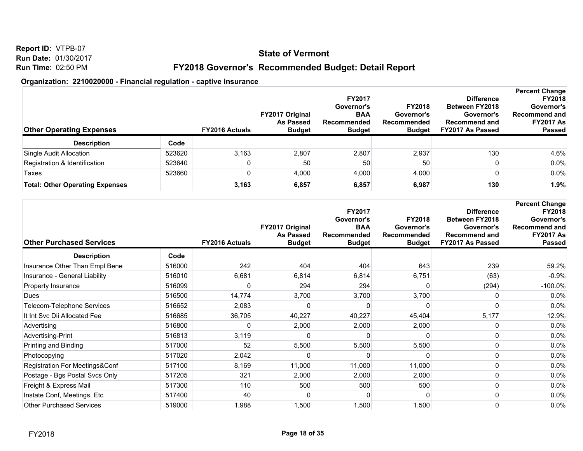**Run Date:** 01/30/2017 **Run Time:** 02:50 PM

**Report ID:** VTPB-07

## **FY2018 Governor's Recommended Budget: Detail Report**

| <b>Other Operating Expenses</b>        |        | <b>FY2016 Actuals</b> | <b>FY2017 Original</b><br>As Passed<br><b>Budget</b> | FY2017<br>Governor's<br><b>BAA</b><br>Recommended<br><b>Budget</b> | <b>FY2018</b><br>Governor's<br>Recommended<br><b>Budget</b> | <b>Difference</b><br><b>Between FY2018</b><br>Governor's<br><b>Recommend and</b><br>FY2017 As Passed | <b>Percent Change</b><br><b>FY2018</b><br>Governor's<br><b>Recommend and</b><br><b>FY2017 As</b><br><b>Passed</b> |
|----------------------------------------|--------|-----------------------|------------------------------------------------------|--------------------------------------------------------------------|-------------------------------------------------------------|------------------------------------------------------------------------------------------------------|-------------------------------------------------------------------------------------------------------------------|
| <b>Description</b>                     | Code   |                       |                                                      |                                                                    |                                                             |                                                                                                      |                                                                                                                   |
| Single Audit Allocation                | 523620 | 3,163                 | 2,807                                                | 2,807                                                              | 2,937                                                       | 130                                                                                                  | 4.6%                                                                                                              |
| Registration & Identification          | 523640 |                       | 50                                                   | 50                                                                 | 50                                                          |                                                                                                      | $0.0\%$                                                                                                           |
| Taxes                                  | 523660 |                       | 4,000                                                | 4,000                                                              | 4,000                                                       |                                                                                                      | 0.0%                                                                                                              |
| <b>Total: Other Operating Expenses</b> |        | 3,163                 | 6,857                                                | 6,857                                                              | 6,987                                                       | 130                                                                                                  | 1.9%                                                                                                              |

| <b>Other Purchased Services</b> |        | <b>FY2016 Actuals</b> | FY2017 Original<br><b>As Passed</b><br><b>Budget</b> | FY2017<br>Governor's<br><b>BAA</b><br>Recommended<br><b>Budget</b> | <b>FY2018</b><br>Governor's<br>Recommended<br><b>Budget</b> | <b>Difference</b><br><b>Between FY2018</b><br>Governor's<br><b>Recommend and</b><br>FY2017 As Passed | <b>Percent Change</b><br><b>FY2018</b><br>Governor's<br><b>Recommend and</b><br><b>FY2017 As</b><br><b>Passed</b> |
|---------------------------------|--------|-----------------------|------------------------------------------------------|--------------------------------------------------------------------|-------------------------------------------------------------|------------------------------------------------------------------------------------------------------|-------------------------------------------------------------------------------------------------------------------|
| <b>Description</b>              | Code   |                       |                                                      |                                                                    |                                                             |                                                                                                      |                                                                                                                   |
| Insurance Other Than Empl Bene  | 516000 | 242                   | 404                                                  | 404                                                                | 643                                                         | 239                                                                                                  | 59.2%                                                                                                             |
| Insurance - General Liability   | 516010 | 6,681                 | 6,814                                                | 6,814                                                              | 6,751                                                       | (63)                                                                                                 | $-0.9%$                                                                                                           |
| Property Insurance              | 516099 |                       | 294                                                  | 294                                                                |                                                             | (294)                                                                                                | $-100.0\%$                                                                                                        |
| Dues                            | 516500 | 14,774                | 3,700                                                | 3,700                                                              | 3,700                                                       |                                                                                                      | 0.0%                                                                                                              |
| Telecom-Telephone Services      | 516652 | 2,083                 |                                                      |                                                                    |                                                             |                                                                                                      | 0.0%                                                                                                              |
| It Int Svc Dii Allocated Fee    | 516685 | 36,705                | 40,227                                               | 40,227                                                             | 45,404                                                      | 5,177                                                                                                | 12.9%                                                                                                             |
| Advertising                     | 516800 |                       | 2,000                                                | 2,000                                                              | 2,000                                                       |                                                                                                      | 0.0%                                                                                                              |
| Advertising-Print               | 516813 | 3,119                 |                                                      |                                                                    |                                                             |                                                                                                      | 0.0%                                                                                                              |
| Printing and Binding            | 517000 | 52                    | 5,500                                                | 5,500                                                              | 5,500                                                       |                                                                                                      | 0.0%                                                                                                              |
| Photocopying                    | 517020 | 2,042                 |                                                      |                                                                    |                                                             |                                                                                                      | 0.0%                                                                                                              |
| Registration For Meetings&Conf  | 517100 | 8,169                 | 11,000                                               | 11,000                                                             | 11,000                                                      |                                                                                                      | 0.0%                                                                                                              |
| Postage - Bgs Postal Svcs Only  | 517205 | 321                   | 2,000                                                | 2,000                                                              | 2,000                                                       |                                                                                                      | 0.0%                                                                                                              |
| Freight & Express Mail          | 517300 | 110                   | 500                                                  | 500                                                                | 500                                                         |                                                                                                      | 0.0%                                                                                                              |
| Instate Conf, Meetings, Etc     | 517400 | 40                    |                                                      |                                                                    |                                                             |                                                                                                      | 0.0%                                                                                                              |
| <b>Other Purchased Services</b> | 519000 | 1,988                 | 1,500                                                | 1,500                                                              | 1,500                                                       | 0                                                                                                    | 0.0%                                                                                                              |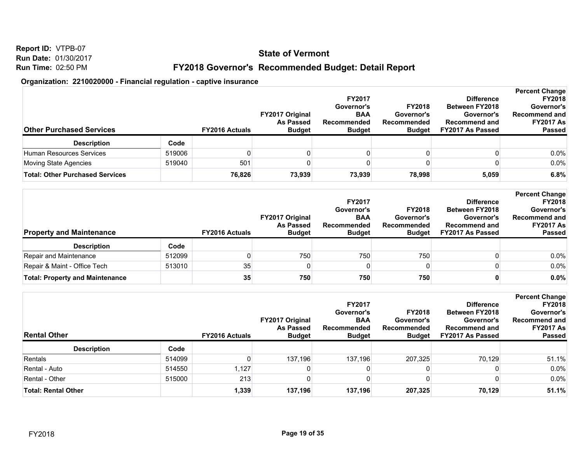**Report ID:** VTPB-07 **Run Date:** 01/30/2017 **Run Time:** 02:50 PM

**FY2018 Governor's Recommended Budget: Detail Report**

| <b>Other Purchased Services</b>        |        | <b>FY2016 Actuals</b> | <b>FY2017 Original</b><br><b>As Passed</b><br><b>Budget</b> | <b>FY2017</b><br>Governor's<br><b>BAA</b><br>Recommended<br><b>Budget</b> | <b>FY2018</b><br>Governor's<br>Recommended<br><b>Budget</b> | <b>Difference</b><br><b>Between FY2018</b><br>Governor's<br><b>Recommend and</b><br>FY2017 As Passed | <b>Percent Change</b><br><b>FY2018</b><br>Governor's<br><b>Recommend and</b><br><b>FY2017 As</b><br><b>Passed</b> |
|----------------------------------------|--------|-----------------------|-------------------------------------------------------------|---------------------------------------------------------------------------|-------------------------------------------------------------|------------------------------------------------------------------------------------------------------|-------------------------------------------------------------------------------------------------------------------|
| <b>Description</b>                     | Code   |                       |                                                             |                                                                           |                                                             |                                                                                                      |                                                                                                                   |
| Human Resources Services               | 519006 |                       |                                                             |                                                                           |                                                             |                                                                                                      | 0.0%                                                                                                              |
| Moving State Agencies                  | 519040 | 501                   |                                                             |                                                                           |                                                             |                                                                                                      | 0.0%                                                                                                              |
| <b>Total: Other Purchased Services</b> |        | 76,826                | 73,939                                                      | 73,939                                                                    | 78,998                                                      | 5,059                                                                                                | 6.8%                                                                                                              |

| <b>Property and Maintenance</b>        |        | <b>FY2016 Actuals</b> | <b>FY2017 Original</b><br>As Passed<br><b>Budget</b> | <b>FY2017</b><br>Governor's<br><b>BAA</b><br>Recommended<br><b>Budget</b> | <b>FY2018</b><br>Governor's<br>Recommended<br><b>Budget</b> | <b>Difference</b><br><b>Between FY2018</b><br>Governor's<br><b>Recommend and</b><br>FY2017 As Passed | <b>Percent Change</b><br><b>FY2018</b><br>Governor's<br><b>Recommend and</b><br><b>FY2017 As</b><br><b>Passed</b> |
|----------------------------------------|--------|-----------------------|------------------------------------------------------|---------------------------------------------------------------------------|-------------------------------------------------------------|------------------------------------------------------------------------------------------------------|-------------------------------------------------------------------------------------------------------------------|
| <b>Description</b>                     | Code   |                       |                                                      |                                                                           |                                                             |                                                                                                      |                                                                                                                   |
| Repair and Maintenance                 | 512099 |                       | 750                                                  | 750                                                                       | 750                                                         |                                                                                                      | 0.0%                                                                                                              |
| Repair & Maint - Office Tech           | 513010 | 35                    |                                                      | 0                                                                         |                                                             |                                                                                                      | 0.0%                                                                                                              |
| <b>Total: Property and Maintenance</b> |        | 35 <sub>1</sub>       | 750                                                  | 750                                                                       | 750                                                         |                                                                                                      | 0.0%                                                                                                              |

| <b>Rental Other</b>        |        | <b>FY2016 Actuals</b> | <b>FY2017 Original</b><br><b>As Passed</b><br><b>Budget</b> | <b>FY2017</b><br>Governor's<br><b>BAA</b><br>Recommended<br><b>Budget</b> | <b>FY2018</b><br>Governor's<br>Recommended<br><b>Budget</b> | <b>Difference</b><br><b>Between FY2018</b><br>Governor's<br><b>Recommend and</b><br>FY2017 As Passed | <b>Percent Change</b><br><b>FY2018</b><br>Governor's<br>Recommend and<br><b>FY2017 As</b><br><b>Passed</b> |
|----------------------------|--------|-----------------------|-------------------------------------------------------------|---------------------------------------------------------------------------|-------------------------------------------------------------|------------------------------------------------------------------------------------------------------|------------------------------------------------------------------------------------------------------------|
| <b>Description</b>         | Code   |                       |                                                             |                                                                           |                                                             |                                                                                                      |                                                                                                            |
| Rentals                    | 514099 |                       | 137.196                                                     | 137,196                                                                   | 207.325                                                     | 70.129                                                                                               | 51.1%                                                                                                      |
| Rental - Auto              | 514550 | 1,127                 |                                                             |                                                                           |                                                             |                                                                                                      | 0.0%                                                                                                       |
| Rental - Other             | 515000 | 213                   |                                                             |                                                                           |                                                             |                                                                                                      | 0.0%                                                                                                       |
| <b>Total: Rental Other</b> |        | 1,339                 | 137,196                                                     | 137,196                                                                   | 207,325                                                     | 70,129                                                                                               | 51.1%                                                                                                      |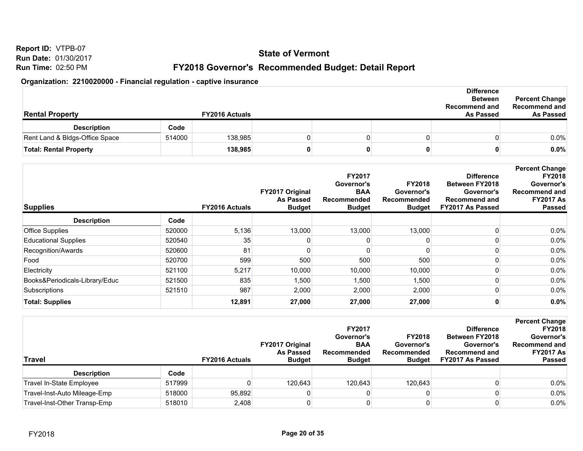**Run Date:** 01/30/2017 **Run Time:** 02:50 PM

**Report ID:** VTPB-07

**FY2018 Governor's Recommended Budget: Detail Report**

| <b>Rental Property</b>         |        | <b>FY2016 Actuals</b> |  | <b>Difference</b><br><b>Between</b><br><b>Recommend and</b><br><b>As Passed</b> | <b>Percent Change</b><br>Recommend and<br>As Passed |      |
|--------------------------------|--------|-----------------------|--|---------------------------------------------------------------------------------|-----------------------------------------------------|------|
| <b>Description</b>             | Code   |                       |  |                                                                                 |                                                     |      |
| Rent Land & Bldgs-Office Space | 514000 | 138,985               |  |                                                                                 |                                                     | 0.0% |
| <b>Total: Rental Property</b>  |        | 138,985               |  |                                                                                 |                                                     | 0.0% |

| <b>Supplies</b>                |        | <b>FY2016 Actuals</b> | FY2017 Original<br><b>As Passed</b><br><b>Budget</b> | FY2017<br>Governor's<br><b>BAA</b><br><b>Recommended</b><br><b>Budget</b> | <b>FY2018</b><br>Governor's<br>Recommended<br><b>Budget</b> | <b>Difference</b><br><b>Between FY2018</b><br>Governor's<br><b>Recommend and</b><br>FY2017 As Passed | <b>Percent Change</b><br><b>FY2018</b><br>Governor's<br>Recommend and<br><b>FY2017 As</b><br><b>Passed</b> |
|--------------------------------|--------|-----------------------|------------------------------------------------------|---------------------------------------------------------------------------|-------------------------------------------------------------|------------------------------------------------------------------------------------------------------|------------------------------------------------------------------------------------------------------------|
| <b>Description</b>             | Code   |                       |                                                      |                                                                           |                                                             |                                                                                                      |                                                                                                            |
| <b>Office Supplies</b>         | 520000 | 5,136                 | 13,000                                               | 13,000                                                                    | 13,000                                                      |                                                                                                      | $0.0\%$                                                                                                    |
| <b>Educational Supplies</b>    | 520540 | 35                    |                                                      |                                                                           |                                                             |                                                                                                      | $0.0\%$                                                                                                    |
| Recognition/Awards             | 520600 | 81                    |                                                      |                                                                           |                                                             |                                                                                                      | 0.0%                                                                                                       |
| Food                           | 520700 | 599                   | 500                                                  | 500                                                                       | 500                                                         |                                                                                                      | $0.0\%$                                                                                                    |
| Electricity                    | 521100 | 5,217                 | 10,000                                               | 10,000                                                                    | 10,000                                                      |                                                                                                      | $0.0\%$                                                                                                    |
| Books&Periodicals-Library/Educ | 521500 | 835                   | 1,500                                                | 1,500                                                                     | 1,500                                                       |                                                                                                      | $0.0\%$                                                                                                    |
| Subscriptions                  | 521510 | 987                   | 2,000                                                | 2,000                                                                     | 2,000                                                       |                                                                                                      | 0.0%                                                                                                       |
| <b>Total: Supplies</b>         |        | 12,891                | 27,000                                               | 27,000                                                                    | 27,000                                                      |                                                                                                      | 0.0%                                                                                                       |

| Travel                       |        | <b>FY2016 Actuals</b> | <b>FY2017 Original</b><br><b>As Passed</b><br><b>Budget</b> | <b>FY2017</b><br>Governor's<br><b>BAA</b><br>Recommended<br><b>Budget</b> | <b>FY2018</b><br>Governor's<br>Recommended<br><b>Budget</b> | <b>Difference</b><br><b>Between FY2018</b><br>Governor's<br><b>Recommend and</b><br>FY2017 As Passed | <b>Percent Change</b><br><b>FY2018</b><br>Governor's<br><b>Recommend and</b><br><b>FY2017 As</b><br><b>Passed</b> |
|------------------------------|--------|-----------------------|-------------------------------------------------------------|---------------------------------------------------------------------------|-------------------------------------------------------------|------------------------------------------------------------------------------------------------------|-------------------------------------------------------------------------------------------------------------------|
| <b>Description</b>           | Code   |                       |                                                             |                                                                           |                                                             |                                                                                                      |                                                                                                                   |
| Travel In-State Employee     | 517999 |                       | 120.643                                                     | 120.643                                                                   | 120.643                                                     |                                                                                                      | $0.0\%$                                                                                                           |
| Travel-Inst-Auto Mileage-Emp | 518000 | 95.892                |                                                             |                                                                           |                                                             |                                                                                                      | 0.0%                                                                                                              |
| Travel-Inst-Other Transp-Emp | 518010 | 2,408                 |                                                             |                                                                           |                                                             |                                                                                                      | 0.0%                                                                                                              |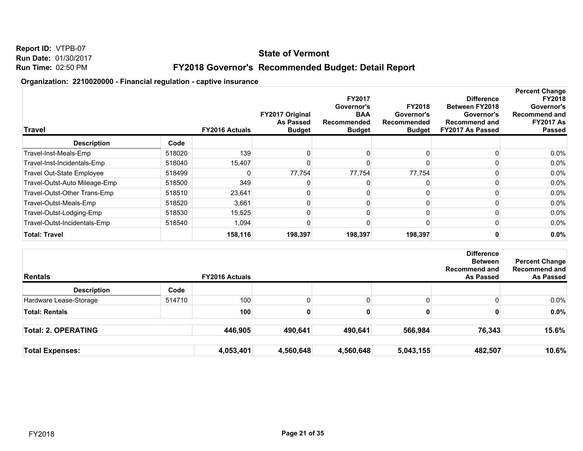## **State of Vermont**

## **FY2018 Governor's Recommended Budget: Detail Report**

| <b>Travel</b>                    |        | <b>FY2016 Actuals</b> | FY2017 Original<br><b>As Passed</b><br><b>Budget</b> | FY2017<br>Governor's<br><b>BAA</b><br>Recommended<br><b>Budget</b> | <b>FY2018</b><br>Governor's<br>Recommended<br><b>Budget</b> | <b>Difference</b><br><b>Between FY2018</b><br>Governor's<br><b>Recommend and</b><br>FY2017 As Passed | <b>Percent Change</b><br><b>FY2018</b><br>Governor's<br>Recommend and<br><b>FY2017 As</b><br><b>Passed</b> |
|----------------------------------|--------|-----------------------|------------------------------------------------------|--------------------------------------------------------------------|-------------------------------------------------------------|------------------------------------------------------------------------------------------------------|------------------------------------------------------------------------------------------------------------|
| <b>Description</b>               | Code   |                       |                                                      |                                                                    |                                                             |                                                                                                      |                                                                                                            |
| Travel-Inst-Meals-Emp            | 518020 | 139                   |                                                      |                                                                    |                                                             |                                                                                                      | $0.0\%$                                                                                                    |
| Travel-Inst-Incidentals-Emp      | 518040 | 15,407                |                                                      |                                                                    |                                                             |                                                                                                      | 0.0%                                                                                                       |
| <b>Travel Out-State Employee</b> | 518499 |                       | 77,754                                               | 77,754                                                             | 77,754                                                      |                                                                                                      | 0.0%                                                                                                       |
| Travel-Outst-Auto Mileage-Emp    | 518500 | 349                   |                                                      |                                                                    |                                                             |                                                                                                      | $0.0\%$                                                                                                    |
| Travel-Outst-Other Trans-Emp     | 518510 | 23,641                |                                                      |                                                                    |                                                             |                                                                                                      | 0.0%                                                                                                       |
| Travel-Outst-Meals-Emp           | 518520 | 3,661                 |                                                      |                                                                    |                                                             |                                                                                                      | $0.0\%$                                                                                                    |
| Travel-Outst-Lodging-Emp         | 518530 | 15,525                |                                                      |                                                                    |                                                             |                                                                                                      | 0.0%                                                                                                       |
| Travel-Outst-Incidentals-Emp     | 518540 | 1,094                 |                                                      |                                                                    |                                                             |                                                                                                      | $0.0\%$                                                                                                    |
| <b>Total: Travel</b>             |        | 158,116               | 198,397                                              | 198,397                                                            | 198,397                                                     |                                                                                                      | 0.0%                                                                                                       |

| Rentals                    |        | <b>FY2016 Actuals</b> |           |           |           | <b>Difference</b><br><b>Between</b><br><b>Recommend and</b><br><b>As Passed</b> | <b>Percent Change</b><br><b>Recommend and</b><br>As Passed |
|----------------------------|--------|-----------------------|-----------|-----------|-----------|---------------------------------------------------------------------------------|------------------------------------------------------------|
| <b>Description</b>         | Code   |                       |           |           |           |                                                                                 |                                                            |
| Hardware Lease-Storage     | 514710 | 100                   |           |           | 0         |                                                                                 | $0.0\%$                                                    |
| <b>Total: Rentals</b>      |        | 100                   |           |           | o         |                                                                                 | $0.0\%$                                                    |
| <b>Total: 2. OPERATING</b> |        | 446,905               | 490,641   | 490,641   | 566,984   | 76,343                                                                          | 15.6%                                                      |
| <b>Total Expenses:</b>     |        | 4,053,401             | 4,560,648 | 4,560,648 | 5,043,155 | 482,507                                                                         | 10.6%                                                      |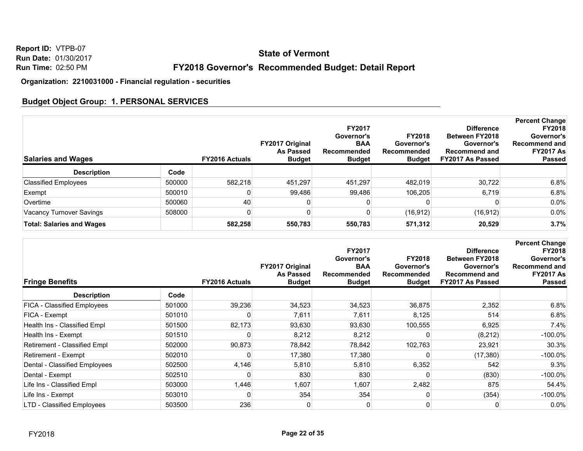## **State of Vermont**

## **FY2018 Governor's Recommended Budget: Detail Report**

**Organization: 2210031000 - Financial regulation - securities**

## **Budget Object Group: 1. PERSONAL SERVICES**

| <b>Salaries and Wages</b>        |        | <b>FY2016 Actuals</b> | <b>FY2017 Original</b><br><b>As Passed</b><br><b>Budget</b> | <b>FY2017</b><br>Governor's<br><b>BAA</b><br>Recommended<br><b>Budget</b> | <b>FY2018</b><br>Governor's<br>Recommended<br><b>Budget</b> | <b>Difference</b><br><b>Between FY2018</b><br>Governor's<br><b>Recommend and</b><br><b>FY2017 As Passed</b> | <b>Percent Change</b><br><b>FY2018</b><br>Governor's<br>Recommend and<br><b>FY2017 As</b><br><b>Passed</b> |
|----------------------------------|--------|-----------------------|-------------------------------------------------------------|---------------------------------------------------------------------------|-------------------------------------------------------------|-------------------------------------------------------------------------------------------------------------|------------------------------------------------------------------------------------------------------------|
| <b>Description</b>               | Code   |                       |                                                             |                                                                           |                                                             |                                                                                                             |                                                                                                            |
| <b>Classified Employees</b>      | 500000 | 582,218               | 451.297                                                     | 451.297                                                                   | 482.019                                                     | 30.722                                                                                                      | 6.8%                                                                                                       |
| Exempt                           | 500010 |                       | 99,486                                                      | 99,486                                                                    | 106,205                                                     | 6,719                                                                                                       | 6.8%                                                                                                       |
| Overtime                         | 500060 | 40                    |                                                             |                                                                           |                                                             |                                                                                                             | $0.0\%$                                                                                                    |
| Vacancy Turnover Savings         | 508000 |                       |                                                             |                                                                           | (16, 912)                                                   | (16, 912)                                                                                                   | 0.0%                                                                                                       |
| <b>Total: Salaries and Wages</b> |        | 582,258               | 550,783                                                     | 550,783                                                                   | 571,312                                                     | 20,529                                                                                                      | 3.7%                                                                                                       |

| <b>Fringe Benefits</b>             |        | <b>FY2016 Actuals</b> | FY2017 Original<br><b>As Passed</b><br><b>Budget</b> | <b>FY2017</b><br>Governor's<br><b>BAA</b><br>Recommended<br><b>Budget</b> | <b>FY2018</b><br>Governor's<br>Recommended<br><b>Budget</b> | <b>Difference</b><br><b>Between FY2018</b><br>Governor's<br><b>Recommend and</b><br>FY2017 As Passed | <b>Percent Change</b><br><b>FY2018</b><br>Governor's<br><b>Recommend and</b><br><b>FY2017 As</b><br><b>Passed</b> |
|------------------------------------|--------|-----------------------|------------------------------------------------------|---------------------------------------------------------------------------|-------------------------------------------------------------|------------------------------------------------------------------------------------------------------|-------------------------------------------------------------------------------------------------------------------|
| <b>Description</b>                 | Code   |                       |                                                      |                                                                           |                                                             |                                                                                                      |                                                                                                                   |
| <b>FICA - Classified Employees</b> | 501000 | 39,236                | 34,523                                               | 34,523                                                                    | 36,875                                                      | 2,352                                                                                                | 6.8%                                                                                                              |
| FICA - Exempt                      | 501010 |                       | 7,611                                                | 7,611                                                                     | 8,125                                                       | 514                                                                                                  | 6.8%                                                                                                              |
| Health Ins - Classified Empl       | 501500 | 82,173                | 93,630                                               | 93,630                                                                    | 100,555                                                     | 6,925                                                                                                | 7.4%                                                                                                              |
| Health Ins - Exempt                | 501510 |                       | 8,212                                                | 8,212                                                                     |                                                             | (8, 212)                                                                                             | $-100.0\%$                                                                                                        |
| Retirement - Classified Empl       | 502000 | 90,873                | 78,842                                               | 78,842                                                                    | 102,763                                                     | 23,921                                                                                               | 30.3%                                                                                                             |
| Retirement - Exempt                | 502010 |                       | 17,380                                               | 17,380                                                                    |                                                             | (17, 380)                                                                                            | $-100.0\%$                                                                                                        |
| Dental - Classified Employees      | 502500 | 4,146                 | 5,810                                                | 5,810                                                                     | 6,352                                                       | 542                                                                                                  | 9.3%                                                                                                              |
| Dental - Exempt                    | 502510 |                       | 830                                                  | 830                                                                       |                                                             | (830)                                                                                                | $-100.0\%$                                                                                                        |
| Life Ins - Classified Empl         | 503000 | 1,446                 | 1,607                                                | 1,607                                                                     | 2,482                                                       | 875                                                                                                  | 54.4%                                                                                                             |
| Life Ins - Exempt                  | 503010 | 0                     | 354                                                  | 354                                                                       |                                                             | (354)                                                                                                | $-100.0\%$                                                                                                        |
| <b>LTD - Classified Employees</b>  | 503500 | 236                   |                                                      | 0                                                                         |                                                             |                                                                                                      | 0.0%                                                                                                              |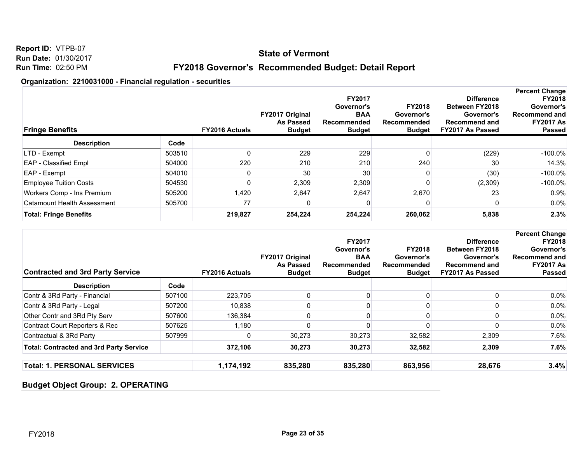## **State of Vermont**

## **FY2018 Governor's Recommended Budget: Detail Report**

#### **Organization: 2210031000 - Financial regulation - securities**

| <b>Fringe Benefits</b>             |        | <b>FY2016 Actuals</b> | FY2017 Original<br><b>As Passed</b><br><b>Budget</b> | <b>FY2017</b><br>Governor's<br><b>BAA</b><br>Recommended<br><b>Budget</b> | <b>FY2018</b><br>Governor's<br>Recommended<br><b>Budget</b> | <b>Difference</b><br><b>Between FY2018</b><br>Governor's<br><b>Recommend and</b><br>FY2017 As Passed | <b>Percent Change</b><br><b>FY2018</b><br>Governor's<br>Recommend and<br><b>FY2017 As</b><br><b>Passed</b> |
|------------------------------------|--------|-----------------------|------------------------------------------------------|---------------------------------------------------------------------------|-------------------------------------------------------------|------------------------------------------------------------------------------------------------------|------------------------------------------------------------------------------------------------------------|
| <b>Description</b>                 | Code   |                       |                                                      |                                                                           |                                                             |                                                                                                      |                                                                                                            |
| LTD - Exempt                       | 503510 |                       | 229                                                  | 229                                                                       |                                                             | (229)                                                                                                | $-100.0\%$                                                                                                 |
| <b>EAP</b> - Classified Empl       | 504000 | 220                   | 210                                                  | 210                                                                       | 240                                                         | 30                                                                                                   | 14.3%                                                                                                      |
| EAP - Exempt                       | 504010 |                       | 30                                                   | 30                                                                        |                                                             | (30)                                                                                                 | $-100.0\%$                                                                                                 |
| <b>Employee Tuition Costs</b>      | 504530 |                       | 2,309                                                | 2,309                                                                     |                                                             | (2,309)                                                                                              | $-100.0\%$                                                                                                 |
| Workers Comp - Ins Premium         | 505200 | .420                  | 2,647                                                | 2,647                                                                     | 2,670                                                       | 23                                                                                                   | 0.9%                                                                                                       |
| <b>Catamount Health Assessment</b> | 505700 | 77                    |                                                      | O                                                                         |                                                             |                                                                                                      | $0.0\%$                                                                                                    |
| <b>Total: Fringe Benefits</b>      |        | 219,827               | 254,224                                              | 254,224                                                                   | 260,062                                                     | 5,838                                                                                                | 2.3%                                                                                                       |

| <b>Contracted and 3rd Party Service</b>        |        | <b>FY2016 Actuals</b> | <b>FY2017 Original</b><br><b>As Passed</b><br><b>Budget</b> | <b>FY2017</b><br>Governor's<br><b>BAA</b><br>Recommended<br><b>Budget</b> | <b>FY2018</b><br>Governor's<br>Recommended<br><b>Budget</b> | <b>Difference</b><br><b>Between FY2018</b><br>Governor's<br><b>Recommend and</b><br>FY2017 As Passed | <b>Percent Change</b><br><b>FY2018</b><br>Governor's<br>Recommend and<br><b>FY2017 As</b><br><b>Passed</b> |
|------------------------------------------------|--------|-----------------------|-------------------------------------------------------------|---------------------------------------------------------------------------|-------------------------------------------------------------|------------------------------------------------------------------------------------------------------|------------------------------------------------------------------------------------------------------------|
| <b>Description</b>                             | Code   |                       |                                                             |                                                                           |                                                             |                                                                                                      |                                                                                                            |
| Contr & 3Rd Party - Financial                  | 507100 | 223,705               |                                                             |                                                                           |                                                             |                                                                                                      | $0.0\%$                                                                                                    |
| Contr & 3Rd Party - Legal                      | 507200 | 10.838                |                                                             |                                                                           |                                                             |                                                                                                      | $0.0\%$                                                                                                    |
| Other Contr and 3Rd Pty Serv                   | 507600 | 136.384               |                                                             |                                                                           |                                                             |                                                                                                      | $0.0\%$                                                                                                    |
| <b>Contract Court Reporters &amp; Rec</b>      | 507625 | 1,180                 |                                                             |                                                                           |                                                             |                                                                                                      | $0.0\%$                                                                                                    |
| Contractual & 3Rd Party                        | 507999 |                       | 30,273                                                      | 30,273                                                                    | 32,582                                                      | 2,309                                                                                                | $7.6\%$                                                                                                    |
| <b>Total: Contracted and 3rd Party Service</b> |        | 372,106               | 30,273                                                      | 30,273                                                                    | 32,582                                                      | 2,309                                                                                                | 7.6%                                                                                                       |
| <b>Total: 1. PERSONAL SERVICES</b>             |        | 1,174,192             | 835,280                                                     | 835,280                                                                   | 863,956                                                     | 28,676                                                                                               | 3.4%                                                                                                       |

#### **Budget Object Group: 2. OPERATING**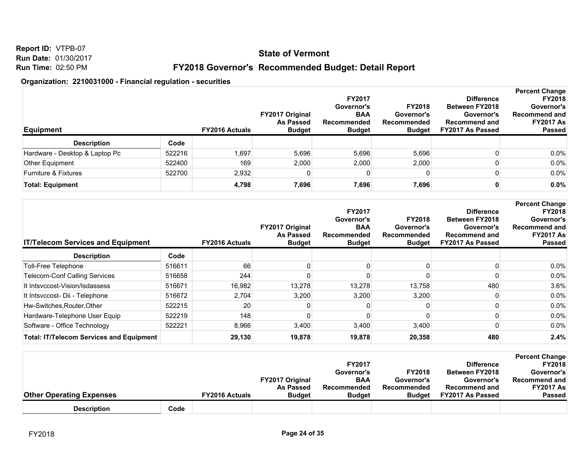**Report ID:** VTPB-07 **Run Date:** 01/30/2017 **Run Time:** 02:50 PM

## **FY2018 Governor's Recommended Budget: Detail Report**

| Equipment                       |        | <b>FY2016 Actuals</b> | <b>FY2017 Original</b><br><b>As Passed</b><br><b>Budget</b> | <b>FY2017</b><br>Governor's<br><b>BAA</b><br>Recommended<br><b>Budget</b> | <b>FY2018</b><br>Governor's<br>Recommended<br><b>Budget</b> | <b>Difference</b><br><b>Between FY2018</b><br>Governor's<br><b>Recommend and</b><br>FY2017 As Passed | <b>Percent Change</b><br><b>FY2018</b><br>Governor's<br><b>Recommend and</b><br><b>FY2017 As</b><br><b>Passed</b> |
|---------------------------------|--------|-----------------------|-------------------------------------------------------------|---------------------------------------------------------------------------|-------------------------------------------------------------|------------------------------------------------------------------------------------------------------|-------------------------------------------------------------------------------------------------------------------|
| <b>Description</b>              | Code   |                       |                                                             |                                                                           |                                                             |                                                                                                      |                                                                                                                   |
| Hardware - Desktop & Laptop Pc  | 522216 | ,697                  | 5,696                                                       | 5,696                                                                     | 5,696                                                       |                                                                                                      | $0.0\%$                                                                                                           |
| Other Equipment                 | 522400 | 169                   | 2,000                                                       | 2.000                                                                     | 2,000                                                       |                                                                                                      | $0.0\%$                                                                                                           |
| <b>Furniture &amp; Fixtures</b> | 522700 | 2,932                 |                                                             | 0                                                                         |                                                             |                                                                                                      | $0.0\%$                                                                                                           |
| <b>Total: Equipment</b>         |        | 4,798                 | 7,696                                                       | 7,696                                                                     | 7,696                                                       |                                                                                                      | 0.0%                                                                                                              |

| <b>IT/Telecom Services and Equipment</b>        |        | <b>FY2016 Actuals</b> | FY2017 Original<br><b>As Passed</b><br><b>Budget</b> | <b>FY2017</b><br>Governor's<br><b>BAA</b><br>Recommended<br><b>Budget</b> | <b>FY2018</b><br>Governor's<br>Recommended<br><b>Budget</b> | <b>Difference</b><br><b>Between FY2018</b><br>Governor's<br><b>Recommend and</b><br>FY2017 As Passed | <b>Percent Change</b><br><b>FY2018</b><br>Governor's<br><b>Recommend and</b><br><b>FY2017 As</b><br><b>Passed</b> |
|-------------------------------------------------|--------|-----------------------|------------------------------------------------------|---------------------------------------------------------------------------|-------------------------------------------------------------|------------------------------------------------------------------------------------------------------|-------------------------------------------------------------------------------------------------------------------|
| <b>Description</b>                              | Code   |                       |                                                      |                                                                           |                                                             |                                                                                                      |                                                                                                                   |
| Toll-Free Telephone                             | 516611 | 66                    |                                                      |                                                                           |                                                             |                                                                                                      | 0.0%                                                                                                              |
| <b>Telecom-Conf Calling Services</b>            | 516658 | 244                   |                                                      |                                                                           |                                                             |                                                                                                      | 0.0%                                                                                                              |
| It Intsyccost-Vision/Isdassess                  | 516671 | 16,982                | 13,278                                               | 13,278                                                                    | 13,758                                                      | 480                                                                                                  | 3.6%                                                                                                              |
| It Intsvccost- Dii - Telephone                  | 516672 | 2,704                 | 3,200                                                | 3,200                                                                     | 3,200                                                       |                                                                                                      | 0.0%                                                                                                              |
| Hw-Switches, Router, Other                      | 522215 | 20                    |                                                      |                                                                           |                                                             |                                                                                                      | 0.0%                                                                                                              |
| Hardware-Telephone User Equip                   | 522219 | 148                   |                                                      |                                                                           |                                                             |                                                                                                      | 0.0%                                                                                                              |
| Software - Office Technology                    | 522221 | 8,966                 | 3,400                                                | 3,400                                                                     | 3,400                                                       |                                                                                                      | 0.0%                                                                                                              |
| <b>Total: IT/Telecom Services and Equipment</b> |        | 29,130                | 19,878                                               | 19,878                                                                    | 20,358                                                      | 480                                                                                                  | 2.4%                                                                                                              |

|                                 |      |                       |                        |               |               |                       | <b>Percent Change</b> |
|---------------------------------|------|-----------------------|------------------------|---------------|---------------|-----------------------|-----------------------|
|                                 |      |                       |                        | <b>FY2017</b> |               | <b>Difference</b>     | <b>FY2018</b>         |
|                                 |      |                       |                        | Governor's    | <b>FY2018</b> | <b>Between FY2018</b> | Governor's            |
|                                 |      |                       | <b>FY2017 Original</b> | <b>BAA</b>    | Governor's    | Governor's            | Recommend and         |
|                                 |      |                       | <b>As Passed</b>       | Recommended   | Recommended   | <b>Recommend and</b>  | <b>FY2017 As</b>      |
| <b>Other Operating Expenses</b> |      | <b>FY2016 Actuals</b> | <b>Budget</b>          | <b>Budget</b> | <b>Budget</b> | FY2017 As Passed      | <b>Passed</b>         |
| <b>Description</b>              | Code |                       |                        |               |               |                       |                       |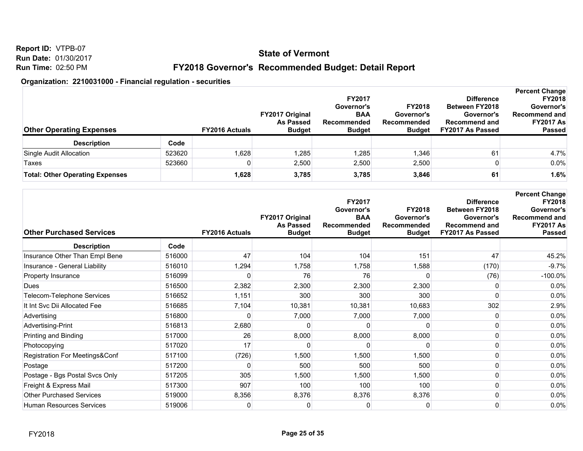**Report ID:** VTPB-07 **Run Date:** 01/30/2017 **Run Time:** 02:50 PM

## **FY2018 Governor's Recommended Budget: Detail Report**

| <b>Other Operating Expenses</b>        |        | <b>FY2016 Actuals</b> | <b>FY2017 Original</b><br><b>As Passed</b><br><b>Budget</b> | <b>FY2017</b><br>Governor's<br><b>BAA</b><br>Recommended<br><b>Budget</b> | <b>FY2018</b><br>Governor's<br>Recommended<br><b>Budget</b> | <b>Difference</b><br><b>Between FY2018</b><br>Governor's<br><b>Recommend and</b><br>FY2017 As Passed | <b>Percent Change</b><br><b>FY2018</b><br>Governor's<br><b>Recommend and</b><br><b>FY2017 As</b><br><b>Passed</b> |
|----------------------------------------|--------|-----------------------|-------------------------------------------------------------|---------------------------------------------------------------------------|-------------------------------------------------------------|------------------------------------------------------------------------------------------------------|-------------------------------------------------------------------------------------------------------------------|
| <b>Description</b>                     | Code   |                       |                                                             |                                                                           |                                                             |                                                                                                      |                                                                                                                   |
| Single Audit Allocation                | 523620 | ,628                  | 1,285                                                       | 1,285                                                                     | 1.346                                                       | 61                                                                                                   | 4.7%                                                                                                              |
| Taxes                                  | 523660 |                       | 2,500                                                       | 2,500                                                                     | 2,500                                                       |                                                                                                      | 0.0%                                                                                                              |
| <b>Total: Other Operating Expenses</b> |        | 1,628                 | 3,785                                                       | 3,785                                                                     | 3,846                                                       | 61.                                                                                                  | 1.6%                                                                                                              |

| <b>Other Purchased Services</b> |        | <b>FY2016 Actuals</b> | FY2017 Original<br><b>As Passed</b><br><b>Budget</b> | <b>FY2017</b><br>Governor's<br><b>BAA</b><br>Recommended<br><b>Budget</b> | <b>FY2018</b><br>Governor's<br>Recommended<br><b>Budget</b> | <b>Difference</b><br><b>Between FY2018</b><br>Governor's<br><b>Recommend and</b><br>FY2017 As Passed | <b>Percent Change</b><br><b>FY2018</b><br>Governor's<br>Recommend and<br><b>FY2017 As</b><br><b>Passed</b> |
|---------------------------------|--------|-----------------------|------------------------------------------------------|---------------------------------------------------------------------------|-------------------------------------------------------------|------------------------------------------------------------------------------------------------------|------------------------------------------------------------------------------------------------------------|
| <b>Description</b>              | Code   |                       |                                                      |                                                                           |                                                             |                                                                                                      |                                                                                                            |
| Insurance Other Than Empl Bene  | 516000 | 47                    | 104                                                  | 104                                                                       | 151                                                         | 47                                                                                                   | 45.2%                                                                                                      |
| Insurance - General Liability   | 516010 | 1,294                 | 1,758                                                | 1,758                                                                     | 1,588                                                       | (170)                                                                                                | $-9.7%$                                                                                                    |
| Property Insurance              | 516099 | C                     | 76                                                   | 76                                                                        |                                                             | (76)                                                                                                 | $-100.0\%$                                                                                                 |
| Dues                            | 516500 | 2,382                 | 2,300                                                | 2,300                                                                     | 2,300                                                       |                                                                                                      | 0.0%                                                                                                       |
| Telecom-Telephone Services      | 516652 | 1,151                 | 300                                                  | 300                                                                       | 300                                                         |                                                                                                      | 0.0%                                                                                                       |
| It Int Svc Dii Allocated Fee    | 516685 | 7,104                 | 10,381                                               | 10,381                                                                    | 10,683                                                      | 302                                                                                                  | 2.9%                                                                                                       |
| Advertising                     | 516800 | ŋ                     | 7,000                                                | 7,000                                                                     | 7,000                                                       | n                                                                                                    | 0.0%                                                                                                       |
| Advertising-Print               | 516813 | 2,680                 |                                                      | n                                                                         |                                                             |                                                                                                      | 0.0%                                                                                                       |
| Printing and Binding            | 517000 | 26                    | 8,000                                                | 8,000                                                                     | 8,000                                                       |                                                                                                      | 0.0%                                                                                                       |
| Photocopying                    | 517020 | 17                    | O                                                    | O                                                                         |                                                             |                                                                                                      | 0.0%                                                                                                       |
| Registration For Meetings&Conf  | 517100 | (726)                 | 1,500                                                | 1,500                                                                     | 1,500                                                       | <sup>0</sup>                                                                                         | 0.0%                                                                                                       |
| Postage                         | 517200 | 0                     | 500                                                  | 500                                                                       | 500                                                         |                                                                                                      | 0.0%                                                                                                       |
| Postage - Bgs Postal Svcs Only  | 517205 | 305                   | 1,500                                                | 1,500                                                                     | 1,500                                                       |                                                                                                      | 0.0%                                                                                                       |
| Freight & Express Mail          | 517300 | 907                   | 100                                                  | 100                                                                       | 100                                                         | <sup>0</sup>                                                                                         | 0.0%                                                                                                       |
| <b>Other Purchased Services</b> | 519000 | 8,356                 | 8,376                                                | 8,376                                                                     | 8,376                                                       | ŋ                                                                                                    | 0.0%                                                                                                       |
| <b>Human Resources Services</b> | 519006 | 0                     | 0                                                    | 0                                                                         |                                                             | 0                                                                                                    | 0.0%                                                                                                       |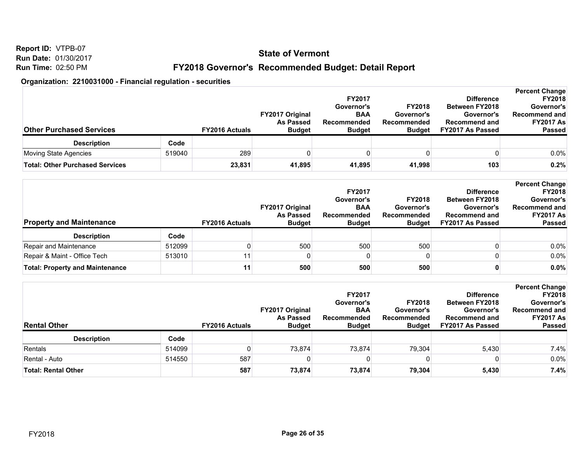**Report ID:** VTPB-07 **Run Date:** 01/30/2017 **Run Time:** 02:50 PM

## **FY2018 Governor's Recommended Budget: Detail Report**

| <b>Other Purchased Services</b>        |        | <b>FY2016 Actuals</b> | <b>FY2017 Original</b><br><b>As Passed</b><br><b>Budget</b> | <b>FY2017</b><br>Governor's<br><b>BAA</b><br>Recommended<br><b>Budget</b> | <b>FY2018</b><br>Governor's<br>Recommended<br><b>Budget</b> | <b>Difference</b><br><b>Between FY2018</b><br>Governor's<br><b>Recommend and</b><br>FY2017 As Passed | <b>Percent Change</b><br><b>FY2018</b><br>Governor's<br><b>Recommend and</b><br><b>FY2017 As</b><br><b>Passed</b> |
|----------------------------------------|--------|-----------------------|-------------------------------------------------------------|---------------------------------------------------------------------------|-------------------------------------------------------------|------------------------------------------------------------------------------------------------------|-------------------------------------------------------------------------------------------------------------------|
| <b>Description</b>                     | Code   |                       |                                                             |                                                                           |                                                             |                                                                                                      |                                                                                                                   |
| Moving State Agencies                  | 519040 | 289                   |                                                             |                                                                           |                                                             |                                                                                                      | 0.0%                                                                                                              |
| <b>Total: Other Purchased Services</b> |        | 23,831                | 41,895                                                      | 41,895                                                                    | 41,998                                                      | 103                                                                                                  | 0.2%                                                                                                              |

| <b>Property and Maintenance</b>        |        | <b>FY2016 Actuals</b> | <b>FY2017 Original</b><br>As Passed<br><b>Budget</b> | <b>FY2017</b><br>Governor's<br><b>BAA</b><br>Recommended<br><b>Budget</b> | <b>FY2018</b><br>Governor's<br>Recommended<br><b>Budget</b> | <b>Difference</b><br><b>Between FY2018</b><br>Governor's<br><b>Recommend and</b><br>FY2017 As Passed | <b>Percent Change</b><br><b>FY2018</b><br>Governor's<br><b>Recommend and</b><br><b>FY2017 As</b><br><b>Passed</b> |
|----------------------------------------|--------|-----------------------|------------------------------------------------------|---------------------------------------------------------------------------|-------------------------------------------------------------|------------------------------------------------------------------------------------------------------|-------------------------------------------------------------------------------------------------------------------|
| <b>Description</b>                     | Code   |                       |                                                      |                                                                           |                                                             |                                                                                                      |                                                                                                                   |
| Repair and Maintenance                 | 512099 |                       | 500                                                  | 500                                                                       | 500                                                         |                                                                                                      | 0.0%                                                                                                              |
| Repair & Maint - Office Tech           | 513010 |                       |                                                      |                                                                           |                                                             |                                                                                                      | 0.0%                                                                                                              |
| <b>Total: Property and Maintenance</b> |        | 11                    | 500                                                  | 500                                                                       | 500                                                         |                                                                                                      | 0.0%                                                                                                              |

| <b>Rental Other</b>        |        | <b>FY2016 Actuals</b> | <b>FY2017 Original</b><br>As Passed<br><b>Budget</b> | <b>FY2017</b><br>Governor's<br><b>BAA</b><br>Recommended<br><b>Budget</b> | <b>FY2018</b><br>Governor's<br><b>Recommended</b><br><b>Budget</b> | <b>Difference</b><br><b>Between FY2018</b><br>Governor's<br><b>Recommend and</b><br>FY2017 As Passed | <b>Percent Change</b><br><b>FY2018</b><br>Governor's<br>Recommend and<br><b>FY2017 As</b><br><b>Passed</b> |
|----------------------------|--------|-----------------------|------------------------------------------------------|---------------------------------------------------------------------------|--------------------------------------------------------------------|------------------------------------------------------------------------------------------------------|------------------------------------------------------------------------------------------------------------|
| <b>Description</b>         | Code   |                       |                                                      |                                                                           |                                                                    |                                                                                                      |                                                                                                            |
| Rentals                    | 514099 |                       | 73,874                                               | 73.874                                                                    | 79,304                                                             | 5,430                                                                                                | 7.4%                                                                                                       |
| Rental - Auto              | 514550 | 587                   |                                                      |                                                                           |                                                                    |                                                                                                      | 0.0%                                                                                                       |
| <b>Total: Rental Other</b> |        | 587                   | 73,874                                               | 73,874                                                                    | 79,304                                                             | 5,430                                                                                                | 7.4%                                                                                                       |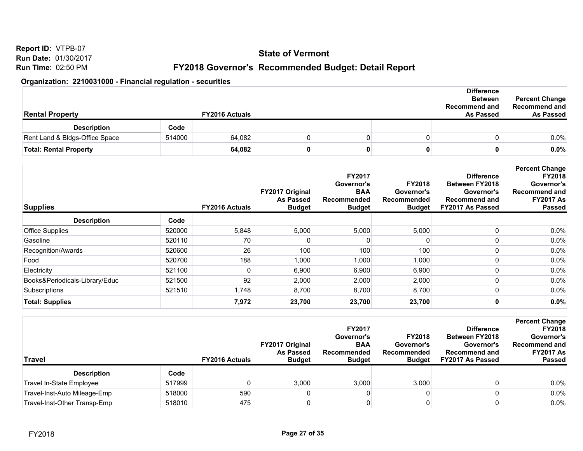**Report ID:** VTPB-07 **Run Date:** 01/30/2017 **Run Time:** 02:50 PM

## **FY2018 Governor's Recommended Budget: Detail Report**

| <b>Rental Property</b>         |        | <b>FY2016 Actuals</b> |  | <b>Difference</b><br><b>Between</b><br><b>Recommend and</b><br><b>As Passed</b> | <b>Percent Change</b><br>Recommend and<br><b>As Passed</b> |
|--------------------------------|--------|-----------------------|--|---------------------------------------------------------------------------------|------------------------------------------------------------|
| <b>Description</b>             | Code   |                       |  |                                                                                 |                                                            |
| Rent Land & Bldgs-Office Space | 514000 | 64,082                |  |                                                                                 | $0.0\%$                                                    |
| <b>Total: Rental Property</b>  |        | 64,082                |  |                                                                                 | $0.0\%$                                                    |

| <b>Supplies</b>                |        | <b>FY2016 Actuals</b> | FY2017 Original<br><b>As Passed</b><br><b>Budget</b> | <b>FY2017</b><br>Governor's<br><b>BAA</b><br>Recommended<br><b>Budget</b> | <b>FY2018</b><br>Governor's<br>Recommended<br><b>Budget</b> | <b>Difference</b><br><b>Between FY2018</b><br>Governor's<br><b>Recommend and</b><br>FY2017 As Passed | <b>Percent Change</b><br><b>FY2018</b><br>Governor's<br><b>Recommend and</b><br><b>FY2017 As</b><br><b>Passed</b> |
|--------------------------------|--------|-----------------------|------------------------------------------------------|---------------------------------------------------------------------------|-------------------------------------------------------------|------------------------------------------------------------------------------------------------------|-------------------------------------------------------------------------------------------------------------------|
| <b>Description</b>             | Code   |                       |                                                      |                                                                           |                                                             |                                                                                                      |                                                                                                                   |
| <b>Office Supplies</b>         | 520000 | 5,848                 | 5,000                                                | 5,000                                                                     | 5,000                                                       |                                                                                                      | $0.0\%$                                                                                                           |
| Gasoline                       | 520110 | 70                    |                                                      |                                                                           |                                                             |                                                                                                      | $0.0\%$                                                                                                           |
| Recognition/Awards             | 520600 | 26                    | 100                                                  | 100                                                                       | 100                                                         |                                                                                                      | $0.0\%$                                                                                                           |
| Food                           | 520700 | 188                   | 1,000                                                | 1,000                                                                     | 1,000                                                       |                                                                                                      | $0.0\%$                                                                                                           |
| Electricity                    | 521100 |                       | 6,900                                                | 6,900                                                                     | 6,900                                                       |                                                                                                      | $0.0\%$                                                                                                           |
| Books&Periodicals-Library/Educ | 521500 | 92                    | 2,000                                                | 2,000                                                                     | 2,000                                                       |                                                                                                      | $0.0\%$                                                                                                           |
| Subscriptions                  | 521510 | 1,748                 | 8,700                                                | 8,700                                                                     | 8,700                                                       |                                                                                                      | 0.0%                                                                                                              |
| <b>Total: Supplies</b>         |        | 7,972                 | 23,700                                               | 23,700                                                                    | 23,700                                                      |                                                                                                      | $0.0\%$                                                                                                           |

| Travel                       |        | <b>FY2016 Actuals</b> | <b>FY2017 Original</b><br><b>As Passed</b><br><b>Budget</b> | <b>FY2017</b><br>Governor's<br><b>BAA</b><br>Recommended<br><b>Budget</b> | <b>FY2018</b><br>Governor's<br>Recommended<br><b>Budget</b> | <b>Difference</b><br><b>Between FY2018</b><br>Governor's<br><b>Recommend and</b><br>FY2017 As Passed | <b>Percent Change</b><br><b>FY2018</b><br>Governor's<br>Recommend and<br><b>FY2017 As</b><br><b>Passed</b> |
|------------------------------|--------|-----------------------|-------------------------------------------------------------|---------------------------------------------------------------------------|-------------------------------------------------------------|------------------------------------------------------------------------------------------------------|------------------------------------------------------------------------------------------------------------|
| <b>Description</b>           | Code   |                       |                                                             |                                                                           |                                                             |                                                                                                      |                                                                                                            |
| Travel In-State Employee     | 517999 |                       | 3,000                                                       | 3,000                                                                     | 3,000                                                       |                                                                                                      | $0.0\%$                                                                                                    |
| Travel-Inst-Auto Mileage-Emp | 518000 | 590                   |                                                             |                                                                           |                                                             |                                                                                                      | $0.0\%$                                                                                                    |
| Travel-Inst-Other Transp-Emp | 518010 | 475                   |                                                             |                                                                           |                                                             |                                                                                                      | 0.0%                                                                                                       |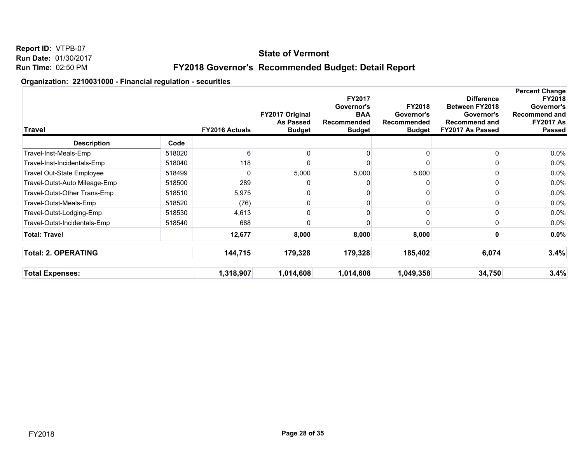## **State of Vermont**

## **FY2018 Governor's Recommended Budget: Detail Report**

| <b>Travel</b>                 |        | <b>FY2016 Actuals</b> | FY2017 Original<br><b>As Passed</b><br><b>Budget</b> | FY2017<br>Governor's<br><b>BAA</b><br>Recommended<br><b>Budget</b> | <b>FY2018</b><br>Governor's<br>Recommended<br><b>Budget</b> | <b>Difference</b><br>Between FY2018<br>Governor's<br><b>Recommend and</b><br>FY2017 As Passed | <b>Percent Change</b><br><b>FY2018</b><br>Governor's<br>Recommend and<br><b>FY2017 As</b><br>Passed |
|-------------------------------|--------|-----------------------|------------------------------------------------------|--------------------------------------------------------------------|-------------------------------------------------------------|-----------------------------------------------------------------------------------------------|-----------------------------------------------------------------------------------------------------|
| <b>Description</b>            | Code   |                       |                                                      |                                                                    |                                                             |                                                                                               |                                                                                                     |
| Travel-Inst-Meals-Emp         | 518020 | 6                     |                                                      |                                                                    |                                                             |                                                                                               | 0.0%                                                                                                |
| Travel-Inst-Incidentals-Emp   | 518040 | 118                   |                                                      |                                                                    |                                                             |                                                                                               | $0.0\%$                                                                                             |
| Travel Out-State Employee     | 518499 |                       | 5,000                                                | 5,000                                                              | 5,000                                                       |                                                                                               | 0.0%                                                                                                |
| Travel-Outst-Auto Mileage-Emp | 518500 | 289                   |                                                      |                                                                    |                                                             |                                                                                               | 0.0%                                                                                                |
| Travel-Outst-Other Trans-Emp  | 518510 | 5,975                 |                                                      | 0                                                                  |                                                             |                                                                                               | 0.0%                                                                                                |
| Travel-Outst-Meals-Emp        | 518520 | (76)                  |                                                      | 0                                                                  | O                                                           |                                                                                               | 0.0%                                                                                                |
| Travel-Outst-Lodging-Emp      | 518530 | 4,613                 |                                                      | 0                                                                  | 0                                                           |                                                                                               | 0.0%                                                                                                |
| Travel-Outst-Incidentals-Emp  | 518540 | 688                   |                                                      | n                                                                  | <sup>0</sup>                                                |                                                                                               | 0.0%                                                                                                |
| <b>Total: Travel</b>          |        | 12,677                | 8,000                                                | 8,000                                                              | 8,000                                                       |                                                                                               | $0.0\%$                                                                                             |
| <b>Total: 2. OPERATING</b>    |        | 144,715               | 179,328                                              | 179,328                                                            | 185,402                                                     | 6,074                                                                                         | 3.4%                                                                                                |
| <b>Total Expenses:</b>        |        | 1,318,907             | 1,014,608                                            | 1,014,608                                                          | 1,049,358                                                   | 34,750                                                                                        | 3.4%                                                                                                |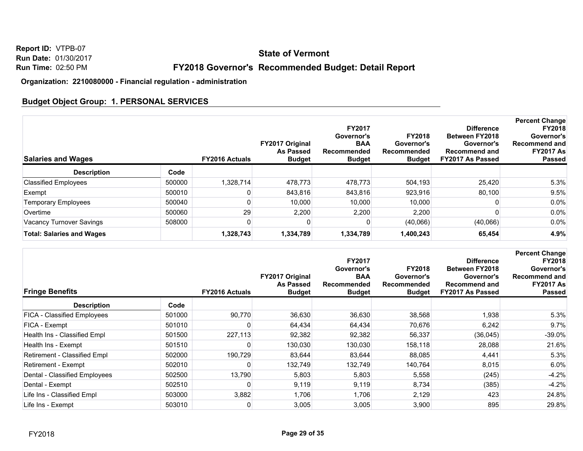## **State of Vermont**

## **FY2018 Governor's Recommended Budget: Detail Report**

**Organization: 2210080000 - Financial regulation - administration**

## **Budget Object Group: 1. PERSONAL SERVICES**

| <b>Salaries and Wages</b>        |        | <b>FY2016 Actuals</b> | FY2017 Original<br><b>As Passed</b><br><b>Budget</b> | <b>FY2017</b><br>Governor's<br><b>BAA</b><br>Recommended<br><b>Budget</b> | <b>FY2018</b><br>Governor's<br>Recommended<br><b>Budget</b> | <b>Difference</b><br><b>Between FY2018</b><br>Governor's<br><b>Recommend and</b><br><b>FY2017 As Passed</b> | <b>Percent Change</b><br><b>FY2018</b><br>Governor's<br>Recommend and<br><b>FY2017 As</b><br><b>Passed</b> |
|----------------------------------|--------|-----------------------|------------------------------------------------------|---------------------------------------------------------------------------|-------------------------------------------------------------|-------------------------------------------------------------------------------------------------------------|------------------------------------------------------------------------------------------------------------|
| <b>Description</b>               | Code   |                       |                                                      |                                                                           |                                                             |                                                                                                             |                                                                                                            |
| <b>Classified Employees</b>      | 500000 | 1,328,714             | 478,773                                              | 478,773                                                                   | 504,193                                                     | 25,420                                                                                                      | 5.3%                                                                                                       |
| Exempt                           | 500010 |                       | 843,816                                              | 843,816                                                                   | 923,916                                                     | 80,100                                                                                                      | 9.5%                                                                                                       |
| <b>Temporary Employees</b>       | 500040 |                       | 10.000                                               | 10,000                                                                    | 10,000                                                      |                                                                                                             | $0.0\%$                                                                                                    |
| Overtime                         | 500060 | 29                    | 2,200                                                | 2,200                                                                     | 2,200                                                       |                                                                                                             | $0.0\%$                                                                                                    |
| Vacancy Turnover Savings         | 508000 |                       |                                                      | O                                                                         | (40,066)                                                    | (40,066)                                                                                                    | $0.0\%$                                                                                                    |
| <b>Total: Salaries and Wages</b> |        | 1,328,743             | 1,334,789                                            | 1,334,789                                                                 | 1,400,243                                                   | 65,454                                                                                                      | 4.9%                                                                                                       |

| <b>Fringe Benefits</b>             |        | <b>FY2016 Actuals</b> | FY2017 Original<br><b>As Passed</b><br><b>Budget</b> | <b>FY2017</b><br>Governor's<br><b>BAA</b><br>Recommended<br><b>Budget</b> | <b>FY2018</b><br>Governor's<br>Recommended<br><b>Budget</b> | <b>Difference</b><br><b>Between FY2018</b><br>Governor's<br><b>Recommend and</b><br>FY2017 As Passed | <b>Percent Change</b><br><b>FY2018</b><br>Governor's<br><b>Recommend and</b><br><b>FY2017 As</b><br><b>Passed</b> |
|------------------------------------|--------|-----------------------|------------------------------------------------------|---------------------------------------------------------------------------|-------------------------------------------------------------|------------------------------------------------------------------------------------------------------|-------------------------------------------------------------------------------------------------------------------|
| <b>Description</b>                 | Code   |                       |                                                      |                                                                           |                                                             |                                                                                                      |                                                                                                                   |
| <b>FICA - Classified Employees</b> | 501000 | 90,770                | 36,630                                               | 36,630                                                                    | 38,568                                                      | 1,938                                                                                                | 5.3%                                                                                                              |
| FICA - Exempt                      | 501010 | 0                     | 64,434                                               | 64,434                                                                    | 70,676                                                      | 6,242                                                                                                | 9.7%                                                                                                              |
| Health Ins - Classified Empl       | 501500 | 227,113               | 92,382                                               | 92,382                                                                    | 56,337                                                      | (36,045)                                                                                             | $-39.0\%$                                                                                                         |
| Health Ins - Exempt                | 501510 | 0                     | 130,030                                              | 130,030                                                                   | 158,118                                                     | 28,088                                                                                               | 21.6%                                                                                                             |
| Retirement - Classified Empl       | 502000 | 190,729               | 83,644                                               | 83,644                                                                    | 88,085                                                      | 4,441                                                                                                | 5.3%                                                                                                              |
| Retirement - Exempt                | 502010 | 0                     | 132,749                                              | 132,749                                                                   | 140,764                                                     | 8,015                                                                                                | $6.0\%$                                                                                                           |
| Dental - Classified Employees      | 502500 | 13,790                | 5,803                                                | 5,803                                                                     | 5,558                                                       | (245)                                                                                                | $-4.2%$                                                                                                           |
| Dental - Exempt                    | 502510 | 0                     | 9,119                                                | 9,119                                                                     | 8,734                                                       | (385)                                                                                                | $-4.2%$                                                                                                           |
| Life Ins - Classified Empl         | 503000 | 3,882                 | 1,706                                                | 1,706                                                                     | 2,129                                                       | 423                                                                                                  | 24.8%                                                                                                             |
| Life Ins - Exempt                  | 503010 | 0                     | 3,005                                                | 3,005                                                                     | 3,900                                                       | 895                                                                                                  | 29.8%                                                                                                             |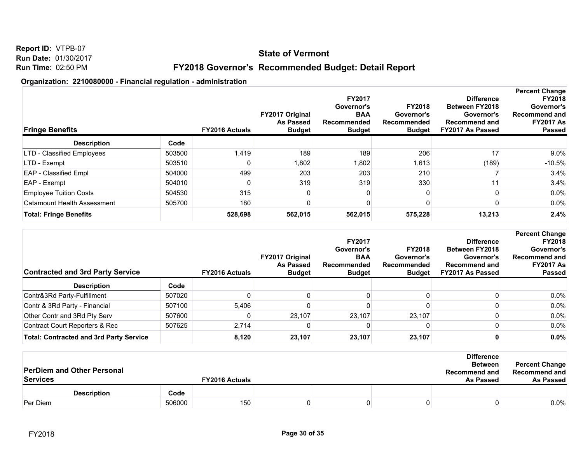#### **State of Vermont**

## **FY2018 Governor's Recommended Budget: Detail Report**

| <b>Fringe Benefits</b>        |        | <b>FY2016 Actuals</b> | FY2017 Original<br><b>As Passed</b><br><b>Budget</b> | FY2017<br>Governor's<br><b>BAA</b><br>Recommended<br><b>Budget</b> | <b>FY2018</b><br>Governor's<br>Recommended<br><b>Budget</b> | <b>Difference</b><br><b>Between FY2018</b><br>Governor's<br><b>Recommend and</b><br>FY2017 As Passed | <b>Percent Change</b><br><b>FY2018</b><br>Governor's<br>Recommend and<br><b>FY2017 As</b><br><b>Passed</b> |
|-------------------------------|--------|-----------------------|------------------------------------------------------|--------------------------------------------------------------------|-------------------------------------------------------------|------------------------------------------------------------------------------------------------------|------------------------------------------------------------------------------------------------------------|
| <b>Description</b>            | Code   |                       |                                                      |                                                                    |                                                             |                                                                                                      |                                                                                                            |
| LTD - Classified Employees    | 503500 | 1,419                 | 189                                                  | 189                                                                | 206                                                         | 17                                                                                                   | $9.0\%$                                                                                                    |
| LTD - Exempt                  | 503510 |                       | 1,802                                                | 1,802                                                              | 1,613                                                       | (189)                                                                                                | $-10.5%$                                                                                                   |
| <b>EAP</b> - Classified Empl  | 504000 | 499                   | 203                                                  | 203                                                                | 210                                                         |                                                                                                      | 3.4%                                                                                                       |
| EAP - Exempt                  | 504010 |                       | 319                                                  | 319                                                                | 330                                                         |                                                                                                      | 3.4%                                                                                                       |
| <b>Employee Tuition Costs</b> | 504530 | 315                   |                                                      |                                                                    |                                                             |                                                                                                      | $0.0\%$                                                                                                    |
| Catamount Health Assessment   | 505700 | 180                   |                                                      |                                                                    |                                                             |                                                                                                      | $0.0\%$                                                                                                    |
| <b>Total: Fringe Benefits</b> |        | 528,698               | 562,015                                              | 562,015                                                            | 575,228                                                     | 13,213                                                                                               | 2.4%                                                                                                       |

| <b>Contracted and 3rd Party Service</b>        |        | <b>FY2016 Actuals</b> | <b>FY2017 Original</b><br><b>As Passed</b><br><b>Budget</b> | <b>FY2017</b><br>Governor's<br><b>BAA</b><br>Recommended<br><b>Budget</b> | <b>FY2018</b><br>Governor's<br>Recommended<br><b>Budget</b> | <b>Difference</b><br><b>Between FY2018</b><br>Governor's<br><b>Recommend and</b><br><b>FY2017 As Passed</b> | <b>Percent Change</b><br><b>FY2018</b><br>Governor's<br><b>Recommend and</b><br><b>FY2017 As</b><br><b>Passed</b> |
|------------------------------------------------|--------|-----------------------|-------------------------------------------------------------|---------------------------------------------------------------------------|-------------------------------------------------------------|-------------------------------------------------------------------------------------------------------------|-------------------------------------------------------------------------------------------------------------------|
| <b>Description</b>                             | Code   |                       |                                                             |                                                                           |                                                             |                                                                                                             |                                                                                                                   |
| Contr&3Rd Party-Fulfillment                    | 507020 |                       |                                                             |                                                                           |                                                             |                                                                                                             | $0.0\%$                                                                                                           |
| Contr & 3Rd Party - Financial                  | 507100 | 5,406                 |                                                             |                                                                           |                                                             |                                                                                                             | $0.0\%$                                                                                                           |
| Other Contr and 3Rd Pty Serv                   | 507600 |                       | 23.107                                                      | 23,107                                                                    | 23,107                                                      |                                                                                                             | $0.0\%$                                                                                                           |
| <b>Contract Court Reporters &amp; Rec</b>      | 507625 | 2.714                 |                                                             |                                                                           |                                                             |                                                                                                             | $0.0\%$                                                                                                           |
| <b>Total: Contracted and 3rd Party Service</b> |        | 8,120                 | 23,107                                                      | 23,107                                                                    | 23,107                                                      |                                                                                                             | $0.0\%$                                                                                                           |

| <b>PerDiem and Other Personal</b><br><b>Services</b> |        | <b>FY2016 Actuals</b> |  | <b>Difference</b><br><b>Between</b><br><b>Recommend and</b><br><b>As Passed</b> | <b>Percent Change</b><br>Recommend and<br>As Passed |
|------------------------------------------------------|--------|-----------------------|--|---------------------------------------------------------------------------------|-----------------------------------------------------|
| <b>Description</b>                                   | Code   |                       |  |                                                                                 |                                                     |
| Per Diem                                             | 506000 | 150                   |  |                                                                                 | $0.0\%$                                             |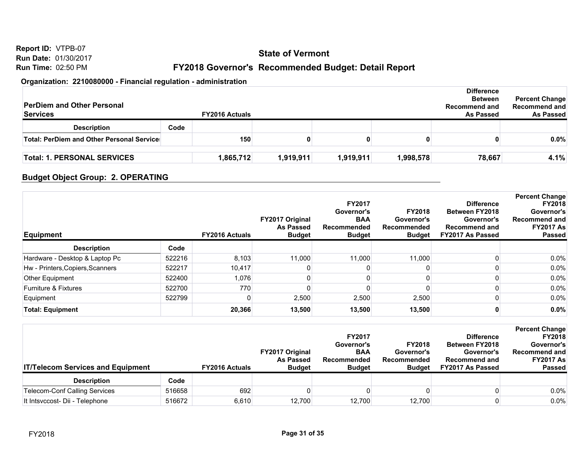# **State of Vermont**

## **FY2018 Governor's Recommended Budget: Detail Report**

#### **Organization: 2210080000 - Financial regulation - administration**

| <b>PerDiem and Other Personal</b><br><b>Services</b> | <b>FY2016 Actuals</b> |           |           |           | <b>Difference</b><br><b>Between</b><br><b>Recommend and</b><br><b>As Passed</b> | <b>Percent Change</b><br>Recommend and<br><b>As Passed</b> |
|------------------------------------------------------|-----------------------|-----------|-----------|-----------|---------------------------------------------------------------------------------|------------------------------------------------------------|
| <b>Description</b>                                   | Code                  |           |           |           |                                                                                 |                                                            |
| Total: PerDiem and Other Personal Service:           | 150                   |           |           | 0         |                                                                                 | $0.0\%$                                                    |
| <b>Total: 1. PERSONAL SERVICES</b>                   | 1,865,712             | 1,919,911 | 1,919,911 | 1,998,578 | 78,667                                                                          | 4.1%                                                       |

## **Budget Object Group: 2. OPERATING**

| <b>Equipment</b>                 |        | <b>FY2016 Actuals</b> | <b>FY2017 Original</b><br><b>As Passed</b><br><b>Budget</b> | <b>FY2017</b><br>Governor's<br><b>BAA</b><br>Recommended<br><b>Budget</b> | <b>FY2018</b><br>Governor's<br>Recommended<br><b>Budget</b> | <b>Difference</b><br><b>Between FY2018</b><br>Governor's<br><b>Recommend and</b><br><b>FY2017 As Passed</b> | <b>Percent Change</b><br><b>FY2018</b><br>Governor's<br><b>Recommend and</b><br><b>FY2017 As</b><br><b>Passed</b> |
|----------------------------------|--------|-----------------------|-------------------------------------------------------------|---------------------------------------------------------------------------|-------------------------------------------------------------|-------------------------------------------------------------------------------------------------------------|-------------------------------------------------------------------------------------------------------------------|
| <b>Description</b>               | Code   |                       |                                                             |                                                                           |                                                             |                                                                                                             |                                                                                                                   |
| Hardware - Desktop & Laptop Pc   | 522216 | 8,103                 | 11.000                                                      | 11.000                                                                    | 11,000                                                      |                                                                                                             | $0.0\%$                                                                                                           |
| Hw - Printers, Copiers, Scanners | 522217 | 10,417                |                                                             |                                                                           |                                                             |                                                                                                             | $0.0\%$                                                                                                           |
| Other Equipment                  | 522400 | 1,076                 |                                                             |                                                                           |                                                             |                                                                                                             | $0.0\%$                                                                                                           |
| <b>Furniture &amp; Fixtures</b>  | 522700 | 770                   |                                                             |                                                                           |                                                             |                                                                                                             | $0.0\%$                                                                                                           |
| Equipment                        | 522799 |                       | 2,500                                                       | 2,500                                                                     | 2,500                                                       |                                                                                                             | 0.0%                                                                                                              |
| <b>Total: Equipment</b>          |        | 20,366                | 13,500                                                      | 13,500                                                                    | 13,500                                                      |                                                                                                             | $0.0\%$                                                                                                           |

| <b>IT/Telecom Services and Equipment</b> |        | <b>FY2016 Actuals</b> | <b>FY2017 Original</b><br><b>As Passed</b><br><b>Budget</b> | <b>FY2017</b><br>Governor's<br><b>BAA</b><br>Recommended<br><b>Budget</b> | <b>FY2018</b><br>Governor's<br>Recommended<br><b>Budget</b> | <b>Difference</b><br><b>Between FY2018</b><br>Governor's<br><b>Recommend and</b><br>FY2017 As Passed | <b>Percent Change</b><br><b>FY2018</b><br>Governor's<br><b>Recommend and</b><br><b>FY2017 As</b><br><b>Passed</b> |
|------------------------------------------|--------|-----------------------|-------------------------------------------------------------|---------------------------------------------------------------------------|-------------------------------------------------------------|------------------------------------------------------------------------------------------------------|-------------------------------------------------------------------------------------------------------------------|
| <b>Description</b>                       | Code   |                       |                                                             |                                                                           |                                                             |                                                                                                      |                                                                                                                   |
| <b>Telecom-Conf Calling Services</b>     | 516658 | 692                   |                                                             |                                                                           |                                                             |                                                                                                      | $0.0\%$                                                                                                           |
| It Intsvccost- Dii - Telephone           | 516672 | 6,610                 | 12.700                                                      | 12.700                                                                    | 12.700                                                      |                                                                                                      | 0.0%                                                                                                              |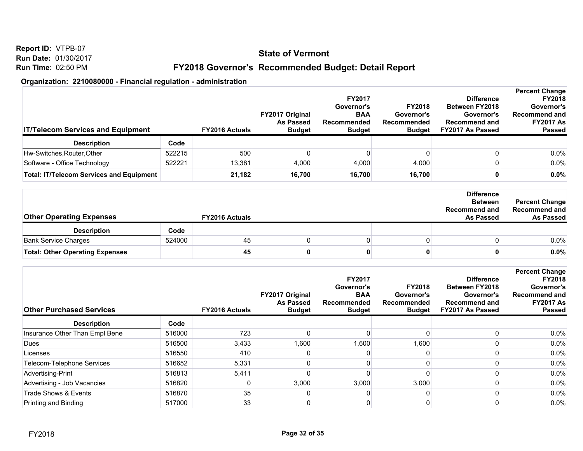**Report ID:** VTPB-07 **Run Date:** 01/30/2017 **Run Time:** 02:50 PM

## **FY2018 Governor's Recommended Budget: Detail Report**

|                                                 |        |                       |                        |                    |               |                       | <b>Percent Change</b> |
|-------------------------------------------------|--------|-----------------------|------------------------|--------------------|---------------|-----------------------|-----------------------|
|                                                 |        |                       |                        | <b>FY2017</b>      |               | <b>Difference</b>     | <b>FY2018</b>         |
|                                                 |        |                       |                        | Governor's         | <b>FY2018</b> | <b>Between FY2018</b> | Governor's            |
|                                                 |        |                       | <b>FY2017 Original</b> | <b>BAA</b>         | Governor's    | Governor's            | Recommend and         |
|                                                 |        |                       | <b>As Passed</b>       | <b>Recommended</b> | Recommended   | <b>Recommend and</b>  | <b>FY2017 As</b>      |
| <b>IT/Telecom Services and Equipment</b>        |        | <b>FY2016 Actuals</b> | <b>Budget</b>          | <b>Budget</b>      | <b>Budget</b> | FY2017 As Passed      | <b>Passed</b>         |
| <b>Description</b>                              | Code   |                       |                        |                    |               |                       |                       |
| Hw-Switches, Router, Other                      | 522215 | 500                   |                        |                    |               |                       | $0.0\%$               |
| Software - Office Technology                    | 522221 | 13.381                | 4.000                  | 4,000              | 4,000         |                       | $0.0\%$               |
| <b>Total: IT/Telecom Services and Equipment</b> |        | 21,182                | 16.700                 | 16.700             | 16,700        |                       | $0.0\%$               |

| <b>Other Operating Expenses</b>        |        | <b>FY2016 Actuals</b> |  | <b>Difference</b><br><b>Between</b><br><b>Recommend and</b><br><b>As Passed</b> | <b>Percent Change</b><br>Recommend and<br><b>As Passed</b> |
|----------------------------------------|--------|-----------------------|--|---------------------------------------------------------------------------------|------------------------------------------------------------|
| <b>Description</b>                     | Code   |                       |  |                                                                                 |                                                            |
| <b>Bank Service Charges</b>            | 524000 | 45                    |  |                                                                                 | $0.0\%$                                                    |
| <b>Total: Other Operating Expenses</b> |        | 45                    |  |                                                                                 | $0.0\%$                                                    |

| <b>Other Purchased Services</b> |        | <b>FY2016 Actuals</b> | <b>FY2017 Original</b><br><b>As Passed</b><br><b>Budget</b> | <b>FY2017</b><br>Governor's<br><b>BAA</b><br>Recommended<br><b>Budget</b> | <b>FY2018</b><br>Governor's<br>Recommended<br><b>Budget</b> | <b>Difference</b><br><b>Between FY2018</b><br>Governor's<br><b>Recommend and</b><br>FY2017 As Passed | <b>Percent Change</b><br><b>FY2018</b><br>Governor's<br><b>Recommend and</b><br><b>FY2017 As</b><br><b>Passed</b> |
|---------------------------------|--------|-----------------------|-------------------------------------------------------------|---------------------------------------------------------------------------|-------------------------------------------------------------|------------------------------------------------------------------------------------------------------|-------------------------------------------------------------------------------------------------------------------|
| <b>Description</b>              | Code   |                       |                                                             |                                                                           |                                                             |                                                                                                      |                                                                                                                   |
| Insurance Other Than Empl Bene  | 516000 | 723                   |                                                             |                                                                           |                                                             |                                                                                                      | 0.0%                                                                                                              |
| Dues                            | 516500 | 3,433                 | 1,600                                                       | 1,600                                                                     | 1,600                                                       |                                                                                                      | $0.0\%$                                                                                                           |
| Licenses                        | 516550 | 410                   |                                                             |                                                                           |                                                             |                                                                                                      | $0.0\%$                                                                                                           |
| Telecom-Telephone Services      | 516652 | 5,331                 |                                                             |                                                                           |                                                             |                                                                                                      | 0.0%                                                                                                              |
| Advertising-Print               | 516813 | 5,411                 |                                                             |                                                                           |                                                             |                                                                                                      | $0.0\%$                                                                                                           |
| Advertising - Job Vacancies     | 516820 |                       | 3,000                                                       | 3,000                                                                     | 3,000                                                       |                                                                                                      | $0.0\%$                                                                                                           |
| Trade Shows & Events            | 516870 | 35                    |                                                             |                                                                           |                                                             |                                                                                                      | $0.0\%$                                                                                                           |
| Printing and Binding            | 517000 | 33                    |                                                             |                                                                           |                                                             |                                                                                                      | $0.0\%$                                                                                                           |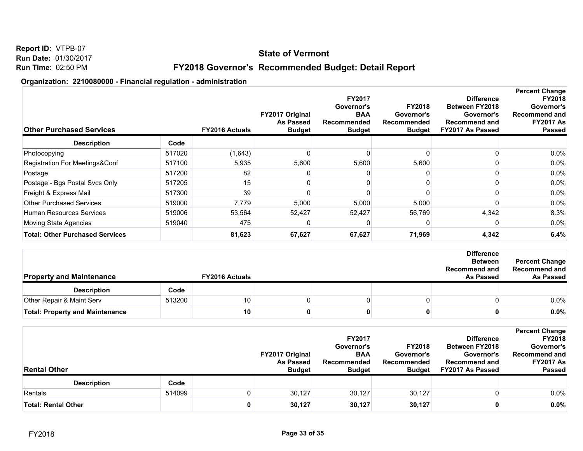#### **State of Vermont**

## **FY2018 Governor's Recommended Budget: Detail Report**

| <b>Other Purchased Services</b>        |        | <b>FY2016 Actuals</b> | FY2017 Original<br><b>As Passed</b><br><b>Budget</b> | FY2017<br>Governor's<br><b>BAA</b><br>Recommended<br><b>Budget</b> | <b>FY2018</b><br>Governor's<br>Recommended<br><b>Budget</b> | <b>Difference</b><br><b>Between FY2018</b><br>Governor's<br><b>Recommend and</b><br>FY2017 As Passed | <b>Percent Change</b><br><b>FY2018</b><br>Governor's<br><b>Recommend and</b><br><b>FY2017 As</b><br><b>Passed</b> |
|----------------------------------------|--------|-----------------------|------------------------------------------------------|--------------------------------------------------------------------|-------------------------------------------------------------|------------------------------------------------------------------------------------------------------|-------------------------------------------------------------------------------------------------------------------|
| <b>Description</b>                     | Code   |                       |                                                      |                                                                    |                                                             |                                                                                                      |                                                                                                                   |
| Photocopying                           | 517020 | (1,643)               |                                                      |                                                                    |                                                             |                                                                                                      | $0.0\%$                                                                                                           |
| Registration For Meetings&Conf         | 517100 | 5,935                 | 5,600                                                | 5,600                                                              | 5,600                                                       |                                                                                                      | $0.0\%$                                                                                                           |
| Postage                                | 517200 | 82                    |                                                      |                                                                    |                                                             |                                                                                                      | $0.0\%$                                                                                                           |
| Postage - Bgs Postal Svcs Only         | 517205 | 15                    |                                                      |                                                                    |                                                             |                                                                                                      | $0.0\%$                                                                                                           |
| Freight & Express Mail                 | 517300 | 39                    |                                                      |                                                                    |                                                             |                                                                                                      | $0.0\%$                                                                                                           |
| <b>Other Purchased Services</b>        | 519000 | 7,779                 | 5,000                                                | 5,000                                                              | 5,000                                                       |                                                                                                      | 0.0%                                                                                                              |
| Human Resources Services               | 519006 | 53,564                | 52,427                                               | 52,427                                                             | 56,769                                                      | 4,342                                                                                                | 8.3%                                                                                                              |
| Moving State Agencies                  | 519040 | 475                   |                                                      |                                                                    |                                                             |                                                                                                      | $0.0\%$                                                                                                           |
| <b>Total: Other Purchased Services</b> |        | 81,623                | 67,627                                               | 67,627                                                             | 71,969                                                      | 4,342                                                                                                | 6.4%                                                                                                              |

| <b>Property and Maintenance</b>        |        | <b>FY2016 Actuals</b> |  | <b>Difference</b><br><b>Between</b><br><b>Recommend and</b><br><b>As Passed</b> | <b>Percent Change</b><br><b>Recommend and</b><br><b>As Passed</b> |
|----------------------------------------|--------|-----------------------|--|---------------------------------------------------------------------------------|-------------------------------------------------------------------|
| <b>Description</b>                     | Code   |                       |  |                                                                                 |                                                                   |
| Other Repair & Maint Serv              | 513200 | 10                    |  |                                                                                 | $0.0\%$                                                           |
| <b>Total: Property and Maintenance</b> |        | 10                    |  |                                                                                 | 0.0%                                                              |

| <b>Rental Other</b>        |        |  | <b>FY2017 Original</b><br><b>As Passed</b><br><b>Budget</b> | <b>FY2017</b><br>Governor's<br><b>BAA</b><br><b>Recommended</b><br><b>Budget</b> | <b>FY2018</b><br>Governor's<br><b>Recommended</b><br><b>Budget</b> |  | <b>Percent Change</b><br><b>FY2018</b><br><b>Between FY2018</b><br>Governor's<br>Recommend and<br>Governor's<br><b>FY2017 As</b><br><b>Recommend and</b><br>FY2017 As Passed<br><b>Passed</b> |
|----------------------------|--------|--|-------------------------------------------------------------|----------------------------------------------------------------------------------|--------------------------------------------------------------------|--|-----------------------------------------------------------------------------------------------------------------------------------------------------------------------------------------------|
| <b>Description</b>         | Code   |  |                                                             |                                                                                  |                                                                    |  |                                                                                                                                                                                               |
| Rentals                    | 514099 |  | 30.127                                                      | 30,127                                                                           | 30,127                                                             |  | $0.0\%$                                                                                                                                                                                       |
| <b>Total: Rental Other</b> |        |  | 30,127                                                      | 30,127                                                                           | 30,127                                                             |  | 0.0%                                                                                                                                                                                          |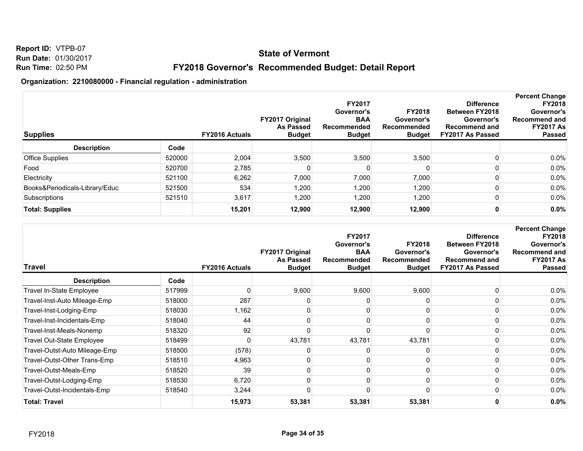## **State of Vermont**

## **FY2018 Governor's Recommended Budget: Detail Report**

| <b>Supplies</b>                |        | <b>FY2016 Actuals</b> | FY2017 Original<br><b>As Passed</b><br><b>Budget</b> | <b>FY2017</b><br>Governor's<br><b>BAA</b><br>Recommended<br><b>Budget</b> | <b>FY2018</b><br>Governor's<br>Recommended<br><b>Budget</b> | <b>Difference</b><br><b>Between FY2018</b><br>Governor's<br><b>Recommend and</b><br>FY2017 As Passed | <b>Percent Change</b><br><b>FY2018</b><br>Governor's<br><b>Recommend and</b><br><b>FY2017 As</b><br><b>Passed</b> |
|--------------------------------|--------|-----------------------|------------------------------------------------------|---------------------------------------------------------------------------|-------------------------------------------------------------|------------------------------------------------------------------------------------------------------|-------------------------------------------------------------------------------------------------------------------|
| <b>Description</b>             | Code   |                       |                                                      |                                                                           |                                                             |                                                                                                      |                                                                                                                   |
| <b>Office Supplies</b>         | 520000 | 2,004                 | 3,500                                                | 3,500                                                                     | 3,500                                                       |                                                                                                      | 0.0%                                                                                                              |
| Food                           | 520700 | 2,785                 |                                                      |                                                                           |                                                             |                                                                                                      | 0.0%                                                                                                              |
| Electricity                    | 521100 | 6,262                 | 7,000                                                | 7,000                                                                     | 7,000                                                       |                                                                                                      | 0.0%                                                                                                              |
| Books&Periodicals-Library/Educ | 521500 | 534                   | 1,200                                                | 1,200                                                                     | 1,200                                                       |                                                                                                      | 0.0%                                                                                                              |
| Subscriptions                  | 521510 | 3,617                 | 1,200                                                | 1,200                                                                     | 1,200                                                       |                                                                                                      | 0.0%                                                                                                              |
| <b>Total: Supplies</b>         |        | 15,201                | 12,900                                               | 12,900                                                                    | 12,900                                                      |                                                                                                      | 0.0%                                                                                                              |

| <b>Travel</b>                    |        | <b>FY2016 Actuals</b> | FY2017 Original<br><b>As Passed</b><br><b>Budget</b> | FY2017<br>Governor's<br><b>BAA</b><br>Recommended<br><b>Budget</b> | <b>FY2018</b><br>Governor's<br>Recommended<br><b>Budget</b> | <b>Difference</b><br><b>Between FY2018</b><br>Governor's<br><b>Recommend and</b><br>FY2017 As Passed | <b>Percent Change</b><br><b>FY2018</b><br>Governor's<br><b>Recommend and</b><br><b>FY2017 As</b><br><b>Passed</b> |
|----------------------------------|--------|-----------------------|------------------------------------------------------|--------------------------------------------------------------------|-------------------------------------------------------------|------------------------------------------------------------------------------------------------------|-------------------------------------------------------------------------------------------------------------------|
| <b>Description</b>               | Code   |                       |                                                      |                                                                    |                                                             |                                                                                                      |                                                                                                                   |
| Travel In-State Employee         | 517999 |                       | 9,600                                                | 9,600                                                              | 9,600                                                       |                                                                                                      | 0.0%                                                                                                              |
| Travel-Inst-Auto Mileage-Emp     | 518000 | 287                   |                                                      |                                                                    |                                                             |                                                                                                      | 0.0%                                                                                                              |
| Travel-Inst-Lodging-Emp          | 518030 | 1,162                 |                                                      |                                                                    |                                                             |                                                                                                      | 0.0%                                                                                                              |
| Travel-Inst-Incidentals-Emp      | 518040 | 44                    |                                                      |                                                                    |                                                             |                                                                                                      | 0.0%                                                                                                              |
| Travel-Inst-Meals-Nonemp         | 518320 | 92                    |                                                      |                                                                    |                                                             |                                                                                                      | 0.0%                                                                                                              |
| <b>Travel Out-State Employee</b> | 518499 |                       | 43,781                                               | 43,781                                                             | 43,781                                                      |                                                                                                      | 0.0%                                                                                                              |
| Travel-Outst-Auto Mileage-Emp    | 518500 | (578)                 |                                                      |                                                                    |                                                             |                                                                                                      | 0.0%                                                                                                              |
| Travel-Outst-Other Trans-Emp     | 518510 | 4,963                 |                                                      |                                                                    |                                                             |                                                                                                      | 0.0%                                                                                                              |
| Travel-Outst-Meals-Emp           | 518520 | 39                    |                                                      |                                                                    |                                                             |                                                                                                      | 0.0%                                                                                                              |
| Travel-Outst-Lodging-Emp         | 518530 | 6,720                 |                                                      |                                                                    |                                                             |                                                                                                      | 0.0%                                                                                                              |
| Travel-Outst-Incidentals-Emp     | 518540 | 3,244                 |                                                      |                                                                    |                                                             |                                                                                                      | $0.0\%$                                                                                                           |
| <b>Total: Travel</b>             |        | 15,973                | 53,381                                               | 53,381                                                             | 53,381                                                      |                                                                                                      | 0.0%                                                                                                              |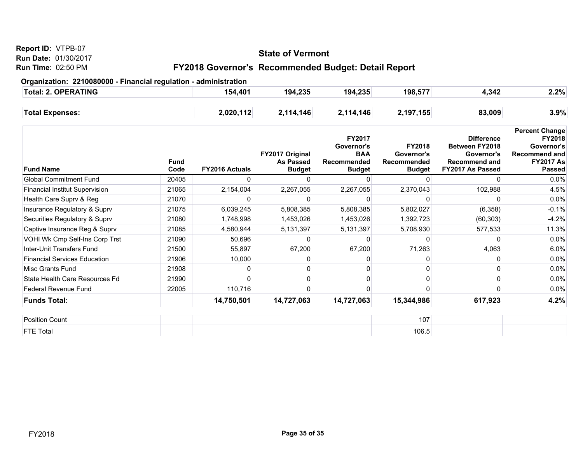#### **Report ID:** VTPB-07

**Run Date:** 01/30/2017

#### **Run Time:** 02:50 PM

## **State of Vermont**

## **FY2018 Governor's Recommended Budget: Detail Report**

#### **Organization: 2210080000 - Financial regulation - administration**

| Total: 2. OPERATING    | 154,401   | 194,235   | 194,235   | 198,577   | 4,342  | 2.2% |
|------------------------|-----------|-----------|-----------|-----------|--------|------|
|                        |           |           |           |           |        |      |
| <b>Total Expenses:</b> | 2,020,112 | 2,114,146 | 2,114,146 | 2,197,155 | 83,009 | 3.9% |

| <b>Fund Name</b>                      | <b>Fund</b><br>Code | <b>FY2016 Actuals</b> | FY2017 Original<br><b>As Passed</b><br><b>Budget</b> | FY2017<br>Governor's<br><b>BAA</b><br>Recommended<br><b>Budget</b> | <b>FY2018</b><br>Governor's<br>Recommended<br><b>Budget</b> | <b>Difference</b><br><b>Between FY2018</b><br>Governor's<br><b>Recommend and</b><br>FY2017 As Passed | <b>Percent Change</b><br><b>FY2018</b><br>Governor's<br><b>Recommend and</b><br><b>FY2017 As</b><br><b>Passed</b> |
|---------------------------------------|---------------------|-----------------------|------------------------------------------------------|--------------------------------------------------------------------|-------------------------------------------------------------|------------------------------------------------------------------------------------------------------|-------------------------------------------------------------------------------------------------------------------|
| <b>Global Commitment Fund</b>         | 20405               |                       | ი                                                    |                                                                    |                                                             | n                                                                                                    | $0.0\%$                                                                                                           |
| <b>Financial Institut Supervision</b> | 21065               | 2,154,004             | 2,267,055                                            | 2,267,055                                                          | 2,370,043                                                   | 102,988                                                                                              | 4.5%                                                                                                              |
| Health Care Supry & Reg               | 21070               |                       |                                                      |                                                                    |                                                             |                                                                                                      | $0.0\%$                                                                                                           |
| Insurance Regulatory & Suprv          | 21075               | 6,039,245             | 5,808,385                                            | 5,808,385                                                          | 5,802,027                                                   | (6,358)                                                                                              | $-0.1%$                                                                                                           |
| Securities Regulatory & Suprv         | 21080               | 1,748,998             | 1,453,026                                            | 1,453,026                                                          | 1,392,723                                                   | (60, 303)                                                                                            | $-4.2%$                                                                                                           |
| Captive Insurance Reg & Supry         | 21085               | 4,580,944             | 5,131,397                                            | 5,131,397                                                          | 5,708,930                                                   | 577,533                                                                                              | 11.3%                                                                                                             |
| VOHI Wk Cmp Self-Ins Corp Trst        | 21090               | 50,696                |                                                      |                                                                    |                                                             |                                                                                                      | $0.0\%$                                                                                                           |
| Inter-Unit Transfers Fund             | 21500               | 55,897                | 67,200                                               | 67,200                                                             | 71,263                                                      | 4,063                                                                                                | 6.0%                                                                                                              |
| <b>Financial Services Education</b>   | 21906               | 10,000                |                                                      |                                                                    |                                                             |                                                                                                      | 0.0%                                                                                                              |
| <b>Misc Grants Fund</b>               | 21908               |                       |                                                      |                                                                    |                                                             |                                                                                                      | 0.0%                                                                                                              |
| State Health Care Resources Fd        | 21990               |                       |                                                      |                                                                    |                                                             | ŋ                                                                                                    | $0.0\%$                                                                                                           |
| <b>Federal Revenue Fund</b>           | 22005               | 110,716               |                                                      |                                                                    |                                                             |                                                                                                      | $0.0\%$                                                                                                           |
| <b>Funds Total:</b>                   |                     | 14,750,501            | 14,727,063                                           | 14,727,063                                                         | 15,344,986                                                  | 617,923                                                                                              | 4.2%                                                                                                              |
| <b>Position Count</b>                 |                     |                       |                                                      |                                                                    | 107                                                         |                                                                                                      |                                                                                                                   |

FTE Total 106.5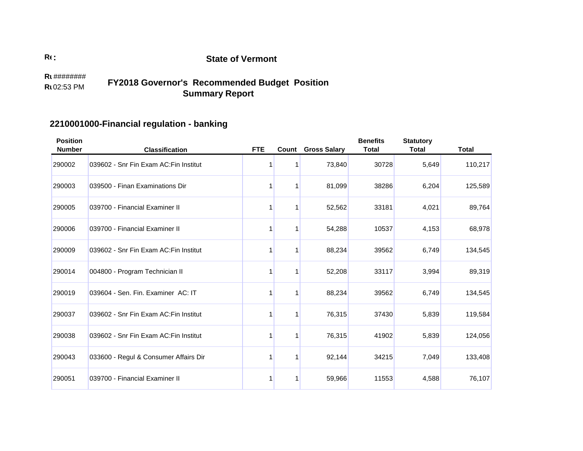#### 02:53 PM **Run TimeR**u######## **FY2018 Governor's Recommended Budget Position Summary Report**

# **2210001000-Financial regulation - banking**

| <b>Position</b><br><b>Number</b> | <b>Classification</b>                  | <b>FTE</b> | Count | <b>Gross Salary</b> | <b>Benefits</b><br><b>Total</b> | <b>Statutory</b><br><b>Total</b> | <b>Total</b> |
|----------------------------------|----------------------------------------|------------|-------|---------------------|---------------------------------|----------------------------------|--------------|
| 290002                           | 039602 - Snr Fin Exam AC: Fin Institut |            |       | 73,840              | 30728                           | 5,649                            | 110,217      |
| 290003                           | 039500 - Finan Examinations Dir        |            | 1     | 81,099              | 38286                           | 6,204                            | 125,589      |
| 290005                           | 039700 - Financial Examiner II         |            |       | 52,562              | 33181                           | 4,021                            | 89,764       |
| 290006                           | 039700 - Financial Examiner II         |            | 1     | 54,288              | 10537                           | 4,153                            | 68,978       |
| 290009                           | 039602 - Snr Fin Exam AC: Fin Institut |            | 1     | 88,234              | 39562                           | 6,749                            | 134,545      |
| 290014                           | 004800 - Program Technician II         |            | 1     | 52,208              | 33117                           | 3,994                            | 89,319       |
| 290019                           | 039604 - Sen. Fin. Examiner AC: IT     |            | 1     | 88,234              | 39562                           | 6,749                            | 134,545      |
| 290037                           | 039602 - Snr Fin Exam AC: Fin Institut |            | 1     | 76,315              | 37430                           | 5,839                            | 119,584      |
| 290038                           | 039602 - Snr Fin Exam AC: Fin Institut |            |       | 76,315              | 41902                           | 5,839                            | 124,056      |
| 290043                           | 033600 - Regul & Consumer Affairs Dir  |            | 1     | 92,144              | 34215                           | 7,049                            | 133,408      |
| 290051                           | 039700 - Financial Examiner II         |            | 1     | 59,966              | 11553                           | 4,588                            | 76,107       |

**:**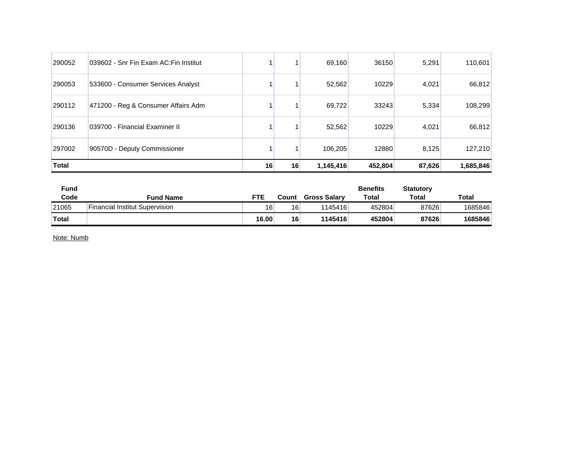| 290052       | 039602 - Snr Fin Exam AC: Fin Institut |    |    | 69.160    | 36150   | 5,291  | 110,601   |
|--------------|----------------------------------------|----|----|-----------|---------|--------|-----------|
| 290053       | 533600 - Consumer Services Analyst     |    |    | 52,562    | 10229   | 4,021  | 66,812    |
| 290112       | 471200 - Reg & Consumer Affairs Adm    |    |    | 69.722    | 33243   | 5,334  | 108,299   |
| 290136       | 039700 - Financial Examiner II         |    |    | 52,562    | 10229   | 4,021  | 66,812    |
| 297002       | 90570D - Deputy Commissioner           |    |    | 106,205   | 12880   | 8,125  | 127,210   |
| <b>Total</b> |                                        | 16 | 16 | 1,145,416 | 452,804 | 87,626 | 1,685,846 |

| <b>Fund</b>  |                                |       |       |                     | <b>Benefits</b> | <b>Statutory</b> |         |
|--------------|--------------------------------|-------|-------|---------------------|-----------------|------------------|---------|
| Code         | <b>Fund Name</b>               | FTE   | Count | <b>Gross Salary</b> | <b>Total</b>    | <b>Total</b>     | Total   |
| 21065        | Financial Institut Supervision | 16    | 16    | 1145416             | 452804          | 87626            | 1685846 |
| <b>Total</b> |                                | 16.00 | 16    | 1145416             | 452804          | 87626            | 1685846 |

Note: Numb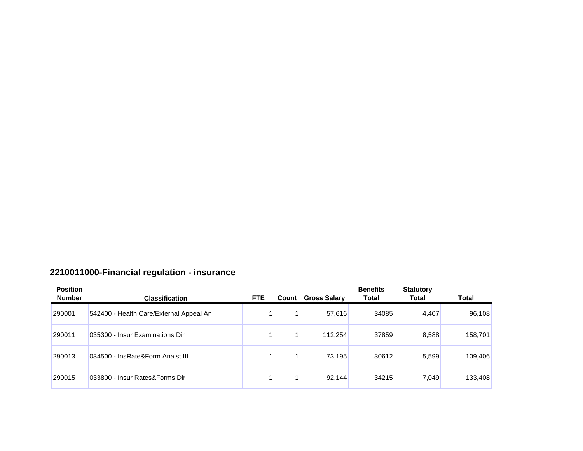# **2210011000-Financial regulation - insurance**

| <b>Position</b><br><b>Number</b> | <b>Classification</b>                   | <b>FTE</b> | Count | <b>Gross Salary</b> | <b>Benefits</b><br><b>Total</b> | <b>Statutory</b><br><b>Total</b> | <b>Total</b> |
|----------------------------------|-----------------------------------------|------------|-------|---------------------|---------------------------------|----------------------------------|--------------|
| 290001                           | 542400 - Health Care/External Appeal An |            |       | 57,616              | 34085                           | 4,407                            | 96,108       |
| 290011                           | 035300 - Insur Examinations Dir         |            |       | 112,254             | 37859                           | 8,588                            | 158,701      |
| 290013                           | 034500 - InsRate&Form Analst III        |            |       | 73,195              | 30612                           | 5,599                            | 109,406      |
| 290015                           | 033800 - Insur Rates&Forms Dir          |            |       | 92,144              | 34215                           | 7,049                            | 133,408      |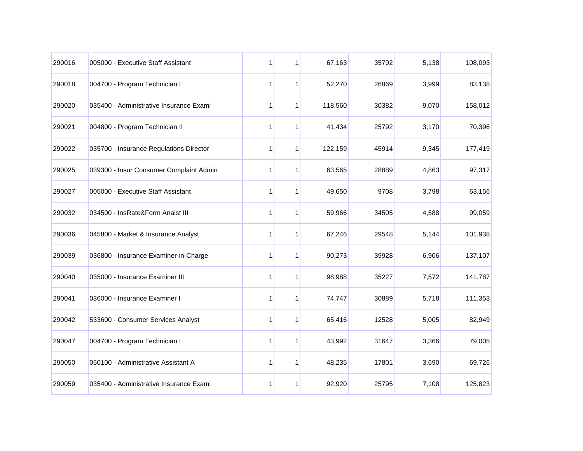| 290016 | 005000 - Executive Staff Assistant      | 1 | 1            | 67,163  | 35792 | 5,138 | 108,093 |
|--------|-----------------------------------------|---|--------------|---------|-------|-------|---------|
| 290018 | 004700 - Program Technician I           | 1 | 1            | 52,270  | 26869 | 3,999 | 83,138  |
| 290020 | 035400 - Administrative Insurance Exami | 1 | 1            | 118,560 | 30382 | 9,070 | 158,012 |
| 290021 | 004800 - Program Technician II          | 1 | 1            | 41,434  | 25792 | 3,170 | 70,396  |
| 290022 | 035700 - Insurance Regulations Director | 1 | $\mathbf{1}$ | 122,159 | 45914 | 9,345 | 177,419 |
| 290025 | 039300 - Insur Consumer Complaint Admin | 1 | 1            | 63,565  | 28889 | 4,863 | 97,317  |
| 290027 | 005000 - Executive Staff Assistant      | 1 | 1            | 49,650  | 9708  | 3,798 | 63,156  |
| 290032 | 034500 - InsRate&Form Analst III        | 1 | 1            | 59,966  | 34505 | 4,588 | 99,059  |
| 290036 | 045800 - Market & Insurance Analyst     | 1 | 1            | 67,246  | 29548 | 5,144 | 101,938 |
| 290039 | 036800 - Insurance Examiner-in-Charge   | 1 | 1            | 90,273  | 39928 | 6,906 | 137,107 |
| 290040 | 035000 - Insurance Examiner III         | 1 | 1            | 98,988  | 35227 | 7,572 | 141,787 |
| 290041 | 036000 - Insurance Examiner I           | 1 | 1            | 74,747  | 30889 | 5,718 | 111,353 |
| 290042 | 533600 - Consumer Services Analyst      | 1 | 1            | 65,416  | 12528 | 5,005 | 82,949  |
| 290047 | 004700 - Program Technician I           | 1 | 1            | 43,992  | 31647 | 3,366 | 79,005  |
| 290050 | 050100 - Administrative Assistant A     | 1 | 1            | 48,235  | 17801 | 3,690 | 69,726  |
| 290059 | 035400 - Administrative Insurance Exami | 1 | 1            | 92,920  | 25795 | 7,108 | 125,823 |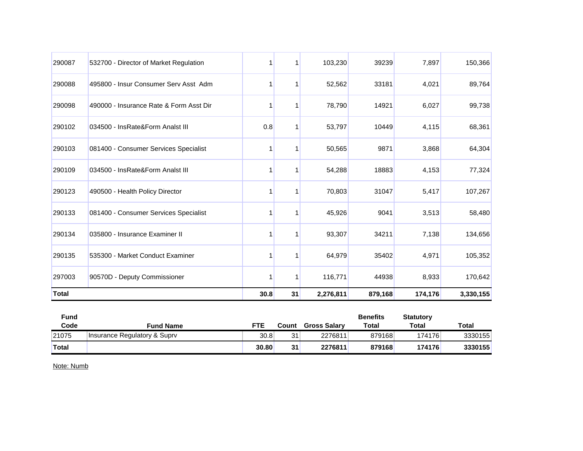| 290087       | 532700 - Director of Market Regulation  |      |    | 103,230   | 39239   | 7,897   | 150,366   |
|--------------|-----------------------------------------|------|----|-----------|---------|---------|-----------|
| 290088       | 495800 - Insur Consumer Serv Asst Adm   |      |    | 52,562    | 33181   | 4,021   | 89,764    |
| 290098       | 490000 - Insurance Rate & Form Asst Dir |      |    | 78,790    | 14921   | 6,027   | 99,738    |
| 290102       | 034500 - InsRate&Form Analst III        | 0.8  |    | 53,797    | 10449   | 4,115   | 68,361    |
| 290103       | 081400 - Consumer Services Specialist   |      |    | 50,565    | 9871    | 3,868   | 64,304    |
| 290109       | 034500 - InsRate&Form Analst III        |      |    | 54,288    | 18883   | 4,153   | 77,324    |
| 290123       | 490500 - Health Policy Director         |      | 1  | 70,803    | 31047   | 5,417   | 107,267   |
| 290133       | 081400 - Consumer Services Specialist   |      |    | 45,926    | 9041    | 3,513   | 58,480    |
| 290134       | 035800 - Insurance Examiner II          |      | 1  | 93,307    | 34211   | 7,138   | 134,656   |
| 290135       | 535300 - Market Conduct Examiner        |      |    | 64,979    | 35402   | 4,971   | 105,352   |
| 297003       | 90570D - Deputy Commissioner            |      | 1  | 116,771   | 44938   | 8,933   | 170,642   |
| <b>Total</b> |                                         | 30.8 | 31 | 2,276,811 | 879,168 | 174,176 | 3,330,155 |

| Fund         |                              |       |       |                     | <b>Benefits</b> | <b>Statutory</b> |         |
|--------------|------------------------------|-------|-------|---------------------|-----------------|------------------|---------|
| Code         | Fund Name                    | FTE   | Count | <b>Gross Salary</b> | <b>Total</b>    | Total            | Total   |
| 21075        | Insurance Regulatory & Suprv | 30.8  | 31    | 2276811             | 879168          | 174176           | 3330155 |
| <b>Total</b> |                              | 30.80 | 31    | 2276811             | 879168          | 174176           | 3330155 |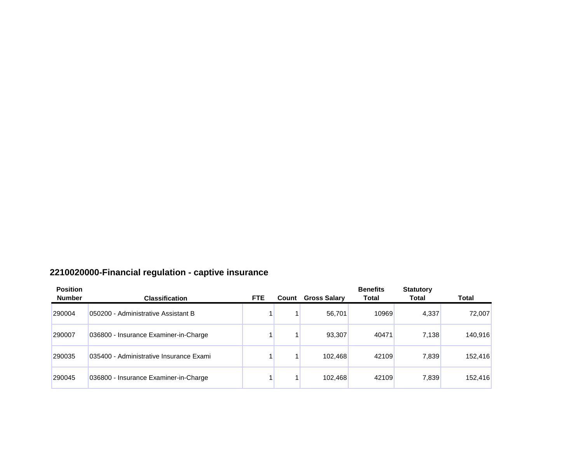# **2210020000-Financial regulation - captive insurance**

| <b>Position</b><br><b>Number</b> | <b>Classification</b>                   | FTE. | Count | <b>Gross Salary</b> | <b>Benefits</b><br><b>Total</b> | <b>Statutory</b><br>Total | <b>Total</b> |
|----------------------------------|-----------------------------------------|------|-------|---------------------|---------------------------------|---------------------------|--------------|
| 290004                           | 050200 - Administrative Assistant B     |      |       | 56.701              | 10969                           | 4,337                     | 72,007       |
| 290007                           | 036800 - Insurance Examiner-in-Charge   |      |       | 93,307              | 40471                           | 7.138                     | 140,916      |
| 290035                           | 035400 - Administrative Insurance Exami |      |       | 102,468             | 42109                           | 7,839                     | 152,416      |
| 290045                           | 036800 - Insurance Examiner-in-Charge   |      |       | 102,468             | 42109                           | 7,839                     | 152,416      |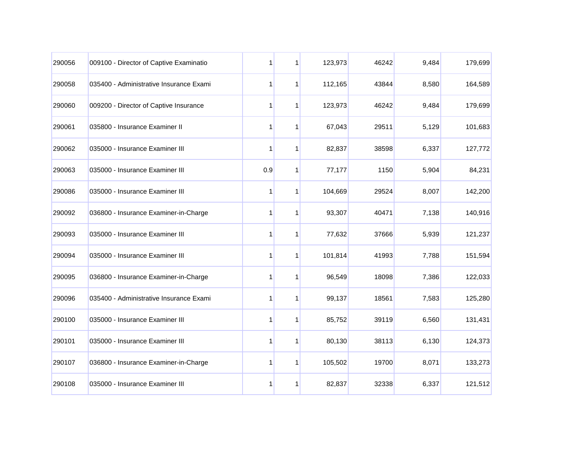| 290056 | 009100 - Director of Captive Examinatio | 1            | 1           | 123,973 | 46242 | 9,484 | 179,699 |
|--------|-----------------------------------------|--------------|-------------|---------|-------|-------|---------|
| 290058 | 035400 - Administrative Insurance Exami | 1            | $\mathbf 1$ | 112,165 | 43844 | 8,580 | 164,589 |
| 290060 | 009200 - Director of Captive Insurance  | 1            | 1           | 123,973 | 46242 | 9,484 | 179,699 |
| 290061 | 035800 - Insurance Examiner II          | 1            | 1           | 67,043  | 29511 | 5,129 | 101,683 |
| 290062 | 035000 - Insurance Examiner III         | 1            | 1           | 82,837  | 38598 | 6,337 | 127,772 |
| 290063 | 035000 - Insurance Examiner III         | 0.9          | 1           | 77,177  | 1150  | 5,904 | 84,231  |
| 290086 | 035000 - Insurance Examiner III         | 1            | 1           | 104,669 | 29524 | 8,007 | 142,200 |
| 290092 | 036800 - Insurance Examiner-in-Charge   | 1            | 1           | 93,307  | 40471 | 7,138 | 140,916 |
| 290093 | 035000 - Insurance Examiner III         | 1            | 1           | 77,632  | 37666 | 5,939 | 121,237 |
| 290094 | 035000 - Insurance Examiner III         | 1            | 1           | 101,814 | 41993 | 7,788 | 151,594 |
| 290095 | 036800 - Insurance Examiner-in-Charge   | 1            | 1           | 96,549  | 18098 | 7,386 | 122,033 |
| 290096 | 035400 - Administrative Insurance Exami | $\mathbf{1}$ | 1           | 99,137  | 18561 | 7,583 | 125,280 |
| 290100 | 035000 - Insurance Examiner III         | 1            | 1           | 85,752  | 39119 | 6,560 | 131,431 |
| 290101 | 035000 - Insurance Examiner III         | 1            | 1           | 80,130  | 38113 | 6,130 | 124,373 |
| 290107 | 036800 - Insurance Examiner-in-Charge   | 1            | 1           | 105,502 | 19700 | 8,071 | 133,273 |
| 290108 | 035000 - Insurance Examiner III         | 1            | 1           | 82,837  | 32338 | 6,337 | 121,512 |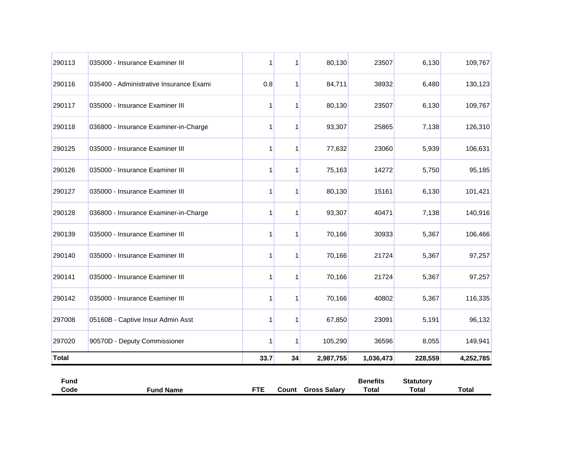| 290113       | 035000 - Insurance Examiner III         | 1    | 1  | 80,130    | 23507     | 6,130   | 109,767   |
|--------------|-----------------------------------------|------|----|-----------|-----------|---------|-----------|
| 290116       | 035400 - Administrative Insurance Exami | 0.8  |    | 84,711    | 38932     | 6,480   | 130,123   |
| 290117       | 035000 - Insurance Examiner III         | 1    | 1  | 80,130    | 23507     | 6,130   | 109,767   |
| 290118       | 036800 - Insurance Examiner-in-Charge   | 1    | 1  | 93,307    | 25865     | 7,138   | 126,310   |
| 290125       | 035000 - Insurance Examiner III         | 1    | 1  | 77,632    | 23060     | 5,939   | 106,631   |
| 290126       | 035000 - Insurance Examiner III         | 1    | 1  | 75,163    | 14272     | 5,750   | 95,185    |
| 290127       | 035000 - Insurance Examiner III         | 1    | 1  | 80,130    | 15161     | 6,130   | 101,421   |
| 290128       | 036800 - Insurance Examiner-in-Charge   |      |    | 93,307    | 40471     | 7,138   | 140,916   |
| 290139       | 035000 - Insurance Examiner III         | 1    |    | 70,166    | 30933     | 5,367   | 106,466   |
| 290140       | 035000 - Insurance Examiner III         | 1    | 1  | 70,166    | 21724     | 5,367   | 97,257    |
| 290141       | 035000 - Insurance Examiner III         | 1    | 1  | 70,166    | 21724     | 5,367   | 97,257    |
| 290142       | 035000 - Insurance Examiner III         | 1    | 1  | 70,166    | 40802     | 5,367   | 116,335   |
| 297008       | 05160B - Captive Insur Admin Asst       | 1    | 1  | 67,850    | 23091     | 5,191   | 96,132    |
| 297020       | 90570D - Deputy Commissioner            | 1    | 1  | 105,290   | 36596     | 8,055   | 149,941   |
| <b>Total</b> |                                         | 33.7 | 34 | 2,987,755 | 1,036,473 | 228,559 | 4,252,785 |

| Fund |                |    |                              | <b>Benefits</b> | <b>Statutory</b> |       |
|------|----------------|----|------------------------------|-----------------|------------------|-------|
| Code | l Name<br>Fund | ᇊᅚ | <b>Gross Salary</b><br>Count | Total           | Total            | Total |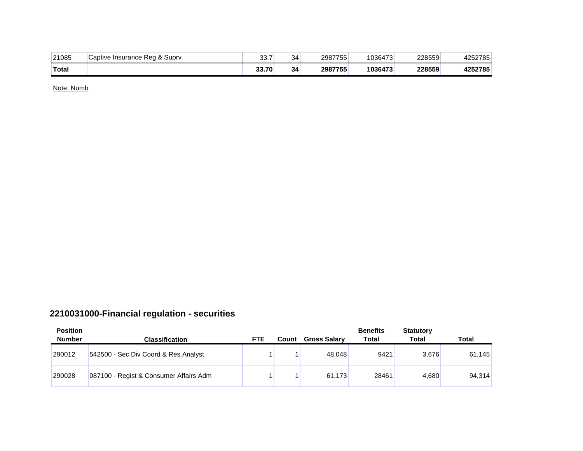| 21085        | Captive Insurance Reg & Supry | $\sim$ $\sim$<br>აა. / | 34 | 2987755 | 1036473 | 228559 | 1252785<br>47 |
|--------------|-------------------------------|------------------------|----|---------|---------|--------|---------------|
| <b>Total</b> |                               | 33.70                  | 34 | 2987755 | 1036473 | 228559 | 4252785       |

## **2210031000-Financial regulation - securities**

| <b>Position</b><br><b>Number</b> | <b>Classification</b>                  | <b>FTE</b> | Count | <b>Gross Salary</b> | <b>Benefits</b><br>Total | <b>Statutory</b><br>Total | Total  |
|----------------------------------|----------------------------------------|------------|-------|---------------------|--------------------------|---------------------------|--------|
| 290012                           | 542500 - Sec Div Coord & Res Analyst   |            |       | 48.048              | 9421                     | 3,676                     | 61,145 |
| 290028                           | 087100 - Regist & Consumer Affairs Adm |            |       | 61.173              | 28461                    | 4.680                     | 94,314 |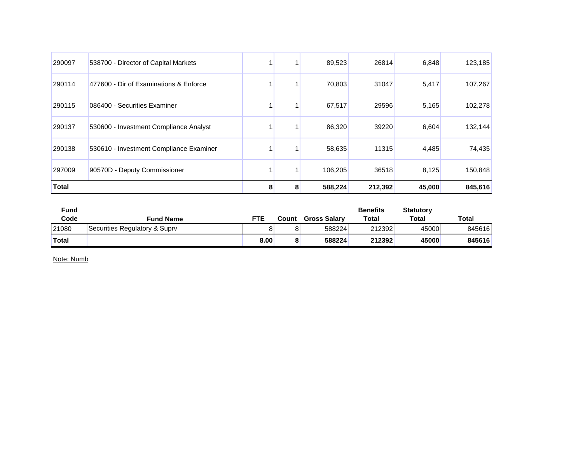| 290097       | 538700 - Director of Capital Markets    |  | 89,523  | 26814   | 6,848  | 123,185 |
|--------------|-----------------------------------------|--|---------|---------|--------|---------|
| 290114       | 477600 - Dir of Examinations & Enforce  |  | 70,803  | 31047   | 5,417  | 107,267 |
| 290115       | 086400 - Securities Examiner            |  | 67,517  | 29596   | 5,165  | 102,278 |
| 290137       | 530600 - Investment Compliance Analyst  |  | 86,320  | 39220   | 6,604  | 132,144 |
| 290138       | 530610 - Investment Compliance Examiner |  | 58,635  | 11315   | 4,485  | 74,435  |
| 297009       | 90570D - Deputy Commissioner            |  | 106,205 | 36518   | 8,125  | 150,848 |
| <b>Total</b> |                                         |  | 588,224 | 212,392 | 45,000 | 845,616 |

| <b>Fund</b>  |                               |      |           |                     | <b>Benefits</b> | <b>Statutory</b> |              |
|--------------|-------------------------------|------|-----------|---------------------|-----------------|------------------|--------------|
| Code         | <b>Fund Name</b>              | FTE  | Count     | <b>Gross Salary</b> | <b>Total</b>    | Total            | <b>Total</b> |
| 21080        | Securities Regulatory & Suprv |      | O         | 588224              | 212392          | 45000            | 845616       |
| <b>Total</b> |                               | 8.00 | $\bullet$ | 588224              | 212392          | 45000            | 845616       |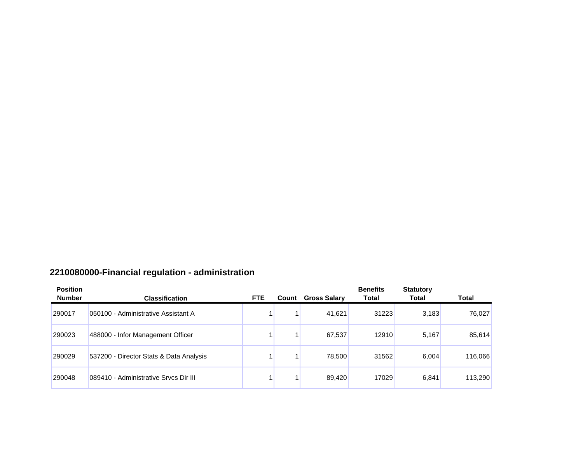# **2210080000-Financial regulation - administration**

| <b>Position</b><br><b>Number</b> | <b>Classification</b>                   | FTE. | Count | <b>Gross Salary</b> | <b>Benefits</b><br><b>Total</b> | <b>Statutory</b><br>Total | <b>Total</b> |
|----------------------------------|-----------------------------------------|------|-------|---------------------|---------------------------------|---------------------------|--------------|
| 290017                           | 050100 - Administrative Assistant A     |      |       | 41,621              | 31223                           | 3,183                     | 76,027       |
| 290023                           | 488000 - Infor Management Officer       |      |       | 67,537              | 12910                           | 5,167                     | 85,614       |
| 290029                           | 537200 - Director Stats & Data Analysis |      |       | 78,500              | 31562                           | 6,004                     | 116,066      |
| 290048                           | 089410 - Administrative Srvcs Dir III   |      |       | 89.420              | 17029                           | 6,841                     | 113,290      |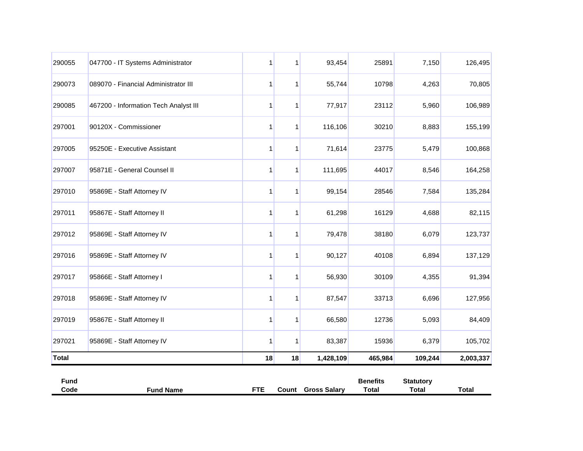| 290055       | 047700 - IT Systems Administrator     | 1  | 1            | 93,454    | 25891   | 7,150   | 126,495   |
|--------------|---------------------------------------|----|--------------|-----------|---------|---------|-----------|
| 290073       | 089070 - Financial Administrator III  | 1  | 1            | 55,744    | 10798   | 4,263   | 70,805    |
| 290085       | 467200 - Information Tech Analyst III | 1  | 1            | 77,917    | 23112   | 5,960   | 106,989   |
| 297001       | 90120X - Commissioner                 | 1  | 1            | 116,106   | 30210   | 8,883   | 155,199   |
| 297005       | 95250E - Executive Assistant          | 1  | $\mathbf{1}$ | 71,614    | 23775   | 5,479   | 100,868   |
| 297007       | 95871E - General Counsel II           | 1  | 1            | 111,695   | 44017   | 8,546   | 164,258   |
| 297010       | 95869E - Staff Attorney IV            | 1  | 1            | 99,154    | 28546   | 7,584   | 135,284   |
| 297011       | 95867E - Staff Attorney II            | 1  | 1            | 61,298    | 16129   | 4,688   | 82,115    |
| 297012       | 95869E - Staff Attorney IV            |    |              | 79,478    | 38180   | 6,079   | 123,737   |
| 297016       | 95869E - Staff Attorney IV            | 1  | 1            | 90,127    | 40108   | 6,894   | 137,129   |
| 297017       | 95866E - Staff Attorney I             | 1  | 1            | 56,930    | 30109   | 4,355   | 91,394    |
| 297018       | 95869E - Staff Attorney IV            | 1  | 1            | 87,547    | 33713   | 6,696   | 127,956   |
| 297019       | 95867E - Staff Attorney II            | 1  | 1            | 66,580    | 12736   | 5,093   | 84,409    |
| 297021       | 95869E - Staff Attorney IV            | 1  | $\mathbf{1}$ | 83,387    | 15936   | 6,379   | 105,702   |
| <b>Total</b> |                                       | 18 | 18           | 1,428,109 | 465,984 | 109,244 | 2,003,337 |

| <b>Fund</b> |                  |     |                              | <b>Benefits</b> | <b>Statutory</b> |       |
|-------------|------------------|-----|------------------------------|-----------------|------------------|-------|
| Code        | <b>Fund Name</b> | ctc | <b>Gross Salary</b><br>Count | Total           | Total            | Total |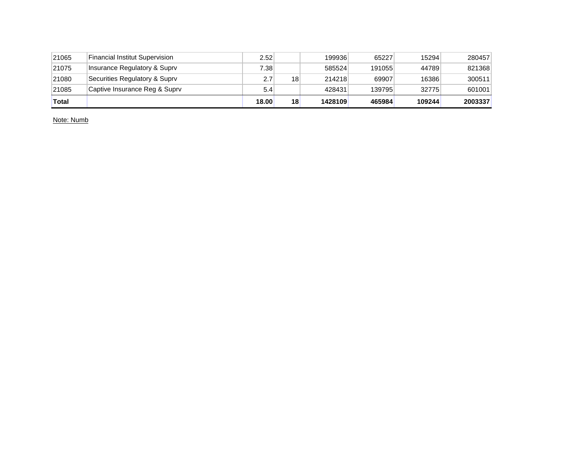| 21065 | Financial Institut Supervision | 2.52  |    | 199936  | 65227  | 15294  | 280457  |
|-------|--------------------------------|-------|----|---------|--------|--------|---------|
| 21075 | Insurance Regulatory & Suprv   | 7.38  |    | 585524  | 191055 | 44789  | 821368  |
| 21080 | Securities Regulatory & Suprv  | 2.7   | 18 | 214218  | 69907  | 16386  | 300511  |
| 21085 | Captive Insurance Reg & Suprv  | 5.4   |    | 428431  | 139795 | 32775  | 601001  |
| Total |                                | 18.00 | 18 | 1428109 | 465984 | 109244 | 2003337 |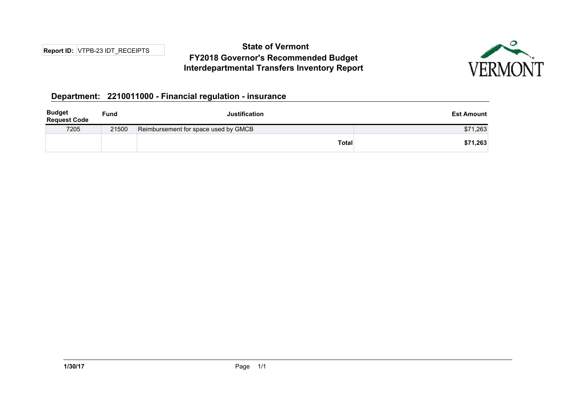## **State of Vermont FY2018 Governor's Recommended Budget Interdepartmental Transfers Inventory Report**



#### **Department: 2210011000 - Financial regulation - insurance**

| <b>Budget</b><br><b>Request Code</b> | <b>Fund</b> | <b>Justification</b>                 | <b>Est Amount</b> |
|--------------------------------------|-------------|--------------------------------------|-------------------|
| 7205                                 | 21500       | Reimbursement for space used by GMCB | \$71,263          |
|                                      |             | <b>Total</b>                         | \$71,263          |